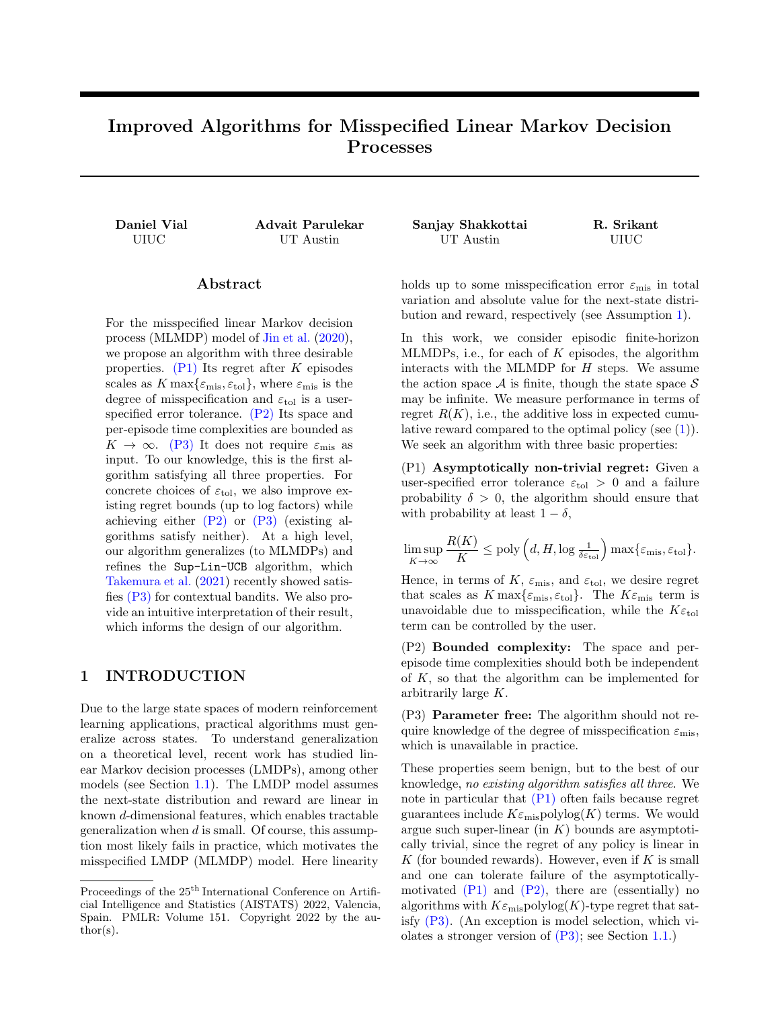# Improved Algorithms for Misspecified Linear Markov Decision Processes

# Daniel Vial Advait Parulekar Sanjay Shakkottai R. Srikant UIUC UT Austin UT Austin UIUC

### Abstract

For the misspecified linear Markov decision process (MLMDP) model of [Jin et al.](#page-9-0) [\(2020\)](#page-9-0), we propose an algorithm with three desirable properties.  $(P1)$  Its regret after K episodes scales as  $K \max\{\varepsilon_{\text{mis}}, \varepsilon_{\text{tol}}\}$ , where  $\varepsilon_{\text{mis}}$  is the degree of misspecification and  $\varepsilon_{\text{tol}}$  is a userspecified error tolerance. [\(P2\)](#page-0-1) Its space and per-episode time complexities are bounded as  $K \to \infty$ . [\(P3\)](#page-0-2) It does not require  $\varepsilon_{\text{mis}}$  as input. To our knowledge, this is the first algorithm satisfying all three properties. For concrete choices of  $\varepsilon_{\text{tol}}$ , we also improve existing regret bounds (up to log factors) while achieving either  $(P2)$  or  $(P3)$  (existing algorithms satisfy neither). At a high level, our algorithm generalizes (to MLMDPs) and refines the Sup-Lin-UCB algorithm, which [Takemura et al.](#page-9-1) [\(2021\)](#page-9-1) recently showed satisfies [\(P3\)](#page-0-2) for contextual bandits. We also provide an intuitive interpretation of their result, which informs the design of our algorithm.

# <span id="page-0-3"></span>1 INTRODUCTION

Due to the large state spaces of modern reinforcement learning applications, practical algorithms must generalize across states. To understand generalization on a theoretical level, recent work has studied linear Markov decision processes (LMDPs), among other models (see Section [1.1\)](#page-1-0). The LMDP model assumes the next-state distribution and reward are linear in known d-dimensional features, which enables tractable generalization when  $d$  is small. Of course, this assumption most likely fails in practice, which motivates the misspecified LMDP (MLMDP) model. Here linearity holds up to some misspecification error  $\varepsilon_{\rm mis}$  in total variation and absolute value for the next-state distribution and reward, respectively (see Assumption [1\)](#page-3-0).

In this work, we consider episodic finite-horizon MLMDPs, i.e., for each of  $K$  episodes, the algorithm interacts with the MLMDP for  $H$  steps. We assume the action space  $A$  is finite, though the state space  $S$ may be infinite. We measure performance in terms of regret  $R(K)$ , i.e., the additive loss in expected cumulative reward compared to the optimal policy (see  $(1)$ ). We seek an algorithm with three basic properties:

<span id="page-0-0"></span>(P1) Asymptotically non-trivial regret: Given a user-specified error tolerance  $\varepsilon_{\text{tol}} > 0$  and a failure probability  $\delta > 0$ , the algorithm should ensure that with probability at least  $1 - \delta$ ,

$$
\limsup_{K \to \infty} \frac{R(K)}{K} \le \text{poly}\left(d, H, \log \frac{1}{\delta \varepsilon_{\text{tol}}}\right) \max\{\varepsilon_{\text{mis}}, \varepsilon_{\text{tol}}\}.
$$

Hence, in terms of K,  $\varepsilon_{\text{mis}}$ , and  $\varepsilon_{\text{tol}}$ , we desire regret that scales as  $K \max\{\varepsilon_{\text{mis}}, \varepsilon_{\text{tol}}\}.$  The  $K \varepsilon_{\text{mis}}$  term is unavoidable due to misspecification, while the  $K\varepsilon_{\text{tol}}$ term can be controlled by the user.

<span id="page-0-1"></span>(P2) Bounded complexity: The space and perepisode time complexities should both be independent of  $K$ , so that the algorithm can be implemented for arbitrarily large K.

<span id="page-0-2"></span>(P3) Parameter free: The algorithm should not require knowledge of the degree of misspecification  $\varepsilon_{\text{mis}}$ , which is unavailable in practice.

These properties seem benign, but to the best of our knowledge, no existing algorithm satisfies all three. We note in particular that [\(P1\)](#page-0-0) often fails because regret guarantees include  $K\varepsilon_{\text{mis}}$  polylog(K) terms. We would argue such super-linear (in  $K$ ) bounds are asymptotically trivial, since the regret of any policy is linear in K (for bounded rewards). However, even if  $K$  is small and one can tolerate failure of the asymptoticallymotivated  $(P1)$  and  $(P2)$ , there are (essentially) no algorithms with  $K\varepsilon_{\text{mis}}$  polylog(K)-type regret that satisfy  $(P3)$ . (An exception is model selection, which violates a stronger version of [\(P3\);](#page-0-2) see Section [1.1.](#page-1-0))

Proceedings of the  $25<sup>th</sup>$  International Conference on Artificial Intelligence and Statistics (AISTATS) 2022, Valencia, Spain. PMLR: Volume 151. Copyright 2022 by the au- $\text{thor}(s)$ .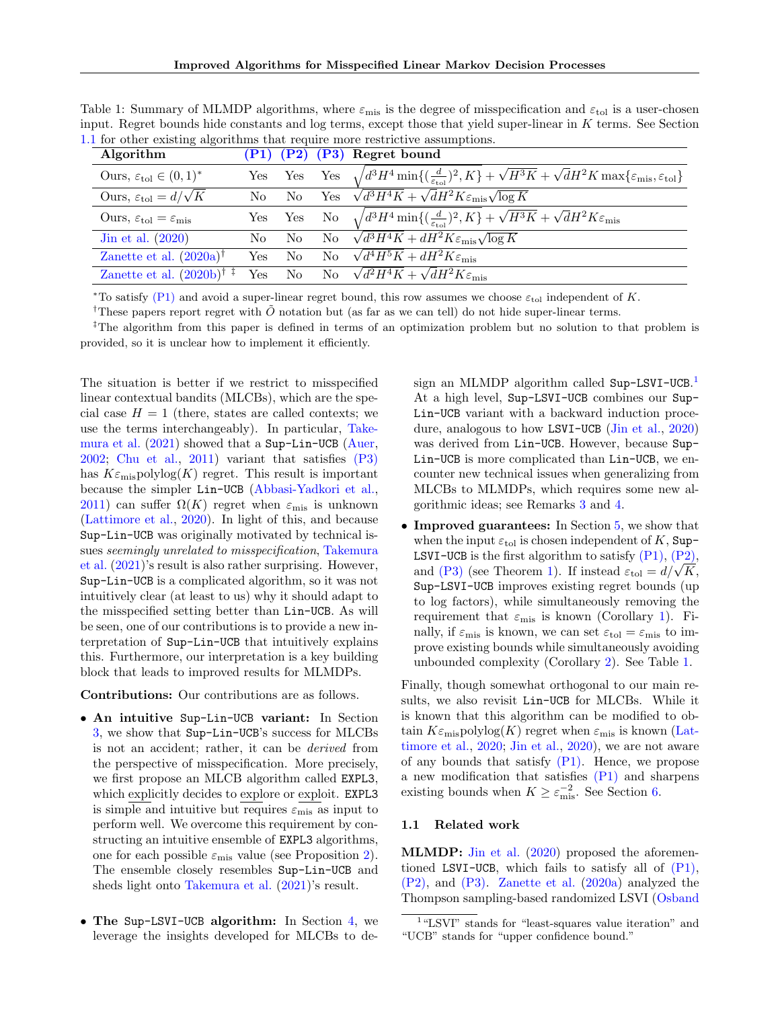| Algorithm                                                   |  | $(P1)$ $(P2)$ $(P3)$ Regret bound                                                                                                                                    |
|-------------------------------------------------------------|--|----------------------------------------------------------------------------------------------------------------------------------------------------------------------|
| Ours, $\varepsilon_{\text{tol}} \in (0,1)^*$                |  | Yes Yes $\chi$ Yes $\sqrt{d^3H^4\min\{(\frac{d}{\varepsilon_{\text{tol}}})^2,K\}}+\sqrt{H^3K}+\sqrt{d}H^2K\max\{\varepsilon_{\text{mis}},\varepsilon_{\text{tol}}\}$ |
| Ours, $\varepsilon_{\text{tol}} = d/\sqrt{K}$               |  | No No Yes $\sqrt{d^3H^4K} + \sqrt{d}H^2K\varepsilon_{\text{mis}}\sqrt{\log K}$                                                                                       |
| Ours, $\varepsilon_{\text{tol}} = \varepsilon_{\text{mis}}$ |  | Yes Yes No $\sqrt{d^3H^4\min\{(\frac{d}{\varepsilon_{\text{tol}}})^2,K\}}+\sqrt{H^3K}+\sqrt{d}H^2K\varepsilon_{\text{mis}}$                                          |
| Jin et al. $(2020)$                                         |  | No No No $\sqrt{d^3H^4K} + dH^2K\varepsilon_{\text{mis}}\sqrt{\log K}$                                                                                               |
| Zanette et al. $(2020a)^{\dagger}$                          |  | Yes No No $\sqrt{d^4H^5K} + dH^2K\epsilon_{\text{mis}}$                                                                                                              |
|                                                             |  | Zanette et al. $(2020b)^{\dagger}$ <sup><math>\ddagger</math></sup> Yes No No $\sqrt{d^2H^4K} + \sqrt{d}H^2K\varepsilon_{\rm mis}$                                   |

<span id="page-1-2"></span>Table 1: Summary of MLMDP algorithms, where  $\varepsilon_{\rm mis}$  is the degree of misspecification and  $\varepsilon_{\rm tol}$  is a user-chosen input. Regret bounds hide constants and log terms, except those that yield super-linear in  $K$  terms. See Section [1.1](#page-1-0) for other existing algorithms that require more restrictive assumptions.

\*To satisfy [\(P1\)](#page-0-0) and avoid a super-linear regret bound, this row assumes we choose  $\varepsilon_{tol}$  independent of K.

<sup>†</sup>These papers report regret with O notation but (as far as we can tell) do not hide super-linear terms.

‡The algorithm from this paper is defined in terms of an optimization problem but no solution to that problem is provided, so it is unclear how to implement it efficiently.

The situation is better if we restrict to misspecified linear contextual bandits (MLCBs), which are the special case  $H = 1$  (there, states are called contexts; we use the terms interchangeably). In particular, [Take](#page-9-1)[mura et al.](#page-9-1) [\(2021\)](#page-9-1) showed that a Sup-Lin-UCB [\(Auer,](#page-8-0) [2002;](#page-8-0) [Chu et al.,](#page-8-1) [2011\)](#page-8-1) variant that satisfies [\(P3\)](#page-0-2) has  $K \varepsilon_{\text{mis}}$  polylog(K) regret. This result is important because the simpler Lin-UCB [\(Abbasi-Yadkori et al.,](#page-8-2) [2011\)](#page-8-2) can suffer  $\Omega(K)$  regret when  $\varepsilon_{\text{mis}}$  is unknown [\(Lattimore et al.,](#page-9-4) [2020\)](#page-9-4). In light of this, and because Sup-Lin-UCB was originally motivated by technical issues seemingly unrelated to misspecification, [Takemura](#page-9-1) [et al.](#page-9-1) [\(2021\)](#page-9-1)'s result is also rather surprising. However, Sup-Lin-UCB is a complicated algorithm, so it was not intuitively clear (at least to us) why it should adapt to the misspecified setting better than Lin-UCB. As will be seen, one of our contributions is to provide a new interpretation of Sup-Lin-UCB that intuitively explains this. Furthermore, our interpretation is a key building block that leads to improved results for MLMDPs.

Contributions: Our contributions are as follows.

- An intuitive Sup-Lin-UCB variant: In Section [3,](#page-3-2) we show that Sup-Lin-UCB's success for MLCBs is not an accident; rather, it can be derived from the perspective of misspecification. More precisely, we first propose an MLCB algorithm called EXPL3, which explicitly decides to explore or exploit. EXPL3 is simple and intuitive but requires  $\varepsilon_{\text{mis}}$  as input to perform well. We overcome this requirement by constructing an intuitive ensemble of EXPL3 algorithms, one for each possible  $\varepsilon_{\text{mis}}$  value (see Proposition [2\)](#page-4-0). The ensemble closely resembles Sup-Lin-UCB and sheds light onto [Takemura et al.](#page-9-1) [\(2021\)](#page-9-1)'s result.
- The Sup-LSVI-UCB algorithm: In Section [4,](#page-4-1) we [leverage the insights developed for MLCBs to de-](#page-9-5)

sign an MLMDP algorithm called Sup-LSVI-UCB.<sup>[1](#page-1-1)</sup> At a high level, Sup-LSVI-UCB combines our Sup-Lin-UCB variant with a backward induction procedure, analogous to how LSVI-UCB [\(Jin et al.,](#page-9-0) [2020\)](#page-9-0) was derived from Lin-UCB. However, because Sup-Lin-UCB is more complicated than Lin-UCB, we encounter new technical issues when generalizing from MLCBs to MLMDPs, which requires some new algorithmic ideas; see Remarks [3](#page-5-0) and [4.](#page-5-1)

• Improved guarantees: In Section [5,](#page-6-0) we show that when the input  $\varepsilon_{\text{tol}}$  is chosen independent of K, Sup-LSVI-UCB is the first algorithm to satisfy  $(P1)$ ,  $(P2)$ , **LSVI**-0CB is the first algorithm to satisfy  $(1)$  $(1)$ ,  $(2)$ , and  $(P3)$  (see Theorem 1). If instead  $\varepsilon_{\text{tol}} = d/\sqrt{K}$ , Sup-LSVI-UCB improves existing regret bounds (up to log factors), while simultaneously removing the requirement that  $\varepsilon_{\text{mis}}$  is known (Corollary [1\)](#page-6-2). Finally, if  $\varepsilon_{\text{mis}}$  is known, we can set  $\varepsilon_{\text{tol}} = \varepsilon_{\text{mis}}$  to improve existing bounds while simultaneously avoiding unbounded complexity (Corollary [2\)](#page-6-3). See Table [1.](#page-1-2)

Finally, though somewhat orthogonal to our main results, we also revisit Lin-UCB for MLCBs. While it is known that this algorithm can be modified to obtain  $K \varepsilon_{\text{mis}}$  polylog(K) regret when  $\varepsilon_{\text{mis}}$  is known [\(Lat](#page-9-4)[timore et al.,](#page-9-4) [2020;](#page-9-4) [Jin et al.,](#page-9-0) [2020\)](#page-9-0), we are not aware of any bounds that satisfy [\(P1\).](#page-0-0) Hence, we propose a new modification that satisfies  $(P1)$  and sharpens existing bounds when  $K \geq \varepsilon_{\text{mis}}^{-2}$ . See Section [6.](#page-7-0)

### <span id="page-1-0"></span>1.1 Related work

MLMDP: [Jin et al.](#page-9-0) [\(2020\)](#page-9-0) proposed the aforementioned LSVI-UCB, which fails to satisfy all of [\(P1\),](#page-0-0) [\(P2\),](#page-0-1) and [\(P3\).](#page-0-2) [Zanette et al.](#page-9-2) [\(2020a\)](#page-9-2) analyzed the Thompson sampling-based randomized LSVI [\(Osband](#page-9-5)

<span id="page-1-1"></span><sup>&</sup>lt;sup>1</sup>["LSVI" stands for "least-squares value iteration" and](#page-9-5) ["UCB" stands for "upper confidence bound."](#page-9-5)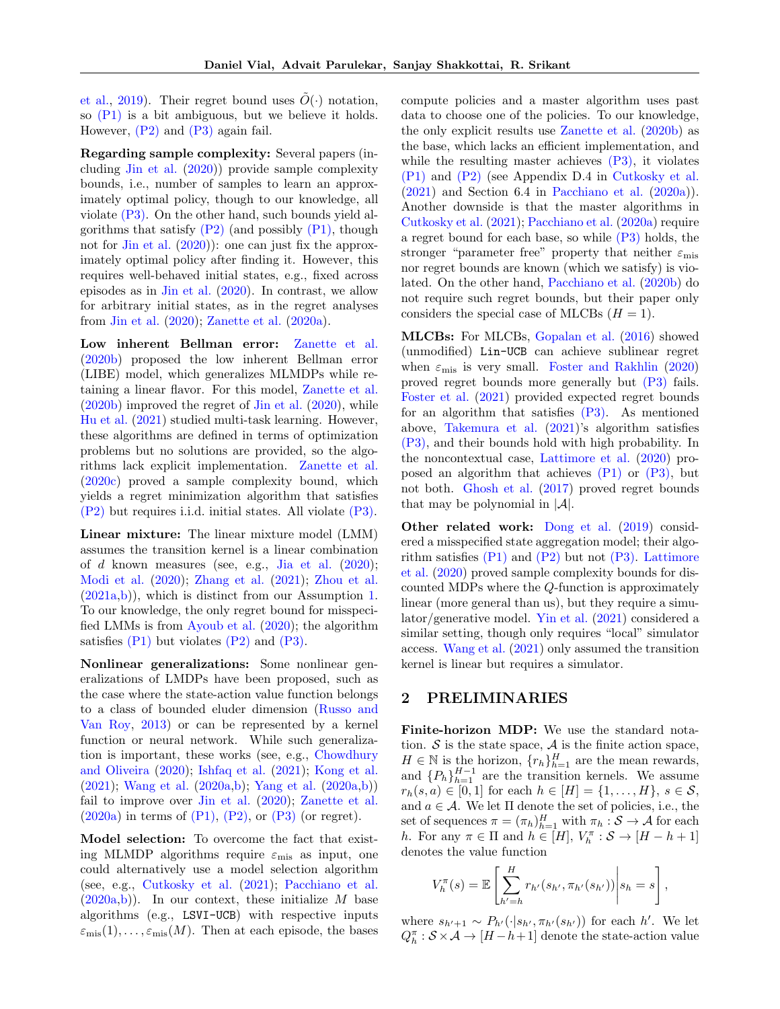[et al.,](#page-9-5) [2019\)](#page-9-5). Their regret bound uses  $\tilde{O}(\cdot)$  notation, so  $(P1)$  is a bit ambiguous, but we believe it holds. However, [\(P2\)](#page-0-1) and [\(P3\)](#page-0-2) again fail.

Regarding sample complexity: Several papers (including [Jin et al.](#page-9-0) [\(2020\)](#page-9-0)) provide sample complexity bounds, i.e., number of samples to learn an approximately optimal policy, though to our knowledge, all violate [\(P3\).](#page-0-2) On the other hand, such bounds yield algorithms that satisfy  $(P2)$  (and possibly  $(P1)$ , though not for [Jin et al.](#page-9-0)  $(2020)$ : one can just fix the approximately optimal policy after finding it. However, this requires well-behaved initial states, e.g., fixed across episodes as in [Jin et al.](#page-9-0) [\(2020\)](#page-9-0). In contrast, we allow for arbitrary initial states, as in the regret analyses from [Jin et al.](#page-9-0) [\(2020\)](#page-9-0); [Zanette et al.](#page-9-2) [\(2020a\)](#page-9-2).

Low inherent Bellman error: [Zanette et al.](#page-9-3) [\(2020b\)](#page-9-3) proposed the low inherent Bellman error (LIBE) model, which generalizes MLMDPs while retaining a linear flavor. For this model, [Zanette et al.](#page-9-3) [\(2020b\)](#page-9-3) improved the regret of [Jin et al.](#page-9-0) [\(2020\)](#page-9-0), while [Hu et al.](#page-9-6) [\(2021\)](#page-9-6) studied multi-task learning. However, these algorithms are defined in terms of optimization problems but no solutions are provided, so the algorithms lack explicit implementation. [Zanette et al.](#page-10-0) [\(2020c\)](#page-10-0) proved a sample complexity bound, which yields a regret minimization algorithm that satisfies [\(P2\)](#page-0-1) but requires i.i.d. initial states. All violate [\(P3\).](#page-0-2)

Linear mixture: The linear mixture model (LMM) assumes the transition kernel is a linear combination of d known measures (see, e.g., [Jia et al.](#page-9-7)  $(2020)$ ; [Modi et al.](#page-9-8) [\(2020\)](#page-9-8); [Zhang et al.](#page-10-1) [\(2021\)](#page-10-1); [Zhou et al.](#page-10-2)  $(2021a,b)$  $(2021a,b)$ , which is distinct from our Assumption [1.](#page-3-0) To our knowledge, the only regret bound for misspecified LMMs is from [Ayoub et al.](#page-8-3) [\(2020\)](#page-8-3); the algorithm satisfies  $(P1)$  but violates  $(P2)$  and  $(P3)$ .

Nonlinear generalizations: Some nonlinear generalizations of LMDPs have been proposed, such as the case where the state-action value function belongs to a class of bounded eluder dimension [\(Russo and](#page-9-9) [Van Roy,](#page-9-9) [2013\)](#page-9-9) or can be represented by a kernel function or neural network. While such generalization is important, these works (see, e.g., [Chowdhury](#page-8-4) [and Oliveira](#page-8-4) [\(2020\)](#page-8-4); [Ishfaq et al.](#page-9-10) [\(2021\)](#page-9-10); [Kong et al.](#page-9-11) [\(2021\)](#page-9-11); [Wang et al.](#page-9-12) [\(2020a,](#page-9-12)[b\)](#page-9-13); [Yang et al.](#page-9-14) [\(2020a,](#page-9-14)[b\)](#page-9-15)) fail to improve over [Jin et al.](#page-9-0) [\(2020\)](#page-9-0); [Zanette et al.](#page-9-2)  $(2020a)$  in terms of  $(P1)$ ,  $(P2)$ , or  $(P3)$  (or regret).

Model selection: To overcome the fact that existing MLMDP algorithms require  $\varepsilon_{\text{mis}}$  as input, one could alternatively use a model selection algorithm (see, e.g., [Cutkosky et al.](#page-8-5) [\(2021\)](#page-8-5); [Pacchiano et al.](#page-9-16)  $(2020a,b)$  $(2020a,b)$ ). In our context, these initialize M base algorithms (e.g., LSVI-UCB) with respective inputs  $\varepsilon_{\text{mis}}(1), \ldots, \varepsilon_{\text{mis}}(M)$ . Then at each episode, the bases compute policies and a master algorithm uses past data to choose one of the policies. To our knowledge, the only explicit results use [Zanette et al.](#page-9-3) [\(2020b\)](#page-9-3) as the base, which lacks an efficient implementation, and while the resulting master achieves [\(P3\),](#page-0-2) it violates [\(P1\)](#page-0-0) and [\(P2\)](#page-0-1) (see Appendix D.4 in [Cutkosky et al.](#page-8-5)  $(2021)$  and Section 6.4 in [Pacchiano et al.](#page-9-16)  $(2020a)$ ). Another downside is that the master algorithms in [Cutkosky et al.](#page-8-5) [\(2021\)](#page-8-5); [Pacchiano et al.](#page-9-16) [\(2020a\)](#page-9-16) require a regret bound for each base, so while [\(P3\)](#page-0-2) holds, the stronger "parameter free" property that neither  $\varepsilon_{\text{mis}}$ nor regret bounds are known (which we satisfy) is violated. On the other hand, [Pacchiano et al.](#page-9-17) [\(2020b\)](#page-9-17) do not require such regret bounds, but their paper only considers the special case of MLCBs  $(H = 1)$ .

MLCBs: For MLCBs, [Gopalan et al.](#page-9-18) [\(2016\)](#page-9-18) showed (unmodified) Lin-UCB can achieve sublinear regret when  $\varepsilon_{\text{mis}}$  is very small. [Foster and Rakhlin](#page-8-6) [\(2020\)](#page-8-6) proved regret bounds more generally but [\(P3\)](#page-0-2) fails. [Foster et al.](#page-8-7) [\(2021\)](#page-8-7) provided expected regret bounds for an algorithm that satisfies [\(P3\).](#page-0-2) As mentioned above, [Takemura et al.](#page-9-1) [\(2021\)](#page-9-1)'s algorithm satisfies [\(P3\),](#page-0-2) and their bounds hold with high probability. In the noncontextual case, [Lattimore et al.](#page-9-4) [\(2020\)](#page-9-4) proposed an algorithm that achieves  $(P1)$  or  $(P3)$ , but not both. [Ghosh et al.](#page-9-19) [\(2017\)](#page-9-19) proved regret bounds that may be polynomial in  $|\mathcal{A}|$ .

Other related work: [Dong et al.](#page-8-8) [\(2019\)](#page-8-8) considered a misspecified state aggregation model; their algorithm satisfies  $(P1)$  and  $(P2)$  but not  $(P3)$ . [Lattimore](#page-9-4) [et al.](#page-9-4) [\(2020\)](#page-9-4) proved sample complexity bounds for discounted MDPs where the Q-function is approximately linear (more general than us), but they require a simulator/generative model. [Yin et al.](#page-9-20) [\(2021\)](#page-9-20) considered a similar setting, though only requires "local" simulator access. [Wang et al.](#page-9-21) [\(2021\)](#page-9-21) only assumed the transition kernel is linear but requires a simulator.

### <span id="page-2-0"></span>2 PRELIMINARIES

Finite-horizon MDP: We use the standard notation.  $S$  is the state space,  $A$  is the finite action space,  $H \in \mathbb{N}$  is the horizon,  $\{r_h\}_{h=1}^H$  are the mean rewards, and  ${P_h}_{h=1}^{H-1}$  are the transition kernels. We assume  $r_h(s, a) \in [0, 1]$  for each  $h \in [H] = \{1, \ldots, H\}, s \in \mathcal{S},$ and  $a \in \mathcal{A}$ . We let  $\Pi$  denote the set of policies, i.e., the set of sequences  $\pi = (\pi_h)_{h=1}^H$  with  $\pi_h : \mathcal{S} \to \mathcal{A}$  for each h. For any  $\pi \in \Pi$  and  $h \in [H]$ ,  $V_h^{\pi} : \mathcal{S} \to [H - h + 1]$ denotes the value function

$$
V_h^{\pi}(s) = \mathbb{E}\left[\sum_{h'=h}^H r_{h'}(s_{h'}, \pi_{h'}(s_{h'}))\middle| s_h = s\right],
$$

where  $s_{h'+1} \sim P_{h'}(\cdot | s_{h'}, \pi_{h'}(s_{h'}))$  for each h'. We let  $Q_h^{\pi}: \mathcal{S} \times \mathcal{A} \rightarrow [H-h+1]$  denote the state-action value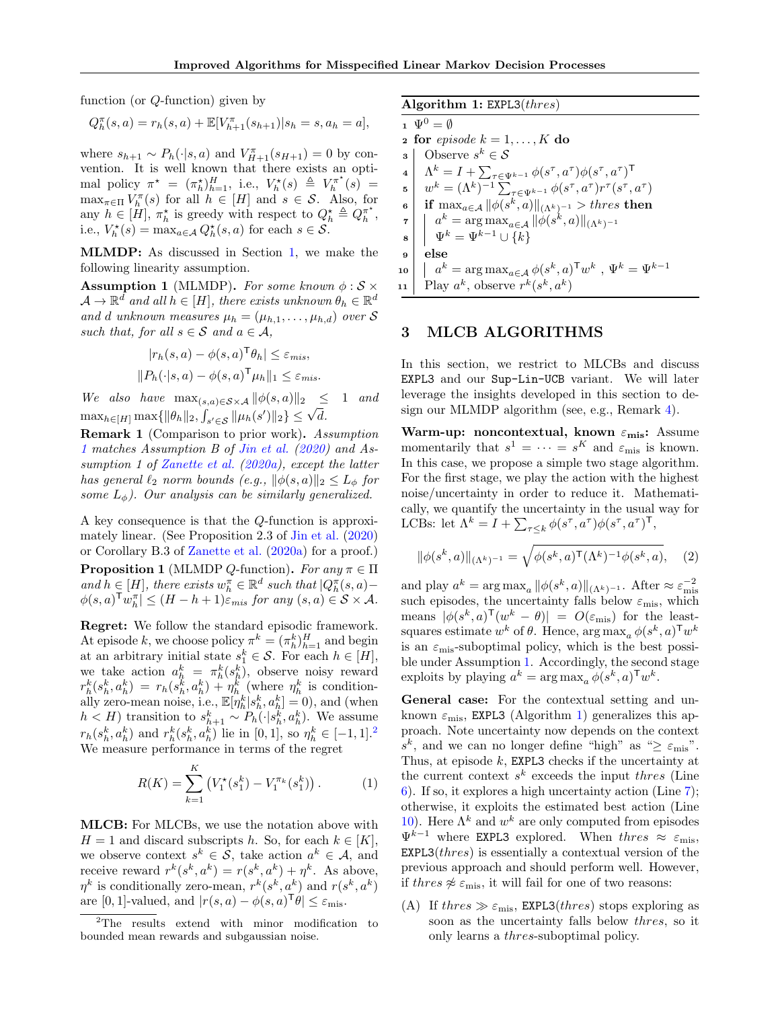function (or Q-function) given by

$$
Q_h^{\pi}(s, a) = r_h(s, a) + \mathbb{E}[V_{h+1}^{\pi}(s_{h+1})|s_h = s, a_h = a],
$$

where  $s_{h+1} \sim P_h(\cdot | s, a)$  and  $V_{H+1}^{\pi}(s_{H+1}) = 0$  by convention. It is well known that there exists an optimal policy  $\pi^* = (\pi_h^*)_{h=1}^H$ , i.e.,  $V_h^*(s) \triangleq V_h^{\pi^*}(s) =$  $\max_{\pi \in \Pi} V_h^{\pi}(s)$  for all  $h \in [H]$  and  $s \in \mathcal{S}$ . Also, for any  $h \in [H]$ ,  $\pi_h^*$  is greedy with respect to  $Q_h^* \triangleq Q_h^{\pi^*}$ , i.e.,  $V_h^*(s) = \max_{a \in \mathcal{A}} Q_h^*(s, a)$  for each  $s \in \mathcal{S}$ .

MLMDP: As discussed in Section [1,](#page-0-3) we make the following linearity assumption.

<span id="page-3-0"></span>**Assumption 1** (MLMDP). For some known  $\phi : \mathcal{S} \times$  $\mathcal{A} \to \mathbb{R}^d$  and all  $h \in [H]$ , there exists unknown  $\theta_h \in \mathbb{R}^d$ and d unknown measures  $\mu_h = (\mu_{h,1}, \dots, \mu_{h,d})$  over S such that, for all  $s \in \mathcal{S}$  and  $a \in \mathcal{A}$ ,

$$
|r_h(s, a) - \phi(s, a)^{\mathsf{T}} \theta_h| \le \varepsilon_{mis},
$$
  

$$
||P_h(\cdot|s, a) - \phi(s, a)^{\mathsf{T}} \mu_h||_1 \le \varepsilon_{mis}.
$$

We also have  $\max_{(s,a)\in\mathcal{S}\times\mathcal{A}} \|\phi(s, a)\|_2 \leq 1$  and *we also have*  $\max_{(s,a) \in S \times A} ||\varphi(s,a)||_2 \le$ <br> $\max_{h \in [H]} \max{||\theta_h||_2, \int_{s' \in S} ||\mu_h(s')||_2} \leq \sqrt{d}.$ 

Remark 1 (Comparison to prior work). Assumption [1](#page-3-0) matches Assumption B of [Jin et al.](#page-9-0) [\(2020\)](#page-9-0) and Assumption 1 of [Zanette et al.](#page-9-2) [\(2020a\)](#page-9-2), except the latter has general  $\ell_2$  norm bounds (e.g.,  $\|\phi(s, a)\|_2 \leq L_\phi$  for some  $L_{\phi}$ ). Our analysis can be similarly generalized.

<span id="page-3-9"></span>A key consequence is that the Q-function is approximately linear. (See Proposition 2.3 of [Jin et al.](#page-9-0) [\(2020\)](#page-9-0) or Corollary B.3 of [Zanette et al.](#page-9-2) [\(2020a\)](#page-9-2) for a proof.) **Proposition 1** (MLMDP Q-function). For any  $\pi \in \Pi$ and  $h \in [H]$ , there exists  $w_h^{\pi} \in \mathbb{R}^d$  such that  $|Q_h^{\pi}(s, a) \phi(s,a)^\mathsf{T} w_h^{\pi} \le (H-h+1)\varepsilon_{mis}$  for any  $(s,a) \in \mathcal{S} \times \mathcal{A}$ .

Regret: We follow the standard episodic framework. At episode k, we choose policy  $\pi^k = (\pi_h^k)_{h=1}^H$  and begin at an arbitrary initial state  $s_1^k \in \mathcal{S}$ . For each  $h \in [H]$ , we take action  $a_h^k = \pi_h^k(s_h^k)$ , observe noisy reward  $r_h^k(s_h^k, a_h^k) = r_h(s_h^k, a_h^k) + \eta_h^k$  (where  $\eta_h^k$  is conditionally zero-mean noise, i.e.,  $\mathbb{E}[\eta_h^k|s_h^k, a_h^k] = 0$ ), and (when  $h < H$ ) transition to  $s_{h+1}^k \sim P_h(\cdot | s_h^k, a_h^k)$ . We assume  $r_h(s_h^k, a_h^k)$  and  $r_h^k(s_h^k, a_h^k)$  lie in [0, 1], so  $\eta_h^k \in [-1, 1]$ .<sup>[2](#page-3-3)</sup> We measure performance in terms of the regret

$$
R(K) = \sum_{k=1}^{K} \left( V_1^*(s_1^k) - V_1^{\pi_k}(s_1^k) \right). \tag{1}
$$

MLCB: For MLCBs, we use the notation above with  $H = 1$  and discard subscripts h. So, for each  $k \in [K]$ , we observe context  $s^k \in \mathcal{S}$ , take action  $a^k \in \mathcal{A}$ , and receive reward  $r^k(s^k, a^k) = r(s^k, a^k) + \eta^k$ . As above,  $\eta^k$  is conditionally zero-mean,  $r^k(s^k, a^k)$  and  $r(s^k, a^k)$ are [0, 1]-valued, and  $|r(s, a) - \phi(s, a)^\mathsf{T} \theta| \leq \varepsilon_{\text{mis}}$ .

Algorithm 1: EXPL3(thres)

<span id="page-3-6"></span><span id="page-3-5"></span> $_1 \Psi^0 = \emptyset$ 2 for episode  $k = 1, ..., K$  do **3** Observe  $s^k \in \mathcal{S}$  $A \left| \right. \ \Lambda^{k} = I + \sum_{\tau \in \Psi^{k-1}} \phi(s^{\tau}, a^{\tau}) \phi(s^{\tau}, a^{\tau})^{\mathsf{T}} \right|$  $\mathbf{5} \mid w^k = (\Lambda^k)^{-1} \sum_{\tau \in \Psi^{k-1}} \phi(s^\tau, a^\tau) r^\tau(s^\tau, a^\tau)$ <sup>6</sup> if maxa∈A kφ(s k , a)k(Λk)−<sup>1</sup> > thres then  $\tau \mathbin{\|} \mathbin{\|} a^k = \mathop{\mathrm{arg\,max}}_{a \in \mathcal{A}} \mathbin{\|} \phi(s^k, a) \mathbin{\|}_{(\Lambda^k)^{-1}}$  $\mathbf{B} \parallel \Psi^k = \Psi^{k-1} \cup \{k\}$ <sup>9</sup> else  $\left|\begin{array}{cc}a^k=\arg\max_{a\in\mathcal{A}}\phi(s^k,a)^\mathsf{T} w^k\end{array},\Psi^k=\Psi^{k-1}\right|$ 11 Play  $a^k$ , observe  $r^k(s^k, a^k)$ 

### <span id="page-3-7"></span><span id="page-3-2"></span>3 MLCB ALGORITHMS

<span id="page-3-4"></span>In this section, we restrict to MLCBs and discuss EXPL3 and our Sup-Lin-UCB variant. We will later leverage the insights developed in this section to design our MLMDP algorithm (see, e.g., Remark [4\)](#page-5-1).

Warm-up: noncontextual, known  $\varepsilon_{\text{mis}}$ : Assume momentarily that  $s^1 = \cdots = s^K$  and  $\varepsilon_{\text{mis}}$  is known. In this case, we propose a simple two stage algorithm. For the first stage, we play the action with the highest noise/uncertainty in order to reduce it. Mathematically, we quantify the uncertainty in the usual way for LCBs: let  $\Lambda^k = I + \sum_{\tau \leq k} \phi(s^{\tau}, a^{\tau}) \phi(s^{\tau}, a^{\tau})^{\mathsf{T}},$ 

<span id="page-3-10"></span>
$$
\|\phi(s^k, a)\|_{(\Lambda^k)^{-1}} = \sqrt{\phi(s^k, a)^\mathsf{T}(\Lambda^k)^{-1}\phi(s^k, a)},\quad(2)
$$

and play  $a^k = \arg \max_a ||\phi(s^k, a)||_{(\Lambda^k)^{-1}}$ . After  $\approx \varepsilon_{\text{mis}}^{-2}$ such episodes, the uncertainty falls below  $\varepsilon_{\text{mis}}$ , which means  $|\phi(s^k, a)^\mathsf{T}(w^k - \theta)| = O(\varepsilon_{\text{mis}})$  for the leastsquares estimate  $w^k$  of  $\theta$ . Hence,  $\arg \max_a \phi(s^k, a)^\mathsf{T} w^k$ is an  $\varepsilon_{\rm mis}$ -suboptimal policy, which is the best possible under Assumption [1.](#page-3-0) Accordingly, the second stage exploits by playing  $a^k = \arg \max_a \phi(s^k, a)^\mathsf{T} w^k$ .

<span id="page-3-1"></span>General case: For the contextual setting and unknown  $\varepsilon_{\rm mis}$ , EXPL3 (Algorithm [1\)](#page-3-4) generalizes this approach. Note uncertainty now depends on the context  $s^k$ , and we can no longer define "high" as " $\geq \varepsilon_{\text{mis}}$ ". Thus, at episode  $k$ , **EXPL3** checks if the uncertainty at the current context  $s^k$  exceeds the input thres (Line [6\)](#page-3-5). If so, it explores a high uncertainty action (Line [7\)](#page-3-6); otherwise, it exploits the estimated best action (Line [10\)](#page-3-7). Here  $\Lambda^k$  and  $w^k$  are only computed from episodes  $\Psi^{k-1}$  where EXPL3 explored. When thres  $\approx \varepsilon_{\rm mis}$ ,  $EXPL3(thres)$  is essentially a contextual version of the previous approach and should perform well. However, if thres  $\not\approx \varepsilon_{\rm mis}$ , it will fail for one of two reasons:

<span id="page-3-8"></span>(A) If thres  $\gg \varepsilon_{\rm mis}$ , EXPL3(thres) stops exploring as soon as the uncertainty falls below thres, so it only learns a thres-suboptimal policy.

<span id="page-3-3"></span><sup>2</sup>The results extend with minor modification to bounded mean rewards and subgaussian noise.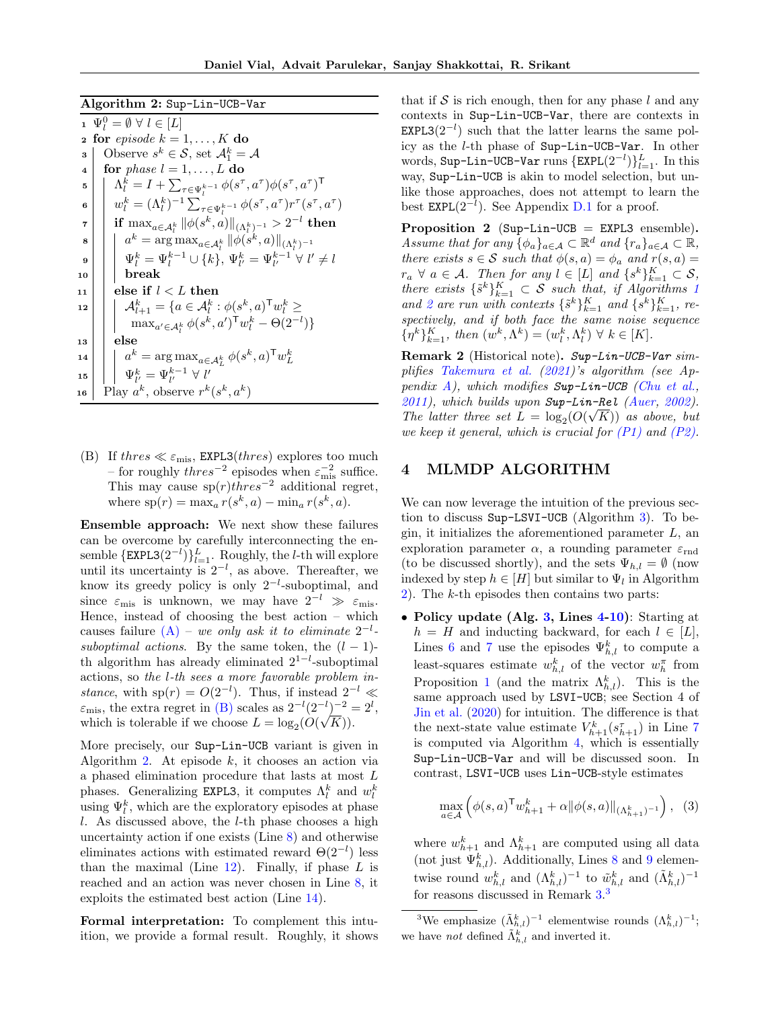Algorithm 2: Sup-Lin-UCB-Var

<span id="page-4-4"></span>

|                         | $\psi_1 \Psi_1^0 = \emptyset \forall l \in [L]$                                                                 |
|-------------------------|-----------------------------------------------------------------------------------------------------------------|
|                         | 2 for <i>episode</i> $k = 1, , K$ do                                                                            |
| 3                       | Observe $s^k \in \mathcal{S}$ , set $\mathcal{A}_1^k = \mathcal{A}$                                             |
| $\overline{\mathbf{4}}$ | for phase $l = 1, \ldots, L$ do                                                                                 |
| 5                       | $\Lambda_l^k = I + \sum_{\tau \in \Psi_l^{k-1}} \phi(s^\tau, a^\tau) \phi(s^\tau, a^\tau)$                      |
| 6                       | $w_l^k = (\Lambda_l^k)^{-1} \sum_{\tau \in \Psi_l^{k-1}} \phi(s^{\tau}, a^{\tau}) r^{\tau}(s^{\tau}, a^{\tau})$ |
| 7                       | if $\max_{a \in A_r^k} \ \phi(s^k, a)\ _{(A_r^k)^{-1}} > 2^{-l}$ then                                           |
| 8                       | $a^k = \arg \max_{a \in \mathcal{A}_i^k}   \phi(s^k, a)  _{(\Lambda_i^k)^{-1}}$                                 |
| 9                       | $\Psi_l^k = \Psi_l^{k-1} \cup \{k\}, \Psi_{l'}^k = \Psi_{l'}^{k-1} \ \forall \ l' \neq l$                       |
| 10                      | break                                                                                                           |
| 11                      | else if $l < L$ then                                                                                            |
| 12                      | $\mathcal{A}_{l+1}^k = \{a \in \mathcal{A}_l^k : \phi(s^k, a)^\mathsf{T} w_l^k \geq$                            |
|                         | $\max_{a' \in \mathcal{A}_{i}^{k}} \phi(s^{k}, a')^{\mathsf{T}} w_{l}^{k} - \Theta(2^{-l})\}$                   |
| 13                      | else                                                                                                            |
| 14                      | $a^k = \arg \max_{a \in \mathcal{A}^k_\tau} \phi(s^k, a)^\mathsf{T} w_L^k$                                      |
| 15                      | $\Psi_{l'}^{k} = \Psi_{l'}^{k-1} \ \forall \ l'$                                                                |
| 16                      | Play $a^k$ , observe $r^k(s^k, a^k)$                                                                            |

<span id="page-4-6"></span><span id="page-4-5"></span><span id="page-4-2"></span>(B) If thres  $\ll \varepsilon_{\rm mis}$ , EXPL3(thres) explores too much − for roughly  $thres^{-2}$  episodes when  $\varepsilon_{\rm mis}^{-2}$  suffice. This may cause sp( $r$ )thres<sup>-2</sup> additional regret, where  $sp(r) = \max_a r(s^k, a) - \min_a r(s^k, a)$ .

Ensemble approach: We next show these failures can be overcome by carefully interconnecting the ensemble  $\{EXPL3(2^{-l})\}_{l=1}^L$ . Roughly, the *l*-th will explore until its uncertainty is  $2^{-l}$ , as above. Thereafter, we know its greedy policy is only  $2^{-l}$ -suboptimal, and since  $\varepsilon_{\text{mis}}$  is unknown, we may have  $2^{-l} \gg \varepsilon_{\text{mis}}$ . Hence, instead of choosing the best action – which causes failure  $(A)$  – we only ask it to eliminate  $2^{-l}$ suboptimal actions. By the same token, the  $(l-1)$ th algorithm has already eliminated  $2^{1-l}$ -suboptimal actions, so the l-th sees a more favorable problem instance, with sp(r) =  $O(2^{-l})$ . Thus, if instead  $2^{-l} \ll$  $\varepsilon_{\text{mis}}$ , the extra regret in [\(B\)](#page-4-2) scales as  $2^{-l}(2^{-l})^{-2} = 2^l$ , which is tolerable if we choose  $L = \log_2(O(\sqrt{K}))$ .

More precisely, our Sup-Lin-UCB variant is given in Algorithm [2.](#page-4-3) At episode  $k$ , it chooses an action via a phased elimination procedure that lasts at most L phases. Generalizing EXPL3, it computes  $\Lambda_l^k$  and  $w_l^k$ using  $\Psi_l^k$ , which are the exploratory episodes at phase  $l$ . As discussed above, the  $l$ -th phase chooses a high uncertainty action if one exists (Line  $\delta$ ) and otherwise eliminates actions with estimated reward  $\Theta(2^{-l})$  less than the maximal (Line  $12$ ). Finally, if phase  $L$  is reached and an action was never chosen in Line [8,](#page-4-4) it exploits the estimated best action (Line [14\)](#page-4-6).

<span id="page-4-3"></span>Formal interpretation: To complement this intuition, we provide a formal result. Roughly, it shows that if  $S$  is rich enough, then for any phase l and any contexts in Sup-Lin-UCB-Var, there are contexts in  $EXPL3(2^{-l})$  such that the latter learns the same policy as the l-th phase of Sup-Lin-UCB-Var. In other words, Sup-Lin-UCB-Var runs  $\{{\tt EXPL}(2^{-l})\}_{l=1}^L.$  In this way, Sup-Lin-UCB is akin to model selection, but unlike those approaches, does not attempt to learn the best  $\texttt{EXPL}(2^{-l})$ . See Appendix [D.1](#page-22-0) for a proof.

<span id="page-4-0"></span>Proposition 2 (Sup-Lin-UCB = EXPL3 ensemble). Assume that for any  $\{\phi_a\}_{a\in\mathcal{A}} \subset \mathbb{R}^d$  and  $\{r_a\}_{a\in\mathcal{A}} \subset \mathbb{R}$ , there exists  $s \in S$  such that  $\phi(s, a) = \phi_a$  and  $r(s, a)$  $r_a \ \forall \ a \in \mathcal{A}.$  Then for any  $l \in [L]$  and  $\{s^k\}_{k=1}^K \subset \mathcal{S},$ there exists  $\{\tilde{s}^k\}_{k=1}^K \subset \mathcal{S}$  $\{\tilde{s}^k\}_{k=1}^K \subset \mathcal{S}$  $\{\tilde{s}^k\}_{k=1}^K \subset \mathcal{S}$  such that, if Algorithms 1 and [2](#page-4-3) are run with contexts  $\{\tilde{s}^k\}_{k=1}^K$  and  $\{s^k\}_{k=1}^K$ , respectively, and if both face the same noise sequence  $\{\eta^k\}_{k=1}^K$ , then  $(w^k, \Lambda^k) = (w^k_l, \Lambda^k_l) \ \forall \ k \in [K]$ .

Remark 2 (Historical note). Sup-Lin-UCB-Var simplifies [Takemura et al.](#page-9-1) [\(2021\)](#page-9-1)'s algorithm (see Ap-pendix [A\)](#page-11-0), which modifies  $\textit{Sup-Lin-UCB}$  [\(Chu et al.,](#page-8-1)  $(2011)$  $(2011)$ , which builds upon  $Sup-Lin-Rel$  [\(Auer,](#page-8-0) [2002\)](#page-8-0). The latter three set  $L = \log_2(O(\sqrt{K}))$  as above, but we keep it general, which is crucial for  $(P1)$  and  $(P2)$ .

# <span id="page-4-1"></span>4 MLMDP ALGORITHM

We can now leverage the intuition of the previous section to discuss Sup-LSVI-UCB (Algorithm [3\)](#page-5-2). To begin, it initializes the aforementioned parameter  $L$ , and exploration parameter  $\alpha$ , a rounding parameter  $\varepsilon_{\text{rnd}}$ (to be discussed shortly), and the sets  $\Psi_{h,l} = \emptyset$  (now indexed by step  $h \in [H]$  but similar to  $\Psi_l$  in Algorithm [2\)](#page-4-3). The k-th episodes then contains two parts:

• Policy update (Alg. [3,](#page-5-2) Lines [4-](#page-5-3)[10\)](#page-5-4): Starting at  $h = H$  and inducting backward, for each  $l \in [L]$ , Lines [6](#page-5-5) and [7](#page-5-6) use the episodes  $\Psi_{h,l}^k$  to compute a least-squares estimate  $w_{h,l}^k$  of the vector  $w_h^{\pi}$  from Proposition [1](#page-3-9) (and the matrix  $\Lambda_{h,l}^k$ ). This is the same approach used by LSVI-UCB; see Section 4 of [Jin et al.](#page-9-0) [\(2020\)](#page-9-0) for intuition. The difference is that the next-state value estimate  $V_{h+1}^k(s_{h+1}^{\tau})$  in Line [7](#page-5-6) is computed via Algorithm [4,](#page-5-2) which is essentially Sup-Lin-UCB-Var and will be discussed soon. In contrast, LSVI-UCB uses Lin-UCB-style estimates

<span id="page-4-8"></span>
$$
\max_{a \in \mathcal{A}} \left( \phi(s, a)^{\mathsf{T}} w_{h+1}^k + \alpha \|\phi(s, a)\|_{(\Lambda_{h+1}^k)^{-1}} \right), \tag{3}
$$

where  $w_{h+1}^k$  and  $\Lambda_{h+1}^k$  are computed using all data (not just  $\Psi_{h,l}^k$ ). Additionally, Lines [8](#page-5-7) and [9](#page-5-8) elementwise round  $w_{h,l}^k$  and  $(\Lambda_{h,l}^k)^{-1}$  to  $\tilde{w}_{h,l}^k$  and  $(\tilde{\Lambda}_{h,l}^k)^{-1}$ for reasons discussed in Remark  $3<sup>3</sup>$  $3<sup>3</sup>$ 

<span id="page-4-7"></span><sup>&</sup>lt;sup>3</sup>We emphasize  $(\tilde{\Lambda}_{h,l}^k)^{-1}$  elementwise rounds  $(\Lambda_{h,l}^k)^{-1}$ ; we have *not* defined  $\tilde{\Lambda}_{h,l}^k$  and inverted it.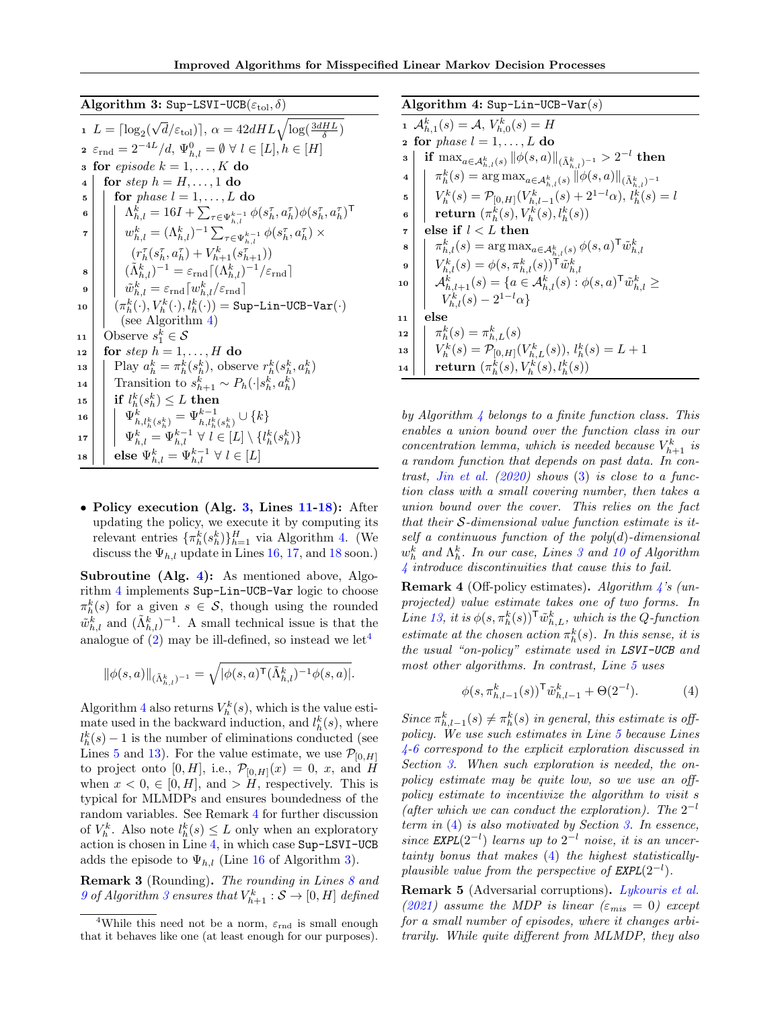<span id="page-5-8"></span><span id="page-5-7"></span><span id="page-5-6"></span><span id="page-5-5"></span><span id="page-5-4"></span><span id="page-5-3"></span>

|                         | Algorithm 3: Sup-LSVI-UCB( $\varepsilon_{\text{tol}}$ , $\delta$ )                                                             |  |  |  |  |  |
|-------------------------|--------------------------------------------------------------------------------------------------------------------------------|--|--|--|--|--|
|                         | $L = \lceil \log_2(\sqrt{d}/\varepsilon_{\text{tol}}) \rceil, \ \alpha = 42dHL\sqrt{\log(\frac{3dHL}{\delta})}$                |  |  |  |  |  |
|                         | $\epsilon_{\rm rad} = 2^{-4L}/d, \Psi_{h,l}^0 = \emptyset \ \forall \ l \in [L], h \in [H]$                                    |  |  |  |  |  |
| 3                       | for <i>episode</i> $k = 1, , K$ do                                                                                             |  |  |  |  |  |
| $\overline{\mathbf{4}}$ | for step $h = H, \ldots, 1$ do                                                                                                 |  |  |  |  |  |
| 5                       | for <i>phase</i> $l = 1, , L$ do                                                                                               |  |  |  |  |  |
| 6                       | $\Lambda_{h,l}^k = 16I + \sum_{\tau \in \Psi_{h,l}^{k-1}} \phi(s_h^{\tau}, a_h^{\tau}) \phi(s_h^{\tau}, a_h^{\tau})^{\top}$    |  |  |  |  |  |
| 7                       | $w_{h,l}^k = (\Lambda_{h,l}^k)^{-1} \sum_{\tau \in \Psi_{h,l}^{k-1}} \phi(s_h^{\tau}, a_h^{\tau}) \times$                      |  |  |  |  |  |
|                         | $(r_h^{\tau}(s_h^{\tau},a_h^{\tau})+V_{h+1}^k(s_{h+1}^{\tau}))$                                                                |  |  |  |  |  |
| 8                       | $(\tilde{\Lambda}_{h.l}^k)^{-1} = \varepsilon_{\rm rnd} \lceil (\Lambda_{h.l}^k)^{-1} / \varepsilon_{\rm rnd} \rceil$          |  |  |  |  |  |
| 9                       | $\left \begin{array}{c} \tilde{w}_{h.l}^k=\varepsilon_{\rm rnd}\lceil w_{h,l}^k/\varepsilon_{\rm rnd}\rceil\end{array}\right $ |  |  |  |  |  |
| 10                      | $(\pi_h^k(\cdot), V_h^k(\cdot), l_h^k(\cdot)) = \text{Sup-Lin-UCB-Var}(\cdot)$                                                 |  |  |  |  |  |
|                         | (see Algorithm 4)                                                                                                              |  |  |  |  |  |
| 11                      | Observe $s_1^k \in \mathcal{S}$                                                                                                |  |  |  |  |  |
| 12                      | for step $h = 1, \ldots, H$ do                                                                                                 |  |  |  |  |  |
| 13                      | Play $a_h^k = \pi_h^k(s_h^k)$ , observe $r_h^k(s_h^k, a_h^k)$                                                                  |  |  |  |  |  |
| 14                      | Transition to $s_{h+1}^k \sim P_h(\cdot   s_h^k, a_h^k)$                                                                       |  |  |  |  |  |
| 15                      | if $l_h^k(s_h^k) \leq L$ then                                                                                                  |  |  |  |  |  |
| 16                      | $\Psi_{h,l_{k}^{k}(s_{k}^{k})}^{k} = \Psi_{h,l_{k}^{k}(s_{k}^{k})}^{k-1} \cup \{k\}$                                           |  |  |  |  |  |
| 17                      | $\left  \begin{array}{c} \Psi^k_{h.l} = \Psi^{k-1}_{h.l} \ \forall \ l \in [L] \setminus \{l^k_h(s^k_h)\} \end{array} \right.$ |  |  |  |  |  |
| 18                      | else $\Psi_{h,l}^k = \Psi_{h.l}^{k-1}$ $\forall l \in [L]$                                                                     |  |  |  |  |  |

<span id="page-5-21"></span><span id="page-5-12"></span><span id="page-5-11"></span><span id="page-5-10"></span><span id="page-5-9"></span>• Policy execution (Alg. [3,](#page-5-2) Lines [11-](#page-5-9)[18\)](#page-5-10): After updating the policy, we execute it by computing its relevant entries  $\{\pi_h^k(s_h^k)\}_{h=1}^H$  via Algorithm [4.](#page-5-2) (We discuss the  $\Psi_{h,l}$  update in Lines [16,](#page-5-11) [17,](#page-5-12) and [18](#page-5-10) soon.)

<span id="page-5-2"></span>Subroutine (Alg. [4\)](#page-5-2): As mentioned above, Algorithm [4](#page-5-2) implements Sup-Lin-UCB-Var logic to choose  $\pi_h^k(s)$  for a given  $s \in \mathcal{S}$ , though using the rounded  $\tilde{w}_{h,l}^{\tilde{k}}$  and  $(\tilde{\Lambda}_{h,l}^{k})^{-1}$ . A small technical issue is that the analogue of  $(2)$  may be ill-defined, so instead we let<sup>[4](#page-5-13)</sup>

$$
\|\phi(s,a)\|_{(\tilde{\Lambda}_{h,l}^k)^{-1}}=\sqrt{|\phi(s,a)^\mathsf{T}(\tilde{\Lambda}_{h,l}^k)^{-1}\phi(s,a)|}.
$$

Algorithm [4](#page-5-2) also returns  $V_h^k(s)$ , which is the value estimate used in the backward induction, and  $l_h^k(s)$ , where  $l_h^k(s) - 1$  is the number of eliminations conducted (see Lines [5](#page-5-14) and [13\)](#page-5-15). For the value estimate, we use  $\mathcal{P}_{[0,H]}$ to project onto [0, H], i.e.,  $\mathcal{P}_{[0,H]}(x) = 0$ , x, and H when  $x < 0, \in [0, H],$  and  $> H$ , respectively. This is typical for MLMDPs and ensures boundedness of the random variables. See Remark [4](#page-5-1) for further discussion of  $V_h^k$ . Also note  $l_h^k(s) \leq L$  only when an exploratory action is chosen in Line [4,](#page-5-16) in which case Sup-LSVI-UCB adds the episode to  $\Psi_{h,l}$  (Line [16](#page-5-11) of Algorithm [3\)](#page-5-2).

<span id="page-5-0"></span>Remark 3 (Rounding). The rounding in Lines [8](#page-5-7) and [9](#page-5-8) of Algorithm [3](#page-5-2) ensures that  $V_{h+1}^k : \mathcal{S} \to [0, H]$  defined

<span id="page-5-19"></span><span id="page-5-17"></span><span id="page-5-16"></span><span id="page-5-14"></span>Algorithm 4: Sup-Lin-UCB-Var $(s)$ 1  $\mathcal{A}^k_{h,1}(s) = \mathcal{A}, V^k_{h,0}(s) = H$ 2 for phase  $l = 1, \ldots, L$  do  $\texttt{s}\ \big\| \ \text{if} \ \max_{a\in\mathcal{A}_{h,l}^k(s)} \| \phi(s,a) \|_{(\tilde{\Lambda}_{h,l}^k)^{-1}} > 2^{-l} \ \text{then}$  $\mathcal{A} \left| \begin{array}{c} \pi_h^k(s) = \argmax_{a \in \mathcal{A}_{h,l}^k(s)} \left\| \phi(s,a) \right\|_{(\tilde{\Lambda}_{h,l}^k)^{-1}} \end{array} \right.$  $5 \mid \; \; \mid \; V_h^k(s) = \mathcal{P}_{[0,H]}(V_{h,l-1}^k(s) + 2^{1-l}\alpha), \, l_h^k(s) = l$  $\mathfrak{s}\ \Big|\ \ \Big\vert\ \ \mathbf{return}\ (\pi_h^k(s),V_h^k(s),l_h^k(s))$  $\tau$  else if  $l < L$  then  $\mathbf{s} \mid \left. \left[ \begin{array}{c} \pi_{h,l}^k(s) = \arg \max_{a \in \mathcal{A}_{h,l}^k(s)} \phi(s,a)^\mathsf{T} \tilde{w}_{h,l}^k \end{array} \right. \right]$  $\mathbf{g} \begin{array}{|c|c|} & {V}_{h,l}^k(s)=\phi(s,\pi_{h,l}^k(s))^{\mathsf{T}}\tilde{w}_{h,l}^k(s), \end{array}$  $\mathtt{no}~\big|\quad \mathcal{A}_{h,l+1}^k(s) = \{a\in \mathcal{A}_{h,l}^k(s): \phi(s,a)^\mathsf{T} \tilde{w}_{h,l}^k \geq 0\}$  $V_{h,l}^{k}(s) - 2^{1-l}\alpha\}$  $11$ 12  $\begin{array}{c|c} \mid & \pi_h^k(s) = \pi_{h,L}^k(s) \end{array}$ 13  $V_h^k(s) = \mathcal{P}_{[0,H]}(V_{h,L}^k(s)), l_h^k(s) = L + 1$  $\mathtt{letum}\ (\pi^k_h(s),V^k_h(s),l^k_h(s))$ 

<span id="page-5-18"></span><span id="page-5-15"></span>by Algorithm [4](#page-5-2) belongs to a finite function class. This enables a union bound over the function class in our concentration lemma, which is needed because  $V_{h+1}^k$  is a random function that depends on past data. In con-trast, [Jin et al.](#page-9-0)  $(2020)$  shows  $(3)$  is close to a function class with a small covering number, then takes a union bound over the cover. This relies on the fact that their S-dimensional value function estimate is itself a continuous function of the  $poly(d)$ -dimensional  $w_h^k$  and  $\Lambda_h^k$ . In our case, Lines [3](#page-5-17) and [10](#page-5-18) of Algorithm  $\frac{1}{4}$  $\frac{1}{4}$  $\frac{1}{4}$  introduce discontinuities that cause this to fail.

<span id="page-5-1"></span>**Remark 4** (Off-policy estimates). Algorithm  $4's$  $4's$  (unprojected) value estimate takes one of two forms. In Line [13,](#page-5-15) it is  $\phi(s, \pi_h^k(s))^\mathsf{T} \tilde{w}_{h,L}^k$ , which is the Q-function estimate at the chosen action  $\pi_h^k(s)$ . In this sense, it is the usual "on-policy" estimate used in LSVI-UCB and most other algorithms. In contrast, Line [5](#page-5-14) uses

<span id="page-5-20"></span>
$$
\phi(s, \pi^k_{h,l-1}(s))^{\mathsf{T}} \tilde{w}^k_{h,l-1} + \Theta(2^{-l}).\tag{4}
$$

Since  $\pi_{h,l-1}^k(s) \neq \pi_h^k(s)$  in general, this estimate is offpolicy. We use such estimates in Line [5](#page-5-14) because Lines [4-](#page-5-16)[6](#page-5-19) correspond to the explicit exploration discussed in Section [3.](#page-3-2) When such exploration is needed, the onpolicy estimate may be quite low, so we use an offpolicy estimate to incentivize the algorithm to visit s (after which we can conduct the exploration). The  $2^{-l}$ term in [\(4\)](#page-5-20) is also motivated by Section [3.](#page-3-2) In essence, since  $\text{EXPL}(2^{-l})$  learns up to  $2^{-l}$  noise, it is an uncertainty bonus that makes [\(4\)](#page-5-20) the highest statisticallyplausible value from the perspective of  $\text{EXPL}(2^{-l})$ .

Remark 5 (Adversarial corruptions). [Lykouris et al.](#page-9-22) [\(2021\)](#page-9-22) assume the MDP is linear  $(\varepsilon_{mis} = 0)$  except for a small number of episodes, where it changes arbitrarily. While quite different from MLMDP, they also

<span id="page-5-13"></span><sup>&</sup>lt;sup>4</sup>While this need not be a norm,  $\varepsilon_{\text{rnd}}$  is small enough that it behaves like one (at least enough for our purposes).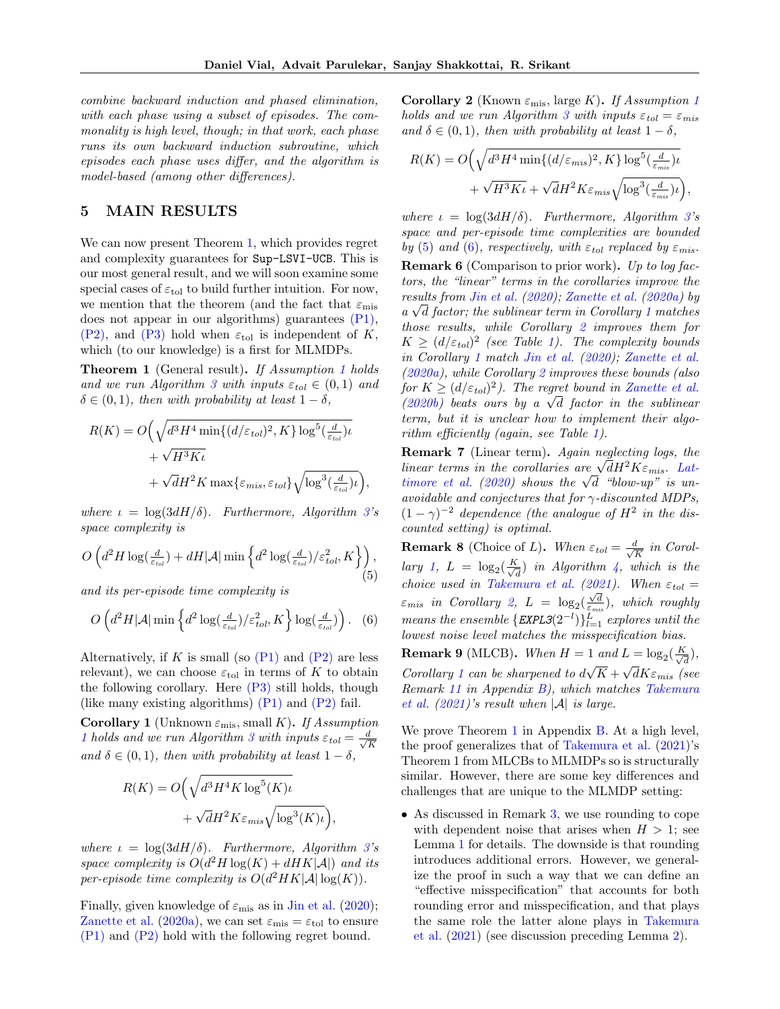combine backward induction and phased elimination, with each phase using a subset of episodes. The commonality is high level, though; in that work, each phase runs its own backward induction subroutine, which episodes each phase uses differ, and the algorithm is model-based (among other differences).

# <span id="page-6-0"></span>5 MAIN RESULTS

We can now present Theorem [1,](#page-6-1) which provides regret and complexity guarantees for Sup-LSVI-UCB. This is our most general result, and we will soon examine some special cases of  $\varepsilon_{\text{tol}}$  to build further intuition. For now, we mention that the theorem (and the fact that  $\varepsilon_{\text{mis}}$ does not appear in our algorithms) guarantees [\(P1\),](#page-0-0) [\(P2\),](#page-0-1) and [\(P3\)](#page-0-2) hold when  $\varepsilon_{\text{tol}}$  is independent of K, which (to our knowledge) is a first for MLMDPs.

<span id="page-6-1"></span>Theorem [1](#page-3-0) (General result). If Assumption 1 holds and we run Algorithm [3](#page-5-2) with inputs  $\varepsilon_{tol} \in (0,1)$  and  $\delta \in (0, 1)$ , then with probability at least  $1 - \delta$ ,

$$
R(K) = O\left(\sqrt{d^3 H^4 \min\{(d/\varepsilon_{tol})^2, K\} \log^5(\frac{d}{\varepsilon_{tol}})\iota} + \sqrt{H^3 K \iota} + \sqrt{d}H^2 K \max\{\varepsilon_{mis}, \varepsilon_{tol}\} \sqrt{\log^3(\frac{d}{\varepsilon_{tol}})\iota}\right),
$$

where  $\iota = \log(3dH/\delta)$ . Furthermore, Algorithm [3'](#page-5-2)s space complexity is

$$
O\left(d^2H\log(\frac{d}{\varepsilon_{tol}}) + dH|\mathcal{A}|\min\left\{d^2\log(\frac{d}{\varepsilon_{tol}})/\varepsilon_{tol}^2, K\right\}\right),\tag{5}
$$

and its per-episode time complexity is

$$
O\left(d^2H|\mathcal{A}| \min\left\{d^2\log(\frac{d}{\varepsilon_{tol}})/\varepsilon_{tol}^2, K\right\} \log(\frac{d}{\varepsilon_{tol}})\right). (6)
$$

Alternatively, if K is small (so  $(P1)$ ) and  $(P2)$  are less relevant), we can choose  $\varepsilon_{\text{tol}}$  in terms of K to obtain the following corollary. Here [\(P3\)](#page-0-2) still holds, though (like many existing algorithms)  $(P1)$  and  $(P2)$  fail.

<span id="page-6-2"></span>**Corollary 1** (Unknown  $\varepsilon_{\text{mis}}$ , small K). If Assumption [1](#page-3-0) holds and we run Algorithm [3](#page-5-2) with inputs  $\varepsilon_{tol} = \frac{d}{\sqrt{d}}$ K and  $\delta \in (0,1)$ , then with probability at least  $1-\delta$ ,

$$
R(K) = O\left(\sqrt{d^3 H^4 K \log^5(K)\iota} + \sqrt{d}H^2 K \varepsilon_{mis} \sqrt{\log^3(K)\iota}\right),
$$

where  $\iota = \log(3dH/\delta)$ . Furthermore, Algorithm [3'](#page-5-2)s space complexity is  $O(d^2H \log(K) + dHK|\mathcal{A}|)$  and its per-episode time complexity is  $O(d^2HK|\mathcal{A}|\log(K)).$ 

Finally, given knowledge of  $\varepsilon_{\text{mis}}$  as in [Jin et al.](#page-9-0) [\(2020\)](#page-9-0); [Zanette et al.](#page-9-2) [\(2020a\)](#page-9-2), we can set  $\varepsilon_{\text{mis}} = \varepsilon_{\text{tol}}$  to ensure [\(P1\)](#page-0-0) and [\(P2\)](#page-0-1) hold with the following regret bound.

<span id="page-6-3"></span>Corollary 2 (Known  $\varepsilon_{\text{mis}}$ , large K). If Assumption [1](#page-3-0) holds and we run Algorithm [3](#page-5-2) with inputs  $\varepsilon_{tol} = \varepsilon_{mis}$ and  $\delta \in (0,1)$ , then with probability at least  $1-\delta$ ,

$$
R(K) = O\left(\sqrt{d^3 H^4 \min\{(d/\varepsilon_{mis})^2, K\} \log^5(\frac{d}{\varepsilon_{mis}})\iota} + \sqrt{H^3 K \iota} + \sqrt{d}H^2 K \varepsilon_{mis} \sqrt{\log^3(\frac{d}{\varepsilon_{mis}})\iota}\right),
$$

where  $\iota = \log(3dH/\delta)$ . Furthermore, Algorithm [3'](#page-5-2)s space and per-episode time complexities are bounded by [\(5\)](#page-6-4) and [\(6\)](#page-6-5), respectively, with  $\varepsilon_{tol}$  replaced by  $\varepsilon_{mis}$ . **Remark 6** (Comparison to prior work). Up to log factors, the "linear" terms in the corollaries improve the results from [Jin et al.](#page-9-0) [\(2020\)](#page-9-0); [Zanette et al.](#page-9-2) [\(2020a\)](#page-9-2) by √  $a \sqrt{d}$  factor; the sublinear term in Corollary [1](#page-6-2) matches those results, while Corollary [2](#page-6-3) improves them for  $K \geq (d/\varepsilon_{tol})^2$  (see Table [1\)](#page-1-2). The complexity bounds in Corollary [1](#page-6-2) match [Jin et al.](#page-9-0) [\(2020\)](#page-9-0); [Zanette et al.](#page-9-2)  $(2020a)$ , while Corollary [2](#page-6-3) improves these bounds (also for  $K \geq (d/\varepsilon_{tol})^2$ ). The regret bound in [Zanette et al.](#page-9-3) for  $K \geq (d/\varepsilon_{tol})^2$ . The regret bound in Zanette et al.<br>[\(2020b\)](#page-9-3) beats ours by a  $\sqrt{d}$  factor in the sublinear term, but it is unclear how to implement their algorithm efficiently (again, see Table [1\)](#page-1-2).

Remark 7 (Linear term). Again neglecting logs, the **Remark** *T* (Linear term). Again neglecting logs, the linear terms in the corollaries are  $\sqrt{d}H^2K\varepsilon_{mis}$ . [Lat](#page-9-4)timear terms in the corollaries are  $\sqrt{a}$   $H^2K\varepsilon_{mis}$ . Lat[timore et al.](#page-9-4) [\(2020\)](#page-9-4) shows the  $\sqrt{d}$  "blow-up" is unavoidable and conjectures that for  $\gamma$ -discounted MDPs,  $(1 - \gamma)^{-2}$  dependence (the analogue of  $H^2$  in the discounted setting) is optimal.

<span id="page-6-4"></span>**Remark 8** (Choice of L). When  $\varepsilon_{tol} = \frac{d}{\sqrt{d}}$  $\frac{d}{\overline{K}}$  in Corol-lary [1,](#page-6-2)  $L = \log_2(\frac{K}{\sqrt{d}})$  $\frac{d}{d\bar{d}}$ ) in Algorithm [4,](#page-5-2) which is the choice used in [Takemura et al.](#page-9-1) [\(2021\)](#page-9-1). When  $\varepsilon_{tol} =$  $\varepsilon_{mis}$  in Corollary [2,](#page-6-3)  $L = \log_2(\frac{\sqrt{d}}{\varepsilon_{mis}})$ , which roughly means the ensemble  $\{EXPL3(2^{-l})\}_{l=1}^L$  explores until the lowest noise level matches the misspecification bias.

<span id="page-6-5"></span>**Remark 9** (MLCB). When  $H = 1$  and  $L = \log_2(\frac{K}{\sqrt{N}})$  $\frac{1}{d}),$ Corollary [1](#page-6-2) can be sharpened to d √  $K +$ √  $dK\varepsilon_{mis}$  (see Remark [11](#page-13-0) in Appendix [B\)](#page-11-1), which matches [Takemura](#page-9-1) [et al.](#page-9-1)  $(2021)'s$  $(2021)'s$  result when  $|\mathcal{A}|$  is large.

We prove Theorem [1](#page-6-1) in Appendix [B.](#page-11-1) At a high level, the proof generalizes that of [Takemura et al.](#page-9-1) [\(2021\)](#page-9-1)'s Theorem 1 from MLCBs to MLMDPs so is structurally similar. However, there are some key differences and challenges that are unique to the MLMDP setting:

• As discussed in Remark [3,](#page-5-0) we use rounding to cope with dependent noise that arises when  $H > 1$ ; see Lemma [1](#page-12-0) for details. The downside is that rounding introduces additional errors. However, we generalize the proof in such a way that we can define an "effective misspecification" that accounts for both rounding error and misspecification, and that plays the same role the latter alone plays in [Takemura](#page-9-1) [et al.](#page-9-1) [\(2021\)](#page-9-1) (see discussion preceding Lemma [2\)](#page-15-0).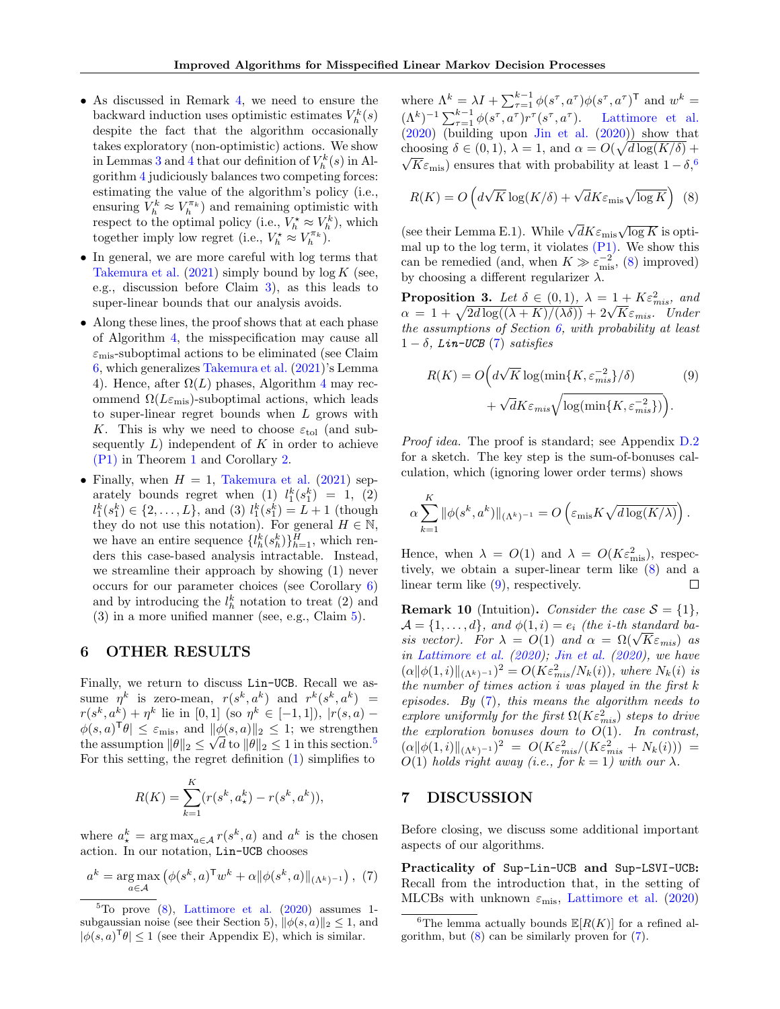- As discussed in Remark [4,](#page-5-1) we need to ensure the backward induction uses optimistic estimates  $V_h^k(s)$ despite the fact that the algorithm occasionally takes exploratory (non-optimistic) actions. We show in Lemmas [3](#page-16-0) and [4](#page-17-0) that our definition of  $V_h^k(s)$  in Algorithm [4](#page-5-2) judiciously balances two competing forces: estimating the value of the algorithm's policy (i.e., ensuring  $V_h^k \approx V_h^{\pi_k}$ ) and remaining optimistic with respect to the optimal policy (i.e.,  $V_h^* \approx V_h^k$ ), which together imply low regret (i.e.,  $V_h^* \approx V_h^{\pi_k}$ ).
- In general, we are more careful with log terms that [Takemura et al.](#page-9-1)  $(2021)$  simply bound by  $log K$  (see, e.g., discussion before Claim [3\)](#page-12-1), as this leads to super-linear bounds that our analysis avoids.
- Along these lines, the proof shows that at each phase of Algorithm [4,](#page-5-2) the misspecification may cause all  $\varepsilon_{\rm mis}$ -suboptimal actions to be eliminated (see Claim [6,](#page-16-1) which generalizes [Takemura et al.](#page-9-1) [\(2021\)](#page-9-1)'s Lemma [4](#page-5-2)). Hence, after  $\Omega(L)$  phases, Algorithm 4 may recommend  $\Omega(L\varepsilon_{\text{mis}})$ -suboptimal actions, which leads to super-linear regret bounds when L grows with K. This is why we need to choose  $\varepsilon_{\text{tol}}$  (and subsequently  $L$ ) independent of  $K$  in order to achieve [\(P1\)](#page-0-0) in Theorem [1](#page-6-1) and Corollary [2.](#page-6-3)
- Finally, when  $H = 1$ , [Takemura et al.](#page-9-1) [\(2021\)](#page-9-1) separately bounds regret when (1)  $l_1^k(s_1^k) = 1$ , (2)  $l_1^k(s_1^k) \in \{2, ..., L\}$ , and (3)  $l_1^k(s_1^k) = L + 1$  (though they do not use this notation). For general  $H \in \mathbb{N}$ , we have an entire sequence  $\{l_h^k(s_h^k)\}_{h=1}^H$ , which renders this case-based analysis intractable. Instead, we streamline their approach by showing (1) never occurs for our parameter choices (see Corollary [6\)](#page-19-0) and by introducing the  $l_h^k$  notation to treat (2) and (3) in a more unified manner (see, e.g., Claim [5\)](#page-15-1).

# <span id="page-7-0"></span>6 OTHER RESULTS

Finally, we return to discuss Lin-UCB. Recall we assume  $\eta^k$  is zero-mean,  $r(s^k, a^k)$  and  $r^k(s^k, a^k)$  =  $r(s^k, a^k) + \eta^k$  lie in [0, 1] (so  $\eta^k \in [-1, 1]$ ),  $|r(s, a)$  –  $\phi(s, a)^{\mathsf{T}} \theta \leq \varepsilon_{\text{mis}}$ , and  $\|\phi(s, a)\|_2 \leq 1$ ; we strengthen the assumption  $\|\theta\|_2 \leq \sqrt{d}$  to  $\|\theta\|_2 \leq 1$  in this section.<sup>[5](#page-7-1)</sup> For this setting, the regret definition [\(1\)](#page-3-1) simplifies to

$$
R(K) = \sum_{k=1}^{K} (r(s^k, a^k) - r(s^k, a^k)),
$$

where  $a_{\star}^{k} = \arg \max_{a \in \mathcal{A}} r(s^{k}, a)$  and  $a^{k}$  is the chosen action. In our notation, Lin-UCB chooses

$$
a^{k} = \underset{a \in \mathcal{A}}{\arg \max} (\phi(s^{k}, a)^{\mathsf{T}} w^{k} + \alpha ||\phi(s^{k}, a)||_{(\Lambda^{k})^{-1}}), (7)
$$

where  $\Lambda^k = \lambda I + \sum_{\tau=1}^{k-1} \phi(s^{\tau}, a^{\tau}) \phi(s^{\tau}, a^{\tau})^{\mathsf{T}}$  and  $w^k =$  $(\Lambda^k)^{-1} \sum_{\tau=1}^{k-1} \phi(s^{\tau}, a^{\tau}) r^{\tau}(s^{\tau}, a^{\tau}).$  [Lattimore et al.](#page-9-4)  $(2020)$  (building upon [Jin et al.](#page-9-0)  $(2020)$ ) show that choosing  $\delta \in (0,1)$ ,  $\lambda = 1$ , and  $\alpha = O(\sqrt{d \log(K/\delta)} + \sqrt{d \log(K/\delta)})$  $\overline{K}\varepsilon_{\text{mis}}$ ) ensures that with probability at least  $1 - \delta$ ,<sup>[6](#page-7-3)</sup>

<span id="page-7-2"></span>
$$
R(K) = O\left(d\sqrt{K}\log(K/\delta) + \sqrt{d}K\varepsilon_{\text{mis}}\sqrt{\log K}\right) \tag{8}
$$

(see their Lemma E.1). While  $\sqrt{d}K\varepsilon_{\text{mis}}\sqrt{\log K}$  is optimal up to the log term, it violates  $(P1)$ . We show this can be remedied (and, when  $K \gg \varepsilon_{\text{mis}}^{-2}$ , [\(8\)](#page-7-2) improved) by choosing a different regularizer  $\lambda$ .

<span id="page-7-6"></span>**Proposition 3.** Let  $\delta \in (0,1)$ ,  $\lambda = 1 + K \varepsilon_{mis}^2$ , and **Proposition 3.** Let  $o \in (0, 1)$ ,  $\lambda = 1 + K \varepsilon_{mis}^*$ , and  $\alpha = 1 + \sqrt{2d \log((\lambda + K)/(\lambda \delta))} + 2\sqrt{K} \varepsilon_{mis}$ . Under the assumptions of Section  $6$ , with probability at least  $1 - \delta$ , Lin-UCB [\(7\)](#page-7-4) satisfies

<span id="page-7-5"></span>
$$
R(K) = O\left(d\sqrt{K}\log(\min\{K, \varepsilon_{mis}^{-2}\}/\delta)\right) + \sqrt{dK\varepsilon_{mis}}\sqrt{\log(\min\{K, \varepsilon_{mis}^{-2}\})}\right).
$$
 (9)

Proof idea. The proof is standard; see Appendix [D.2](#page-22-1) for a sketch. The key step is the sum-of-bonuses calculation, which (ignoring lower order terms) shows

$$
\alpha \sum_{k=1}^K \| \phi(s^k, a^k) \|_{(\Lambda^k)^{-1}} = O\left(\varepsilon_{\text{mis}} K \sqrt{d \log(K/\lambda)}\right).
$$

Hence, when  $\lambda = O(1)$  and  $\lambda = O(K \varepsilon_{\text{mis}}^2)$ , respectively, we obtain a super-linear term like [\(8\)](#page-7-2) and a linear term like [\(9\)](#page-7-5), respectively. □

**Remark 10** (Intuition). Consider the case  $S = \{1\}$ ,  $\mathcal{A} = \{1, \ldots, d\}$ , and  $\phi(1, i) = e_i$  (the *i*-th standard ba- $\mathcal{A} = \{1, ..., d\}$ , and  $\varphi(1, i) = e_i$  (the *i*-th standard basis vector). For  $\lambda = O(1)$  and  $\alpha = \Omega(\sqrt{K} \varepsilon_{mis})$  as in [Lattimore et al.](#page-9-4) [\(2020\)](#page-9-4); [Jin et al.](#page-9-0) [\(2020\)](#page-9-0), we have  $(\alpha \|\phi(1,i)\|_{(A^k)^{-1}})^2 = O(K\varepsilon_{mis}^2/N_k(i)),$  where  $N_k(i)$  is the number of times action i was played in the first k episodes. By [\(7\)](#page-7-4), this means the algorithm needs to explore uniformly for the first  $\Omega(K\varepsilon_{mis}^2)$  steps to drive the exploration bonuses down to  $O(1)$ . In contrast,  $(\alpha \|\phi(1,i)\|_{(\Lambda^k)^{-1}})^2 = O(K\varepsilon_{mis}^2/(K\varepsilon_{mis}^2 + N_k(i))) =$  $O(1)$  holds right away (i.e., for  $k = 1$ ) with our  $\lambda$ .

# 7 DISCUSSION

Before closing, we discuss some additional important aspects of our algorithms.

<span id="page-7-4"></span>Practicality of Sup-Lin-UCB and Sup-LSVI-UCB: Recall from the introduction that, in the setting of MLCBs with unknown  $\varepsilon_{\rm mis}$ , [Lattimore et al.](#page-9-4) [\(2020\)](#page-9-4)

<span id="page-7-1"></span> ${}^{5}$ To prove  $(8)$ , [Lattimore et al.](#page-9-4)  $(2020)$  assumes 1subgaussian noise (see their Section 5),  $\|\phi(s, a)\|_2 \leq 1$ , and  $|\phi(s, a)^{\mathsf{T}} \theta| \leq 1$  (see their Appendix E), which is similar.

<span id="page-7-3"></span><sup>&</sup>lt;sup>6</sup>The lemma actually bounds  $\mathbb{E}[R(K)]$  for a refined algorithm, but  $(8)$  can be similarly proven for  $(7)$ .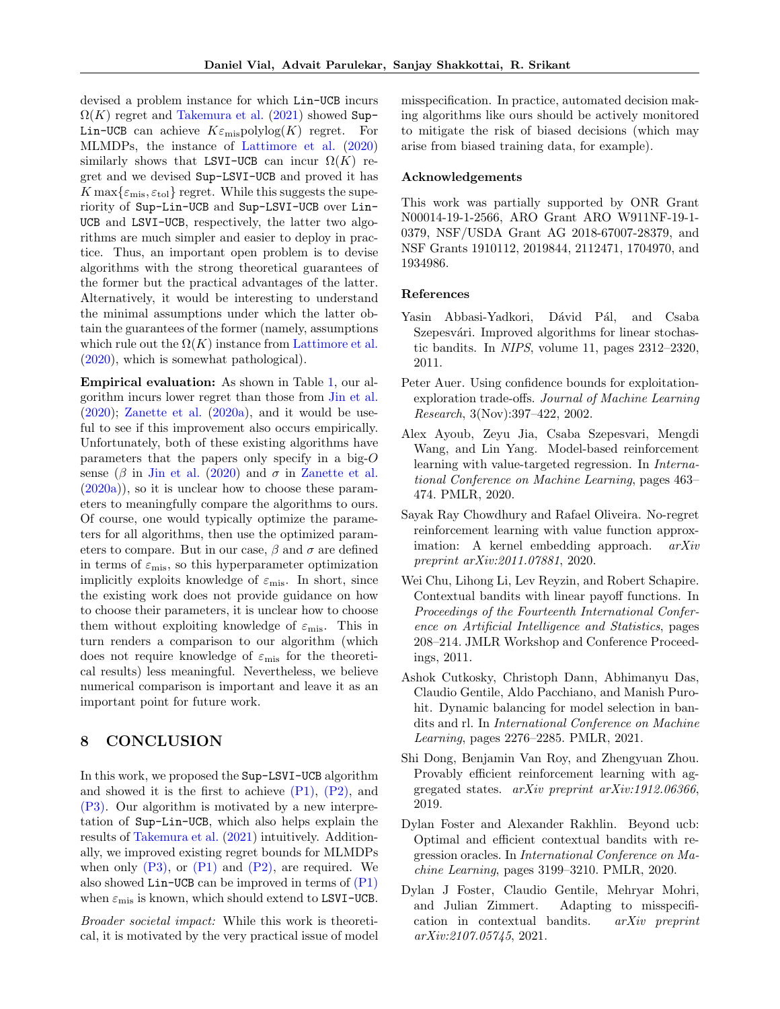devised a problem instance for which Lin-UCB incurs  $\Omega(K)$  regret and [Takemura et al.](#page-9-1) [\(2021\)](#page-9-1) showed Sup-Lin-UCB can achieve  $K \varepsilon_{\text{mis}}$  polylog $(K)$  regret. For MLMDPs, the instance of [Lattimore et al.](#page-9-4) [\(2020\)](#page-9-4) similarly shows that LSVI-UCB can incur  $\Omega(K)$  regret and we devised Sup-LSVI-UCB and proved it has  $K \max\{\varepsilon_{\text{mis}}, \varepsilon_{\text{tol}}\}$  regret. While this suggests the superiority of Sup-Lin-UCB and Sup-LSVI-UCB over Lin-UCB and LSVI-UCB, respectively, the latter two algorithms are much simpler and easier to deploy in practice. Thus, an important open problem is to devise algorithms with the strong theoretical guarantees of the former but the practical advantages of the latter. Alternatively, it would be interesting to understand the minimal assumptions under which the latter obtain the guarantees of the former (namely, assumptions which rule out the  $\Omega(K)$  instance from [Lattimore et al.](#page-9-4) [\(2020\)](#page-9-4), which is somewhat pathological).

Empirical evaluation: As shown in Table [1,](#page-1-2) our algorithm incurs lower regret than those from [Jin et al.](#page-9-0)  $(2020)$ ; [Zanette et al.](#page-9-2)  $(2020a)$ , and it would be useful to see if this improvement also occurs empirically. Unfortunately, both of these existing algorithms have parameters that the papers only specify in a big- $O$ sense ( $\beta$  in [Jin et al.](#page-9-0) [\(2020\)](#page-9-0) and  $\sigma$  in [Zanette et al.](#page-9-2) [\(2020a\)](#page-9-2)), so it is unclear how to choose these parameters to meaningfully compare the algorithms to ours. Of course, one would typically optimize the parameters for all algorithms, then use the optimized parameters to compare. But in our case,  $\beta$  and  $\sigma$  are defined in terms of  $\varepsilon_{\text{mis}}$ , so this hyperparameter optimization implicitly exploits knowledge of  $\varepsilon_{\text{mis}}$ . In short, since the existing work does not provide guidance on how to choose their parameters, it is unclear how to choose them without exploiting knowledge of  $\varepsilon_{\text{mis}}$ . This in turn renders a comparison to our algorithm (which does not require knowledge of  $\varepsilon_{\text{mis}}$  for the theoretical results) less meaningful. Nevertheless, we believe numerical comparison is important and leave it as an important point for future work.

### 8 CONCLUSION

In this work, we proposed the Sup-LSVI-UCB algorithm and showed it is the first to achieve  $(P1)$ ,  $(P2)$ , and [\(P3\).](#page-0-2) Our algorithm is motivated by a new interpretation of Sup-Lin-UCB, which also helps explain the results of [Takemura et al.](#page-9-1) [\(2021\)](#page-9-1) intuitively. Additionally, we improved existing regret bounds for MLMDPs when only  $(P3)$ , or  $(P1)$  and  $(P2)$ , are required. We also showed  $Lin$ -UCB can be improved in terms of  $(P1)$ when  $\varepsilon_{\text{mis}}$  is known, which should extend to LSVI-UCB.

Broader societal impact: While this work is theoretical, it is motivated by the very practical issue of model misspecification. In practice, automated decision making algorithms like ours should be actively monitored to mitigate the risk of biased decisions (which may arise from biased training data, for example).

#### Acknowledgements

This work was partially supported by ONR Grant N00014-19-1-2566, ARO Grant ARO W911NF-19-1- 0379, NSF/USDA Grant AG 2018-67007-28379, and NSF Grants 1910112, 2019844, 2112471, 1704970, and 1934986.

#### References

- <span id="page-8-2"></span>Yasin Abbasi-Yadkori, Dávid Pál, and Csaba Szepesvári. Improved algorithms for linear stochastic bandits. In NIPS, volume 11, pages 2312–2320, 2011.
- <span id="page-8-0"></span>Peter Auer. Using confidence bounds for exploitationexploration trade-offs. Journal of Machine Learning Research, 3(Nov):397–422, 2002.
- <span id="page-8-3"></span>Alex Ayoub, Zeyu Jia, Csaba Szepesvari, Mengdi Wang, and Lin Yang. Model-based reinforcement learning with value-targeted regression. In International Conference on Machine Learning, pages 463– 474. PMLR, 2020.
- <span id="page-8-4"></span>Sayak Ray Chowdhury and Rafael Oliveira. No-regret reinforcement learning with value function approximation: A kernel embedding approach. arXiv preprint arXiv:2011.07881, 2020.
- <span id="page-8-1"></span>Wei Chu, Lihong Li, Lev Reyzin, and Robert Schapire. Contextual bandits with linear payoff functions. In Proceedings of the Fourteenth International Conference on Artificial Intelligence and Statistics, pages 208–214. JMLR Workshop and Conference Proceedings, 2011.
- <span id="page-8-5"></span>Ashok Cutkosky, Christoph Dann, Abhimanyu Das, Claudio Gentile, Aldo Pacchiano, and Manish Purohit. Dynamic balancing for model selection in bandits and rl. In International Conference on Machine Learning, pages 2276–2285. PMLR, 2021.
- <span id="page-8-8"></span>Shi Dong, Benjamin Van Roy, and Zhengyuan Zhou. Provably efficient reinforcement learning with aggregated states. arXiv preprint arXiv:1912.06366, 2019.
- <span id="page-8-6"></span>Dylan Foster and Alexander Rakhlin. Beyond ucb: Optimal and efficient contextual bandits with regression oracles. In International Conference on Machine Learning, pages 3199–3210. PMLR, 2020.
- <span id="page-8-7"></span>Dylan J Foster, Claudio Gentile, Mehryar Mohri, and Julian Zimmert. Adapting to misspecification in contextual bandits. arXiv preprint arXiv:2107.05745, 2021.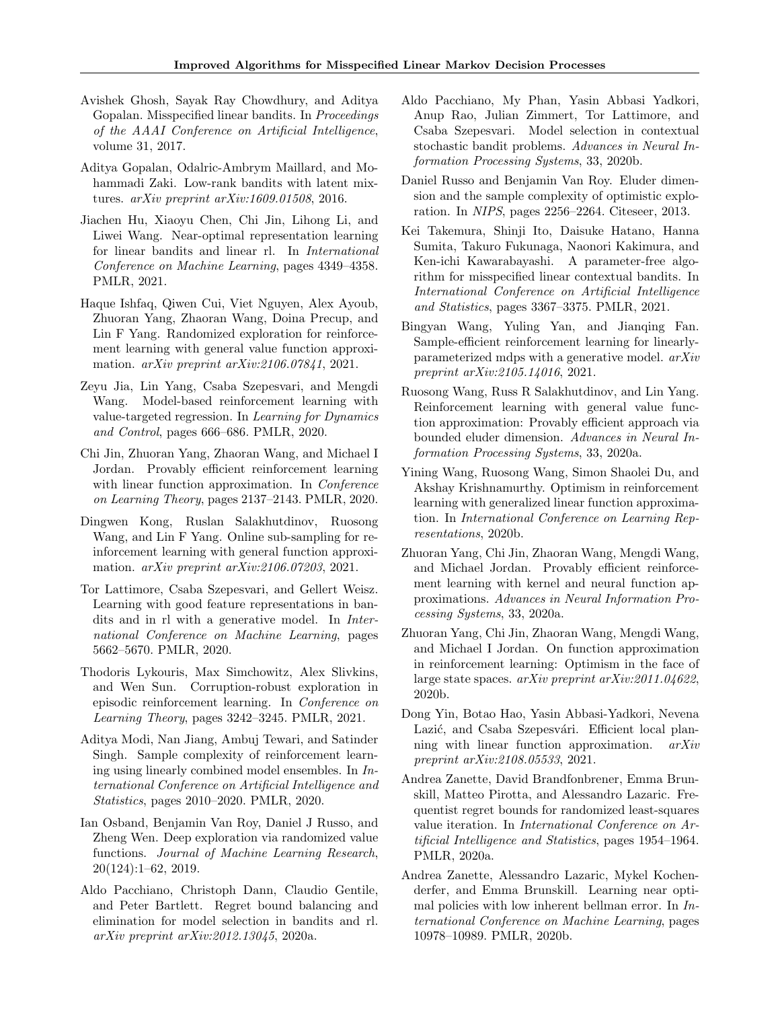- <span id="page-9-19"></span>Avishek Ghosh, Sayak Ray Chowdhury, and Aditya Gopalan. Misspecified linear bandits. In Proceedings of the AAAI Conference on Artificial Intelligence, volume 31, 2017.
- <span id="page-9-18"></span>Aditya Gopalan, Odalric-Ambrym Maillard, and Mohammadi Zaki. Low-rank bandits with latent mixtures. arXiv preprint arXiv:1609.01508, 2016.
- <span id="page-9-6"></span>Jiachen Hu, Xiaoyu Chen, Chi Jin, Lihong Li, and Liwei Wang. Near-optimal representation learning for linear bandits and linear rl. In International Conference on Machine Learning, pages 4349–4358. PMLR, 2021.
- <span id="page-9-10"></span>Haque Ishfaq, Qiwen Cui, Viet Nguyen, Alex Ayoub, Zhuoran Yang, Zhaoran Wang, Doina Precup, and Lin F Yang. Randomized exploration for reinforcement learning with general value function approximation. arXiv preprint arXiv:2106.07841, 2021.
- <span id="page-9-7"></span>Zeyu Jia, Lin Yang, Csaba Szepesvari, and Mengdi Wang. Model-based reinforcement learning with value-targeted regression. In Learning for Dynamics and Control, pages 666–686. PMLR, 2020.
- <span id="page-9-0"></span>Chi Jin, Zhuoran Yang, Zhaoran Wang, and Michael I Jordan. Provably efficient reinforcement learning with linear function approximation. In *Conference* on Learning Theory, pages 2137–2143. PMLR, 2020.
- <span id="page-9-11"></span>Dingwen Kong, Ruslan Salakhutdinov, Ruosong Wang, and Lin F Yang. Online sub-sampling for reinforcement learning with general function approximation. arXiv preprint arXiv:2106.07203, 2021.
- <span id="page-9-4"></span>Tor Lattimore, Csaba Szepesvari, and Gellert Weisz. Learning with good feature representations in bandits and in rl with a generative model. In International Conference on Machine Learning, pages 5662–5670. PMLR, 2020.
- <span id="page-9-22"></span>Thodoris Lykouris, Max Simchowitz, Alex Slivkins, and Wen Sun. Corruption-robust exploration in episodic reinforcement learning. In Conference on Learning Theory, pages 3242–3245. PMLR, 2021.
- <span id="page-9-8"></span>Aditya Modi, Nan Jiang, Ambuj Tewari, and Satinder Singh. Sample complexity of reinforcement learning using linearly combined model ensembles. In International Conference on Artificial Intelligence and Statistics, pages 2010–2020. PMLR, 2020.
- <span id="page-9-5"></span>Ian Osband, Benjamin Van Roy, Daniel J Russo, and Zheng Wen. Deep exploration via randomized value functions. Journal of Machine Learning Research, 20(124):1–62, 2019.
- <span id="page-9-16"></span>Aldo Pacchiano, Christoph Dann, Claudio Gentile, and Peter Bartlett. Regret bound balancing and elimination for model selection in bandits and rl. arXiv preprint arXiv:2012.13045, 2020a.
- <span id="page-9-17"></span>Aldo Pacchiano, My Phan, Yasin Abbasi Yadkori, Anup Rao, Julian Zimmert, Tor Lattimore, and Csaba Szepesvari. Model selection in contextual stochastic bandit problems. Advances in Neural Information Processing Systems, 33, 2020b.
- <span id="page-9-9"></span>Daniel Russo and Benjamin Van Roy. Eluder dimension and the sample complexity of optimistic exploration. In NIPS, pages 2256–2264. Citeseer, 2013.
- <span id="page-9-1"></span>Kei Takemura, Shinji Ito, Daisuke Hatano, Hanna Sumita, Takuro Fukunaga, Naonori Kakimura, and Ken-ichi Kawarabayashi. A parameter-free algorithm for misspecified linear contextual bandits. In International Conference on Artificial Intelligence and Statistics, pages 3367–3375. PMLR, 2021.
- <span id="page-9-21"></span>Bingyan Wang, Yuling Yan, and Jianqing Fan. Sample-efficient reinforcement learning for linearlyparameterized mdps with a generative model. arXiv preprint arXiv:2105.14016, 2021.
- <span id="page-9-12"></span>Ruosong Wang, Russ R Salakhutdinov, and Lin Yang. Reinforcement learning with general value function approximation: Provably efficient approach via bounded eluder dimension. Advances in Neural Information Processing Systems, 33, 2020a.
- <span id="page-9-13"></span>Yining Wang, Ruosong Wang, Simon Shaolei Du, and Akshay Krishnamurthy. Optimism in reinforcement learning with generalized linear function approximation. In International Conference on Learning Representations, 2020b.
- <span id="page-9-14"></span>Zhuoran Yang, Chi Jin, Zhaoran Wang, Mengdi Wang, and Michael Jordan. Provably efficient reinforcement learning with kernel and neural function approximations. Advances in Neural Information Processing Systems, 33, 2020a.
- <span id="page-9-15"></span>Zhuoran Yang, Chi Jin, Zhaoran Wang, Mengdi Wang, and Michael I Jordan. On function approximation in reinforcement learning: Optimism in the face of large state spaces. arXiv preprint arXiv:2011.04622, 2020b.
- <span id="page-9-20"></span>Dong Yin, Botao Hao, Yasin Abbasi-Yadkori, Nevena Lazić, and Csaba Szepesvári. Efficient local planning with linear function approximation. arXiv preprint arXiv:2108.05533, 2021.
- <span id="page-9-2"></span>Andrea Zanette, David Brandfonbrener, Emma Brunskill, Matteo Pirotta, and Alessandro Lazaric. Frequentist regret bounds for randomized least-squares value iteration. In International Conference on Artificial Intelligence and Statistics, pages 1954–1964. PMLR, 2020a.
- <span id="page-9-3"></span>Andrea Zanette, Alessandro Lazaric, Mykel Kochenderfer, and Emma Brunskill. Learning near optimal policies with low inherent bellman error. In International Conference on Machine Learning, pages 10978–10989. PMLR, 2020b.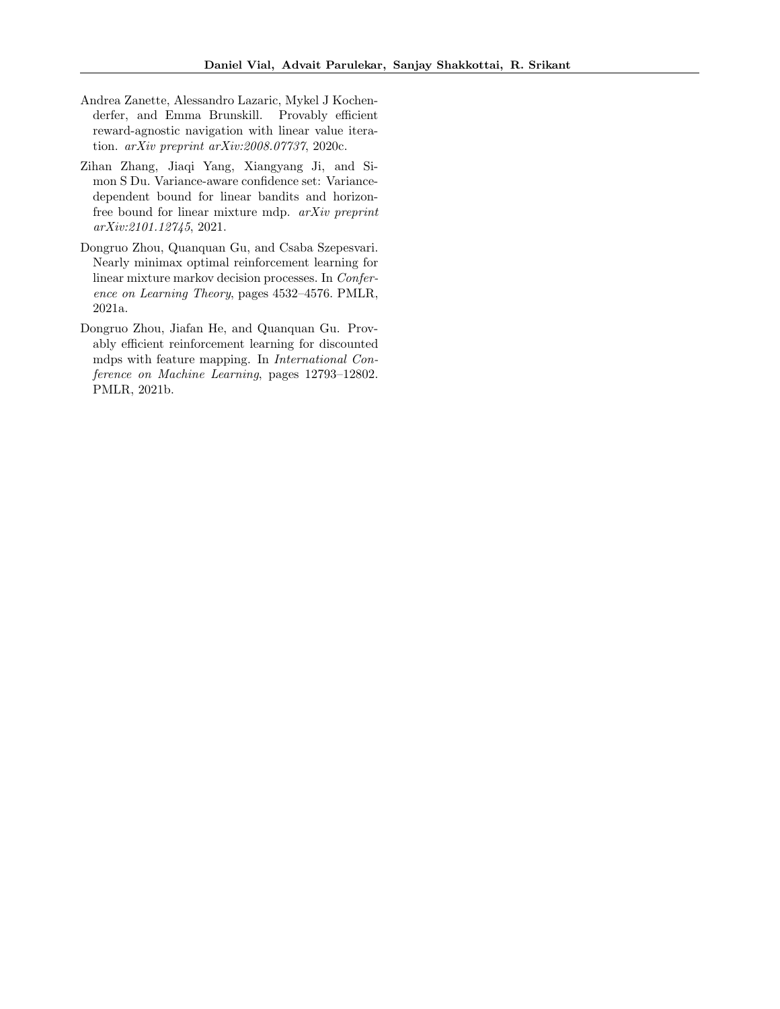- <span id="page-10-0"></span>Andrea Zanette, Alessandro Lazaric, Mykel J Kochenderfer, and Emma Brunskill. Provably efficient reward-agnostic navigation with linear value iteration. arXiv preprint arXiv:2008.07737, 2020c.
- <span id="page-10-1"></span>Zihan Zhang, Jiaqi Yang, Xiangyang Ji, and Simon S Du. Variance-aware confidence set: Variancedependent bound for linear bandits and horizonfree bound for linear mixture mdp. arXiv preprint arXiv:2101.12745, 2021.
- <span id="page-10-2"></span>Dongruo Zhou, Quanquan Gu, and Csaba Szepesvari. Nearly minimax optimal reinforcement learning for linear mixture markov decision processes. In Conference on Learning Theory, pages 4532–4576. PMLR, 2021a.
- <span id="page-10-3"></span>Dongruo Zhou, Jiafan He, and Quanquan Gu. Provably efficient reinforcement learning for discounted mdps with feature mapping. In International Conference on Machine Learning, pages 12793–12802. PMLR, 2021b.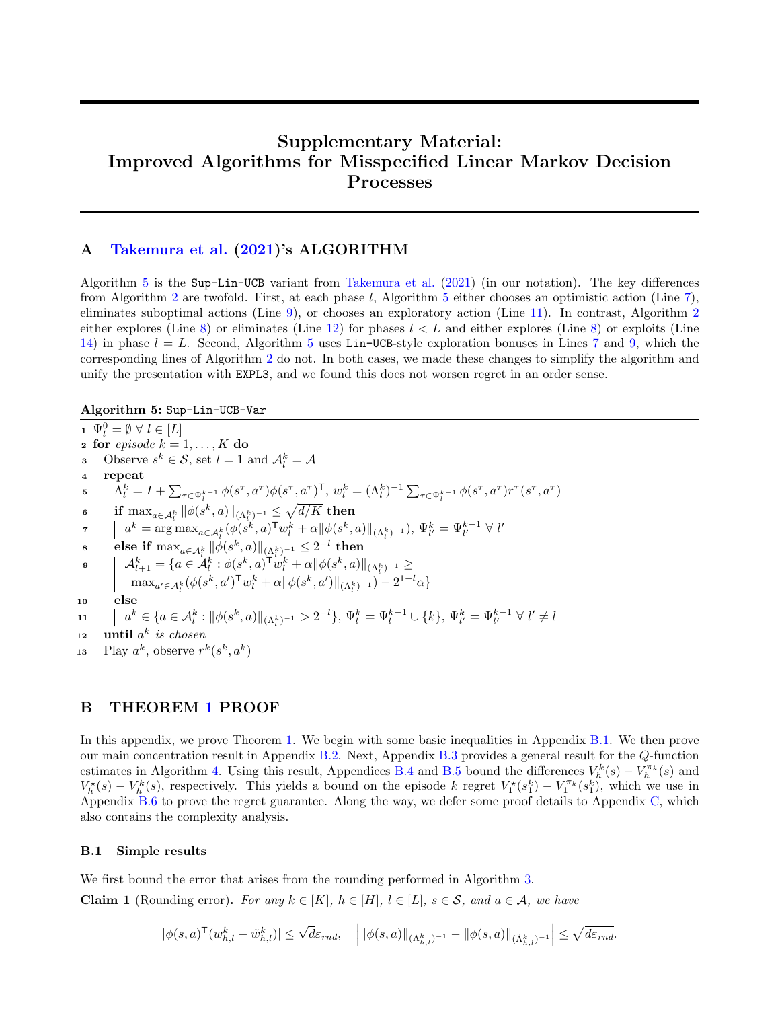# Supplementary Material: Improved Algorithms for Misspecified Linear Markov Decision Processes

# <span id="page-11-0"></span>A [Takemura et al.](#page-9-1) [\(2021\)](#page-9-1)'s ALGORITHM

Algorithm [5](#page-11-2) is the Sup-Lin-UCB variant from [Takemura et al.](#page-9-1) [\(2021\)](#page-9-1) (in our notation). The key differences from Algorithm [2](#page-4-3) are twofold. First, at each phase l, Algorithm [5](#page-11-2) either chooses an optimistic action (Line [7\)](#page-11-3), eliminates suboptimal actions (Line [9\)](#page-11-4), or chooses an exploratory action (Line [11\)](#page-11-5). In contrast, Algorithm [2](#page-4-3) either explores (Line [8\)](#page-4-4) or eliminates (Line [12\)](#page-4-5) for phases  $l < L$  and either explores (Line 8) or exploits (Line [14\)](#page-4-6) in phase  $l = L$ . Second, Algorithm [5](#page-11-2) uses Lin-UCB-style exploration bonuses in Lines [7](#page-11-3) and [9,](#page-11-4) which the corresponding lines of Algorithm [2](#page-4-3) do not. In both cases, we made these changes to simplify the algorithm and unify the presentation with EXPL3, and we found this does not worsen regret in an order sense.

#### <span id="page-11-2"></span>Algorithm 5: Sup-Lin-UCB-Var

<span id="page-11-4"></span><span id="page-11-3"></span>1  $\Psi_l^0 = \emptyset \ \forall \ l \in [L]$ 2 for  $\mathit{episode}\ k=1,\ldots,K$ do **3** Observe  $s^k \in \mathcal{S}$ , set  $l = 1$  and  $\mathcal{A}_l^k = \mathcal{A}$ 4 repeat  $\mathbf{b} \in \left[ -\Lambda^k_l = I + \sum_{\tau \in \Psi^{k-1}_l} \phi(s^\tau, a^\tau) \phi(s^\tau, a^\tau)^\mathsf{T}, w^k_l = (\Lambda^k_l)^{-1} \sum_{\tau \in \Psi^{k-1}_l} \phi(s^\tau, a^\tau) r^\tau(s^\tau, a^\tau)$  $\| \mathfrak{s} \: \Big\| \: \text{ if } \max_{a \in \mathcal{A}_l^k} \| \phi(s^k, a) \|_{(\Lambda_l^k)^{-1}} \leq \sqrt{d/K} \text{ then}$  $\left\{ \begin{array}{c} \begin{array}{c} \mathbf{z} \end{array} \ \left| \begin{array}{c} \end{array} \right. \ \ \left| \begin{array}{c} a^k = \operatorname{arg\,max}_{a \in \mathcal{A}_l^k} (\phi(s^k, a)^\mathsf{T} w_l^k + \alpha \|\phi(s^k, a)\|_{(\Lambda^k_l)^{-1}}), \, \Psi^k_{l'} = \Psi^{k-1}_{l'} \,\, \forall \,\, l' \end{array} \right. \end{array} \right.$  $\| \cdot \|$  else if  $\max_{a \in A_k^k} ||\phi(s^k, a)||_{(A_k^h)^{-1}} \leq 2^{-l}$  then  $\mathsf{P} \Big|\ \Big|\ \Big|\ \mathcal{A}_{l+1}^k=\{a\in \mathcal{\mathcal{A}}_l^k: \phi(s^k,a)^\mathsf{T} w_l^k+\alpha \|\phi(s^k,a)\|_{(\Lambda^k_l)^{-1}}\geq 0\}\,.$  $\max_{a' \in A^k_l} (\phi(s^k, a')^{\mathsf{T}} w_l^k + \alpha ||\phi(s^k, a')||_{(\Lambda^k_l)^{-1}}) - 2^{1-l} \alpha \}$  $_{10}$   $\vert$  else  $\|u_1\|_1 \ \ \Big\| \ \ \Big\| \ a^k \in \{a\in \mathcal{A}_l^k: \| \phi(s^k,a) \|_{(\Lambda^k_l)^{-1}}>2^{-l} \}, \ \Psi_l^k = \Psi_l^{k-1} \cup \{k\}, \ \Psi_{l'}^k = \Psi_{l'}^{k-1} \ \forall \ l'\neq l'$  $\mathbf{u_1}$  until  $a^k$  is chosen 13 Play  $a^k$ , observe  $r^k(s^k, a^k)$ 

# <span id="page-11-5"></span><span id="page-11-1"></span>B THEOREM [1](#page-6-1) PROOF

In this appendix, we prove Theorem [1.](#page-6-1) We begin with some basic inequalities in Appendix [B.1.](#page-11-6) We then prove our main concentration result in Appendix [B.2.](#page-12-2) Next, Appendix [B.3](#page-13-1) provides a general result for the Q-function estimates in Algorithm [4.](#page-5-2) Using this result, Appendices [B.4](#page-15-2) and [B.5](#page-16-2) bound the differences  $V_h^k(s) - V_h^{\pi_k}(s)$  and  $V_h^*(s) - V_h^k(s)$ , respectively. This yields a bound on the episode k regret  $V_1^*(s_1^k) - V_1^{\pi_k}(s_1^k)$ , which we use in Appendix [B.6](#page-17-1) to prove the regret guarantee. Along the way, we defer some proof details to Appendix [C,](#page-18-0) which also contains the complexity analysis.

### <span id="page-11-6"></span>B.1 Simple results

We first bound the error that arises from the rounding performed in Algorithm [3.](#page-5-2)

<span id="page-11-7"></span>**Claim 1** (Rounding error). For any  $k \in [K]$ ,  $h \in [H]$ ,  $l \in [L]$ ,  $s \in S$ , and  $a \in A$ , we have

$$
|\phi(s,a)^\mathsf{T} (w_{h,l}^k - \tilde w_{h,l}^k)| \leq \sqrt{d} \varepsilon_{rnd}, \quad \Big|\|\phi(s,a)\|_{(\Lambda_{h,l}^k)^{-1}} - \|\phi(s,a)\|_{(\tilde \Lambda_{h,l}^k)^{-1}} \Big| \leq \sqrt{d \varepsilon_{rnd}}.
$$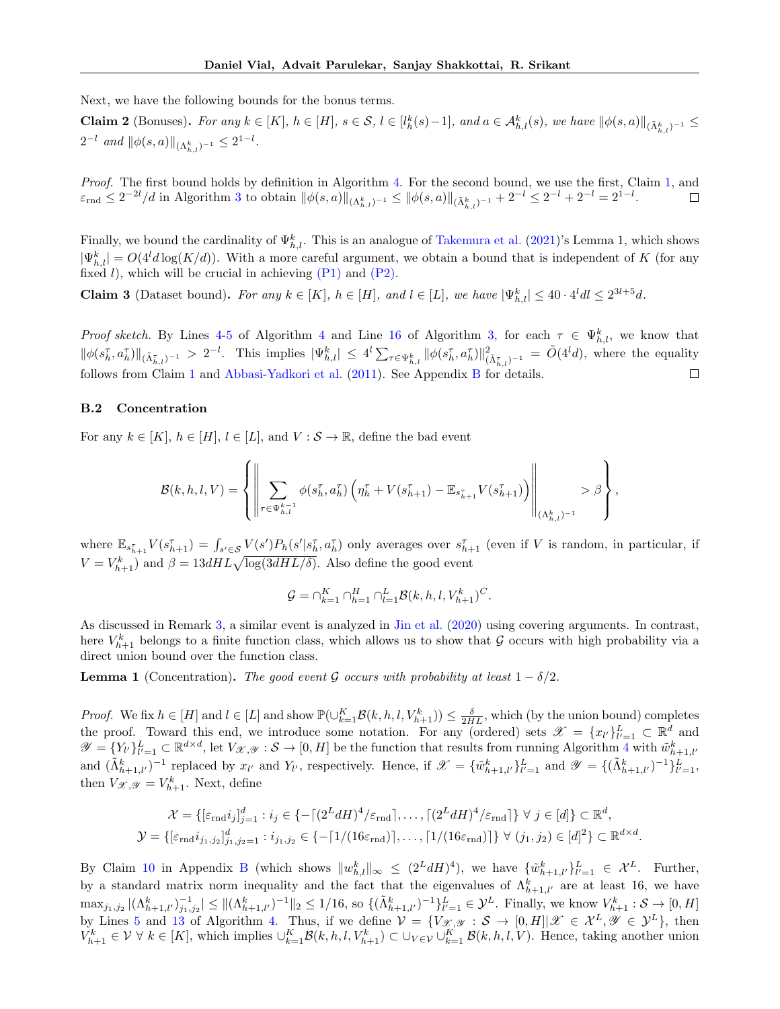Next, we have the following bounds for the bonus terms.

<span id="page-12-3"></span>**Claim 2** (Bonuses). For any  $k \in [K]$ ,  $h \in [H]$ ,  $s \in S$ ,  $l \in [l_h^k(s) - 1]$ , and  $a \in \mathcal{A}_{h,l}^k(s)$ , we have  $\|\phi(s, a)\|_{(\tilde{\Lambda}_{h,l}^k)^{-1}} \leq$  $2^{-l}$  and  $\|\phi(s,a)\|_{(\Lambda_{h,l}^k)^{-1}} \leq 2^{1-l}$ .

Proof. The first bound holds by definition in Algorithm [4.](#page-5-2) For the second bound, we use the first, Claim [1,](#page-11-7) and  $\varepsilon_{\text{rnd}} \leq 2^{-2l}/d$  in Algorithm [3](#page-5-2) to obtain  $\|\phi(s, a)\|_{(\Lambda_{h,l}^k)^{-1}} \leq \|\phi(s, a)\|_{(\tilde{\Lambda}_{h,l}^k)^{-1}} + 2^{-l} \leq 2^{-l} + 2^{-l} = 2^{1-l}$ .  $\Box$ 

Finally, we bound the cardinality of  $\Psi_{h,l}^k$ . This is an analogue of [Takemura et al.](#page-9-1) [\(2021\)](#page-9-1)'s Lemma 1, which shows  $|\Psi_{h,l}^k| = O(4^l d \log(K/d))$ . With a more careful argument, we obtain a bound that is independent of K (for any fixed  $l$ ), which will be crucial in achieving  $(P1)$  and  $(P2)$ .

<span id="page-12-1"></span>**Claim 3** (Dataset bound). For any  $k \in [K]$ ,  $h \in [H]$ , and  $l \in [L]$ , we have  $|\Psi_{h,l}^k| \leq 40 \cdot 4^l dl \leq 2^{3l+5} d$ .

Proof sketch. By Lines [4-](#page-5-16)[5](#page-5-14) of Algorithm [4](#page-5-2) and Line [16](#page-5-11) of Algorithm [3,](#page-5-2) for each  $\tau \in \Psi_{h,l}^k$ , we know that  $\|\phi(s_h^{\tau}, a_h^{\tau})\|_{(\tilde{\Lambda}_{h,l}^{\tau})^{-1}} > 2^{-l}$ . This implies  $|\Psi_{h,l}^k| \leq 4^l \sum_{\tau \in \Psi_{h,l}^k} |\phi(s_h^{\tau}, a_h^{\tau})|_{(\tilde{\Lambda}_{h,l}^{\tau})^{-1}}^2 = \tilde{O}(4^l d)$ , where the equality follows from Claim [1](#page-11-7) and [Abbasi-Yadkori et al.](#page-8-2) [\(2011\)](#page-8-2). See Appendix [B](#page-11-1) for details.  $\Box$ 

### <span id="page-12-2"></span>B.2 Concentration

For any  $k \in [K], h \in [H], l \in [L],$  and  $V : \mathcal{S} \to \mathbb{R}$ , define the bad event

$$
\mathcal{B}(k,h,l,V) = \left\{ \left\| \sum_{\tau \in \Psi_{h,l}^{k-1}} \phi(s_h^\tau, a_h^\tau) \left( \eta_h^\tau + V(s_{h+1}^\tau) - \mathbb{E}_{s_{h+1}^\tau} V(s_{h+1}^\tau) \right) \right\|_{(\Lambda_{h,l}^k)^{-1}} > \beta \right\},
$$

where  $\mathbb{E}_{s_{h+1}^{\tau}}V(s_{h+1}^{\tau}) = \int_{s' \in \mathcal{S}}V(s')P_h(s'|s_h^{\tau}, a_h^{\tau})$  only averages over  $s_{h+1}^{\tau}$  (even if V is random, in particular, if  $V = V_{h+1}^k$ ) and  $\beta = 13dHL\sqrt{\log(3dHL/\delta)}$ . Also define the good event

$$
\mathcal{G} = \cap_{k=1}^K \cap_{h=1}^H \cap_{l=1}^L \mathcal{B}(k,h,l,V_{h+1}^k)^C.
$$

As discussed in Remark [3,](#page-5-0) a similar event is analyzed in [Jin et al.](#page-9-0) [\(2020\)](#page-9-0) using covering arguments. In contrast, here  $V_{h+1}^k$  belongs to a finite function class, which allows us to show that G occurs with high probability via a direct union bound over the function class.

<span id="page-12-0"></span>**Lemma 1** (Concentration). The good event G occurs with probability at least  $1 - \delta/2$ .

*Proof.* We fix  $h \in [H]$  and  $l \in [L]$  and show  $\mathbb{P}(\bigcup_{k=1}^{K} \mathcal{B}(k, h, l, V_{h+1}^{k})) \leq \frac{\delta}{2HL}$ , which (by the union bound) completes the proof. Toward this end, we introduce some notation. For any (ordered) sets  $\mathscr{X} = \{x_{l'}\}_{l'=1}^L \subset \mathbb{R}^d$  and  $\mathscr{Y} = \{Y_{l'}\}_{l'=1}^L \subset \mathbb{R}^{d \times d}$ , let  $V_{\mathscr{X},\mathscr{Y}} : \mathcal{S} \to [0,H]$  be the function that results from running Algorithm [4](#page-5-2) with  $\tilde{w}_{h+1,l'}^k$ and  $(\tilde{\Lambda}_{h+1,l'}^k)^{-1}$  replaced by  $x_{l'}$  and  $Y_{l'}$ , respectively. Hence, if  $\mathscr{X} = \{\tilde{w}_{h+1,l'}^k\}_{l'=1}^L$  and  $\mathscr{Y} = \{(\tilde{\Lambda}_{h+1,l'}^k)^{-1}\}_{l'=1}^L$ , then  $V_{\mathcal{X},\mathcal{Y}} = V_{h+1}^k$ . Next, define

$$
\mathcal{X} = \{ [\varepsilon_{\text{rnd}} i_j]_{j=1}^d : i_j \in \{ -\lceil (2^L dH)^4 / \varepsilon_{\text{rnd}} \rceil, \dots, \lceil (2^L dH)^4 / \varepsilon_{\text{rnd}} \rceil \} \ \forall \ j \in [d] \} \subset \mathbb{R}^d,
$$
  

$$
\mathcal{Y} = \{ [\varepsilon_{\text{rnd}} i_{j_1, j_2}]_{j_1, j_2 = 1}^d : i_{j_1, j_2} \in \{ -\lceil 1/(16\varepsilon_{\text{rnd}}) \rceil, \dots, \lceil 1/(16\varepsilon_{\text{rnd}}) \rceil \} \ \forall \ (j_1, j_2) \in [d]^2 \} \subset \mathbb{R}^{d \times d}.
$$

By Claim [10](#page-20-0) in Appendix [B](#page-11-1) (which shows  $||w_{h,l}^k||_{\infty} \leq (2^L dH)^4$ ), we have  $\{\tilde{w}_{h+1,l'}^k\}_{l'=1}^L \in \mathcal{X}^L$ . Further, by a standard matrix norm inequality and the fact that the eigenvalues of  $\Lambda_{h+1,l'}^k$  are at least 16, we have  $\max_{j_1,j_2} |(\Lambda_{h+1,l'}^k)^{-1}_{j_1,j_2}| \le ||(\Lambda_{h+1,l'}^k)^{-1}||_2 \le 1/16$ , so  $\{(\tilde{\Lambda}_{h+1,l'}^k)^{-1}\}_{l'=1}^L \in \mathcal{Y}^L$ . Finally, we know  $V_{h+1}^k : \mathcal{S} \to [0,H]$ by Lines [5](#page-5-14) and [13](#page-5-15) of Algorithm [4.](#page-5-2) Thus, if we define  $V = \{V_{\mathscr{X},\mathscr{Y}} : \mathcal{S} \to [0,H] | \mathscr{X} \in \mathcal{X}^L, \mathscr{Y} \in \mathcal{Y}^L \}$ , then  $V_{h+1}^k \in V \forall k \in [K]$ , which implies  $\cup_{k=1}^K \mathcal{B}(k, h, l, V_{h+1}^k) \subset \cup_{V \in \mathcal{V}} \cup_{k=1}^K \mathcal{B}(k, h, l, V)$ . Hence, taking another union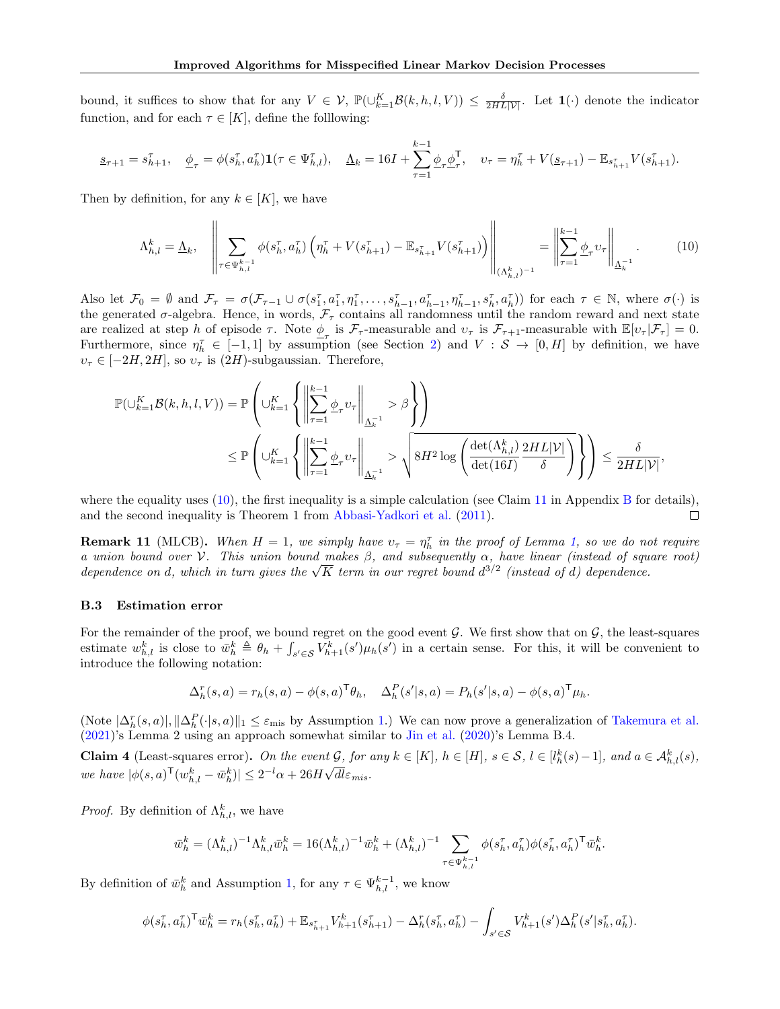bound, it suffices to show that for any  $V \in \mathcal{V}$ ,  $\mathbb{P}(\cup_{k=1}^K \mathcal{B}(k, h, l, V)) \leq \frac{\delta}{2HL|\mathcal{V}|}$ . Let  $\mathbf{1}(\cdot)$  denote the indicator function, and for each  $\tau \in [K]$ , define the following:

$$
\underline{s}_{\tau+1} = s_{h+1}^{\tau}, \quad \underline{\phi}_{\tau} = \phi(s_h^{\tau}, a_h^{\tau}) \mathbf{1}(\tau \in \Psi_{h,l}^{\tau}), \quad \underline{\Lambda}_k = 16I + \sum_{\tau=1}^{k-1} \underline{\phi}_{\tau} \underline{\phi}_{\tau}^{\tau}, \quad v_{\tau} = \eta_h^{\tau} + V(\underline{s}_{\tau+1}) - \mathbb{E}_{s_{h+1}^{\tau}} V(s_{h+1}^{\tau}).
$$

Then by definition, for any  $k \in [K]$ , we have

<span id="page-13-2"></span>
$$
\Lambda_{h,l}^{k} = \underline{\Lambda}_{k}, \quad \left\| \sum_{\tau \in \Psi_{h,l}^{k-1}} \phi(s_{h}^{\tau}, a_{h}^{\tau}) \left( \eta_{h}^{\tau} + V(s_{h+1}^{\tau}) - \mathbb{E}_{s_{h+1}^{\tau}} V(s_{h+1}^{\tau}) \right) \right\|_{(\Lambda_{h,l}^{k})^{-1}} = \left\| \sum_{\tau=1}^{k-1} \underline{\phi}_{\tau} v_{\tau} \right\|_{\underline{\Lambda}_{k}^{-1}}.
$$
 (10)

Also let  $\mathcal{F}_0 = \emptyset$  and  $\mathcal{F}_{\tau} = \sigma(\mathcal{F}_{\tau-1} \cup \sigma(s_1^{\tau}, a_1^{\tau}, \eta_1^{\tau}, \ldots, s_{h-1}^{\tau}, a_{h-1}^{\tau}, \eta_{h-1}^{\tau}, s_h^{\tau}, a_h^{\tau})$  for each  $\tau \in \mathbb{N}$ , where  $\sigma(\cdot)$  is the generated  $\sigma$ -algebra. Hence, in words,  $\mathcal{F}_{\tau}$  contains all randomness until the random reward and next state are realized at step h of episode  $\tau$ . Note  $\phi_{\tau}$  is  $\mathcal{F}_{\tau}$ -measurable and  $v_{\tau}$  is  $\mathcal{F}_{\tau+1}$ -measurable with  $\mathbb{E}[v_{\tau}|\mathcal{F}_{\tau}] = 0$ . Furthermore, since  $\eta_h^{\tau} \in [-1,1]$  by assumption (see Section [2\)](#page-2-0) and  $V : \mathcal{S} \to [0,H]$  by definition, we have  $v_{\tau} \in [-2H, 2H]$ , so  $v_{\tau}$  is  $(2H)$ -subgaussian. Therefore,

$$
\begin{split} \mathbb{P}(\cup_{k=1}^{K}\mathcal{B}(k,h,l,V))&=\mathbb{P}\left(\cup_{k=1}^{K}\left\{\left\|\sum_{\tau=1}^{k-1}\underline{\phi}_{\tau}v_{\tau}\right\|_{\underline{\Lambda}_{k}^{-1}}>\beta\right\}\right)\\ &\leq\mathbb{P}\left(\cup_{k=1}^{K}\left\{\left\|\sum_{\tau=1}^{k-1}\underline{\phi}_{\tau}v_{\tau}\right\|_{\underline{\Lambda}_{k}^{-1}}>\sqrt{8H^{2}\log\left(\frac{\det(\Lambda_{h,l}^{k})}{\det(16I)}\frac{2HL|\mathcal{V}|}{\delta}\right)}\right\}\right)\leq\frac{\delta}{2HL|\mathcal{V}|}, \end{split}
$$

where the equality uses  $(10)$ , the first inequality is a simple calculation (see Claim [11](#page-20-1) in Appendix [B](#page-11-1) for details), and the second inequality is Theorem 1 from [Abbasi-Yadkori et al.](#page-8-2) [\(2011\)](#page-8-2).  $\Box$ 

<span id="page-13-0"></span>**Remark 11** (MLCB). When  $H = 1$ , we simply have  $v_{\tau} = \eta_h^{\tau}$  in the proof of Lemma [1,](#page-12-0) so we do not require a union bound over V. This union bound makes  $\beta$ , and subsequently  $\alpha$ , have linear (instead of square root) a union bound over *V*. This union bound makes *β*, and subsequently  $\alpha$ , have linear (instead of squ<br>dependence on d, which in turn gives the  $\sqrt{K}$  term in our regret bound  $d^{3/2}$  (instead of d) dependence.

### <span id="page-13-1"></span>B.3 Estimation error

For the remainder of the proof, we bound regret on the good event  $\mathcal G$ . We first show that on  $\mathcal G$ , the least-squares estimate  $w_{h,l}^k$  is close to  $\bar{w}_h^k \triangleq \theta_h + \int_{s' \in \mathcal{S}} V_{h+1}^k(s') \mu_h(s')$  in a certain sense. For this, it will be convenient to introduce the following notation:

$$
\Delta_h^r(s, a) = r_h(s, a) - \phi(s, a)^\mathsf{T} \theta_h, \quad \Delta_h^P(s'|s, a) = P_h(s'|s, a) - \phi(s, a)^\mathsf{T} \mu_h.
$$

(Note  $|\Delta_h^r(s, a)|, \|\Delta_h^P(\cdot|s, a)\|_1 \leq \varepsilon_{\text{mis}}$  by Assumption [1.](#page-3-0)) We can now prove a generalization of [Takemura et al.](#page-9-1) [\(2021\)](#page-9-1)'s Lemma 2 using an approach somewhat similar to [Jin et al.](#page-9-0) [\(2020\)](#page-9-0)'s Lemma B.4.

<span id="page-13-3"></span>**Claim 4** (Least-squares error). On the event G, for any  $k \in [K]$ ,  $h \in [H]$ ,  $s \in S$ ,  $l \in [l_h^k(s) - 1]$ , and  $a \in \mathcal{A}_{h,l}^k(s)$ , we have  $|\phi(s, a)^\mathsf{T}(w_{h,l}^k - \bar{w}_h^k)| \leq 2^{-l} \alpha + 26H\sqrt{2}$  $d l \varepsilon_{mis}.$ 

*Proof.* By definition of  $\Lambda_{h,l}^k$ , we have

$$
\bar{w}_h^k = (\Lambda_{h,l}^k)^{-1} \Lambda_{h,l}^k \bar{w}_h^k = 16(\Lambda_{h,l}^k)^{-1} \bar{w}_h^k + (\Lambda_{h,l}^k)^{-1} \sum_{\tau \in \Psi_{h,l}^{k-1}} \phi(s_h^\tau, a_h^\tau) \phi(s_h^\tau, a_h^\tau)^\mathsf{T} \bar{w}_h^k.
$$

By definition of  $\bar{w}_h^k$  and Assumption [1,](#page-3-0) for any  $\tau \in \Psi_{h,l}^{k-1}$ , we know

$$
\phi(s_h^{\tau}, a_h^{\tau})^{\mathsf{T}} \bar{w}_h^k = r_h(s_h^{\tau}, a_h^{\tau}) + \mathbb{E}_{s_{h+1}^{\tau}} V_{h+1}^k(s_{h+1}^{\tau}) - \Delta_h^r(s_h^{\tau}, a_h^{\tau}) - \int_{s' \in \mathcal{S}} V_{h+1}^k(s') \Delta_h^P(s' | s_h^{\tau}, a_h^{\tau}).
$$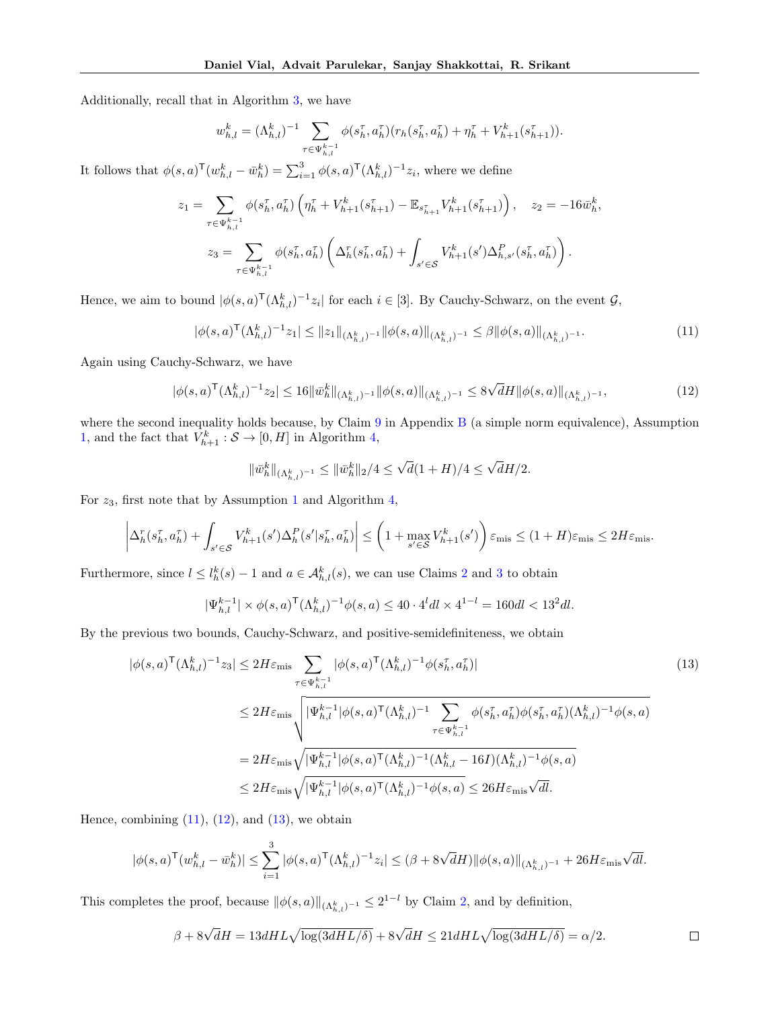Additionally, recall that in Algorithm [3,](#page-5-2) we have

$$
w_{h,l}^k = (\Lambda_{h,l}^k)^{-1} \sum_{\tau \in \Psi_{h,l}^{k-1}} \phi(s_h^\tau, a_h^\tau) (r_h(s_h^\tau, a_h^\tau) + \eta_h^\tau + V_{h+1}^k(s_{h+1}^\tau)).
$$

It follows that  $\phi(s, a)^\mathsf{T} (w_{h,l}^k - \bar{w}_h^k) = \sum_{i=1}^3 \phi(s, a)^\mathsf{T} (\Lambda_{h,l}^k)^{-1} z_i$ , where we define

$$
z_{1} = \sum_{\tau \in \Psi_{h,l}^{k-1}} \phi(s_{h}^{\tau}, a_{h}^{\tau}) \left(\eta_{h}^{\tau} + V_{h+1}^{k}(s_{h+1}^{\tau}) - \mathbb{E}_{s_{h+1}^{\tau}} V_{h+1}^{k}(s_{h+1}^{\tau})\right), \quad z_{2} = -16\bar{w}_{h}^{k},
$$

$$
z_{3} = \sum_{\tau \in \Psi_{h,l}^{k-1}} \phi(s_{h}^{\tau}, a_{h}^{\tau}) \left(\Delta_{h}^{\tau}(s_{h}^{\tau}, a_{h}^{\tau}) + \int_{s' \in S} V_{h+1}^{k}(s') \Delta_{h,s'}^{P}(s_{h}^{\tau}, a_{h}^{\tau})\right).
$$

Hence, we aim to bound  $|\phi(s, a)^{\mathsf{T}}(\Lambda_{h,l}^k)^{-1}z_i|$  for each  $i \in [3]$ . By Cauchy-Schwarz, on the event  $\mathcal{G}$ ,

$$
|\phi(s,a)^{\mathsf{T}}(\Lambda_{h,l}^k)^{-1}z_1| \leq \|z_1\|_{(\Lambda_{h,l}^k)^{-1}} \|\phi(s,a)\|_{(\Lambda_{h,l}^k)^{-1}} \leq \beta \|\phi(s,a)\|_{(\Lambda_{h,l}^k)^{-1}}.
$$
\n(11)

Again using Cauchy-Schwarz, we have

$$
|\phi(s,a)^{\mathsf{T}}(\Lambda_{h,l}^k)^{-1}z_2| \le 16\|\bar{w}_h^k\|_{(\Lambda_{h,l}^k)^{-1}}\|\phi(s,a)\|_{(\Lambda_{h,l}^k)^{-1}} \le 8\sqrt{d}H\|\phi(s,a)\|_{(\Lambda_{h,l}^k)^{-1}},\tag{12}
$$

where the second inequality holds because, by Claim [9](#page-19-1) in Appendix [B](#page-11-1) (a simple norm equivalence), Assumption [1,](#page-3-0) and the fact that  $V_{h+1}^k : \mathcal{S} \to [0, H]$  in Algorithm [4,](#page-5-2)

<span id="page-14-2"></span><span id="page-14-1"></span><span id="page-14-0"></span>
$$
\|\bar{w}_h^k\|_{(\Lambda_{h,l}^k)^{-1}} \le \|\bar{w}_h^k\|_2/4 \le \sqrt{d}(1+H)/4 \le \sqrt{d}H/2.
$$

For  $z_3$ , first note that by Assumption [1](#page-3-0) and Algorithm [4,](#page-5-2)

$$
\left|\Delta_h^r(s_h^\tau, a_h^\tau) + \int_{s' \in \mathcal{S}} V_{h+1}^k(s') \Delta_h^P(s' | s_h^\tau, a_h^\tau) \right| \le \left(1 + \max_{s' \in \mathcal{S}} V_{h+1}^k(s')\right) \varepsilon_{\text{mis}} \le (1 + H)\varepsilon_{\text{mis}} \le 2H\varepsilon_{\text{mis}}.
$$

Furthermore, since  $l \leq l_h^k(s) - 1$  and  $a \in \mathcal{A}_{h,l}^k(s)$ , we can use Claims [2](#page-12-3) and [3](#page-12-1) to obtain

$$
|\Psi_{h,l}^{k-1}| \times \phi(s,a)^{\mathsf{T}} (\Lambda_{h,l}^k)^{-1} \phi(s,a) \le 40 \cdot 4^l dl \times 4^{1-l} = 160 dl < 13^2 dl.
$$

By the previous two bounds, Cauchy-Schwarz, and positive-semidefiniteness, we obtain

$$
|\phi(s,a)^{\mathsf{T}}(\Lambda_{h,l}^{k})^{-1}z_{3}| \leq 2H\varepsilon_{\text{mis}} \sum_{\tau \in \Psi_{h,l}^{k-1}} |\phi(s,a)^{\mathsf{T}}(\Lambda_{h,l}^{k})^{-1}\phi(s_{h}^{\tau},a_{h}^{\tau})|
$$
\n
$$
\leq 2H\varepsilon_{\text{mis}} \sqrt{\frac{|\Psi_{h,l}^{k-1}|\phi(s,a)^{\mathsf{T}}(\Lambda_{h,l}^{k})^{-1}\sum_{\tau \in \Psi_{h,l}^{k-1}}\phi(s_{h}^{\tau},a_{h}^{\tau})\phi(s_{h}^{\tau},a_{h}^{\tau})(\Lambda_{h,l}^{k})^{-1}\phi(s,a)}}{z_{H\varepsilon_{\text{mis}}}\sqrt{|\Psi_{h,l}^{k-1}|\phi(s,a)^{\mathsf{T}}(\Lambda_{h,l}^{k})^{-1}(\Lambda_{h,l}^{k}-16I)(\Lambda_{h,l}^{k})^{-1}\phi(s,a)}} \leq 2H\varepsilon_{\text{mis}}\sqrt{|\Psi_{h,l}^{k-1}|\phi(s,a)^{\mathsf{T}}(\Lambda_{h,l}^{k})^{-1}\phi(s,a)} \leq 26H\varepsilon_{\text{mis}}\sqrt{dl}.
$$
\n(13)

Hence, combining  $(11)$ ,  $(12)$ , and  $(13)$ , we obtain

$$
|\phi(s,a)^{\mathsf{T}}(w_{h,l}^k - \bar{w}_h^k)| \leq \sum_{i=1}^3 |\phi(s,a)^{\mathsf{T}}(\Lambda_{h,l}^k)^{-1} z_i| \leq (\beta + 8\sqrt{d}H) ||\phi(s,a)||_{(\Lambda_{h,l}^k)^{-1}} + 26H\varepsilon_{\text{mis}}\sqrt{d l}.
$$

This completes the proof, because  $\|\phi(s, a)\|_{(\Lambda_{h,l}^k)^{-1}} \leq 2^{1-l}$  by Claim [2,](#page-12-3) and by definition,

$$
\beta + 8\sqrt{d}H = 13dH L \sqrt{\log(3dH L/\delta)} + 8\sqrt{d}H \le 21dH L \sqrt{\log(3dH L/\delta)} = \alpha/2.
$$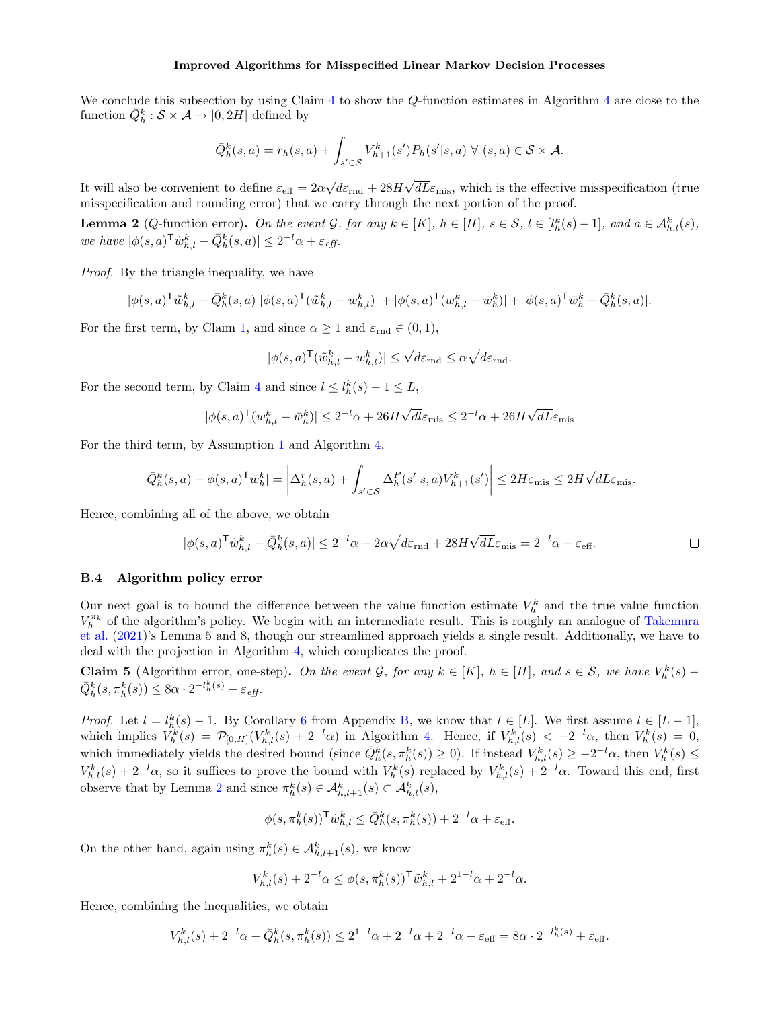We conclude this subsection by using Claim [4](#page-5-2) to show the Q-function estimates in Algorithm 4 are close to the function  $\bar{Q}_h^k : \mathcal{S} \times \mathcal{A} \to [0, 2H]$  defined by

$$
\bar{Q}_h^k(s, a) = r_h(s, a) + \int_{s' \in \mathcal{S}} V_{h+1}^k(s') P_h(s'|s, a) \ \forall \ (s, a) \in \mathcal{S} \times \mathcal{A}.
$$

It will also be convenient to define  $\varepsilon_{\text{eff}} = 2\alpha\sqrt{d\varepsilon_{\text{rnd}}} + 28H$ √  $dL\varepsilon_{\text{mis}}$ , which is the effective misspecification (true misspecification and rounding error) that we carry through the next portion of the proof.

<span id="page-15-0"></span>**Lemma 2** (Q-function error). On the event G, for any  $k \in [K]$ ,  $h \in [H]$ ,  $s \in S$ ,  $l \in [l_h^k(s) - 1]$ , and  $a \in \mathcal{A}_{h,l}^k(s)$ , we have  $|\phi(s, a)^\mathsf{T} \tilde{w}_{h,l}^k - \bar{Q}_h^k(s, a)| \leq 2^{-l} \alpha + \varepsilon_{\text{eff}}$ .

Proof. By the triangle inequality, we have

$$
|\phi(s,a)^{\mathsf{T}}\tilde{w}_{h,l}^k - \bar{Q}_h^k(s,a)||\phi(s,a)^{\mathsf{T}}(\tilde{w}_{h,l}^k - w_{h,l}^k)| + |\phi(s,a)^{\mathsf{T}}(w_{h,l}^k - \bar{w}_h^k)| + |\phi(s,a)^{\mathsf{T}}\bar{w}_h^k - \bar{Q}_h^k(s,a)|.
$$

For the first term, by Claim [1,](#page-11-7) and since  $\alpha \geq 1$  and  $\varepsilon_{\text{rnd}} \in (0, 1)$ ,

$$
|\phi(s,a)^\mathsf{T} (\tilde{w}^k_{h,l} - w^k_{h,l})| \leq \sqrt{d} \varepsilon_{\text{rnd}} \leq \alpha \sqrt{d \varepsilon_{\text{rnd}}}.
$$

For the second term, by Claim [4](#page-13-3) and since  $l \leq l_h^k(s) - 1 \leq L$ ,

$$
|\phi(s,a)^\mathsf{T} (w_{h,l}^k - \bar{w}_h^k)| \leq 2^{-l} \alpha + 26 H \sqrt{dl} \varepsilon_{\text{mis}} \leq 2^{-l} \alpha + 26 H \sqrt{dl} \varepsilon_{\text{mis}}
$$

For the third term, by Assumption [1](#page-3-0) and Algorithm [4,](#page-5-2)

$$
|\bar{Q}_h^k(s, a) - \phi(s, a)^\mathsf{T} \bar{w}_h^k| = \left| \Delta_h^r(s, a) + \int_{s' \in \mathcal{S}} \Delta_h^P(s'|s, a) V_{h+1}^k(s') \right| \leq 2H\varepsilon_{\text{mis}} \leq 2H\sqrt{dL}\varepsilon_{\text{mis}}.
$$

Hence, combining all of the above, we obtain

$$
|\phi(s,a)^\mathsf{T}\tilde{w}_{h,l}^k - \bar{Q}_h^k(s,a)| \le 2^{-l}\alpha + 2\alpha\sqrt{d\varepsilon_{\rm rnd}} + 28H\sqrt{dL}\varepsilon_{\rm mis} = 2^{-l}\alpha + \varepsilon_{\rm eff}.
$$

#### <span id="page-15-2"></span>B.4 Algorithm policy error

Our next goal is to bound the difference between the value function estimate  $V_h^k$  and the true value function  $V_h^{\pi_k}$  of the algorithm's policy. We begin with an intermediate result. This is roughly an analogue of [Takemura](#page-9-1) [et al.](#page-9-1) [\(2021\)](#page-9-1)'s Lemma 5 and 8, though our streamlined approach yields a single result. Additionally, we have to deal with the projection in Algorithm [4,](#page-5-2) which complicates the proof.

<span id="page-15-1"></span>**Claim 5** (Algorithm error, one-step). On the event G, for any  $k \in [K]$ ,  $h \in [H]$ , and  $s \in S$ , we have  $V_h^k(s)$  $\bar{Q}_h^k(s, \pi_h^k(s)) \leq 8\alpha \cdot 2^{-l_h^k(s)} + \varepsilon_{\text{eff}}.$ 

*Proof.* Let  $l = l_h^k(s) - 1$ . By Corollary [6](#page-19-0) from Appendix [B,](#page-11-1) we know that  $l \in [L]$ . We first assume  $l \in [L-1]$ , which implies  $V_h^k(s) = \mathcal{P}_{[0,H]}(V_{h,l}^k(s) + 2^{-l}\alpha)$  in Algorithm [4.](#page-5-2) Hence, if  $V_{h,l}^k(s) < -2^{-l}\alpha$ , then  $V_h^k(s) = 0$ , which immediately yields the desired bound (since  $\overline{Q}_h^k(s, \pi_h^k(s)) \ge 0$ ). If instead  $V_{h,l}^k(s) \ge -2^{-l}\alpha$ , then  $V_h^k(s) \le$  $V_{h,l}^k(s) + 2^{-l}\alpha$ , so it suffices to prove the bound with  $V_h^k(s)$  replaced by  $V_{h,l}^k(s) + 2^{-l}\alpha$ . Toward this end, first observe that by Lemma [2](#page-15-0) and since  $\pi_h^k(s) \in \mathcal{A}_{h,l+1}^k(s) \subset \mathcal{A}_{h,l}^k(s)$ ,

$$
\phi(s,\pi^k_h(s))^{\mathsf{T}}\tilde{w}^k_{h,l}\leq \bar{Q}^k_h(s,\pi^k_h(s))+2^{-l}\alpha+\varepsilon_{\text{eff}}.
$$

On the other hand, again using  $\pi_h^k(s) \in \mathcal{A}_{h,l+1}^k(s)$ , we know

$$
V_{h,l}^k(s) + 2^{-l} \alpha \leq \phi(s, \pi_h^k(s))^\mathsf{T} \tilde{w}_{h,l}^k + 2^{1-l} \alpha + 2^{-l} \alpha.
$$

Hence, combining the inequalities, we obtain

$$
V_{h,l}^k(s)+2^{-l}\alpha-\bar{Q}_h^k(s,\pi_h^k(s))\leq 2^{1-l}\alpha+2^{-l}\alpha+2^{-l}\alpha+\varepsilon_{\text{eff}}=8\alpha\cdot 2^{-l_h^k(s)}+\varepsilon_{\text{eff}}.
$$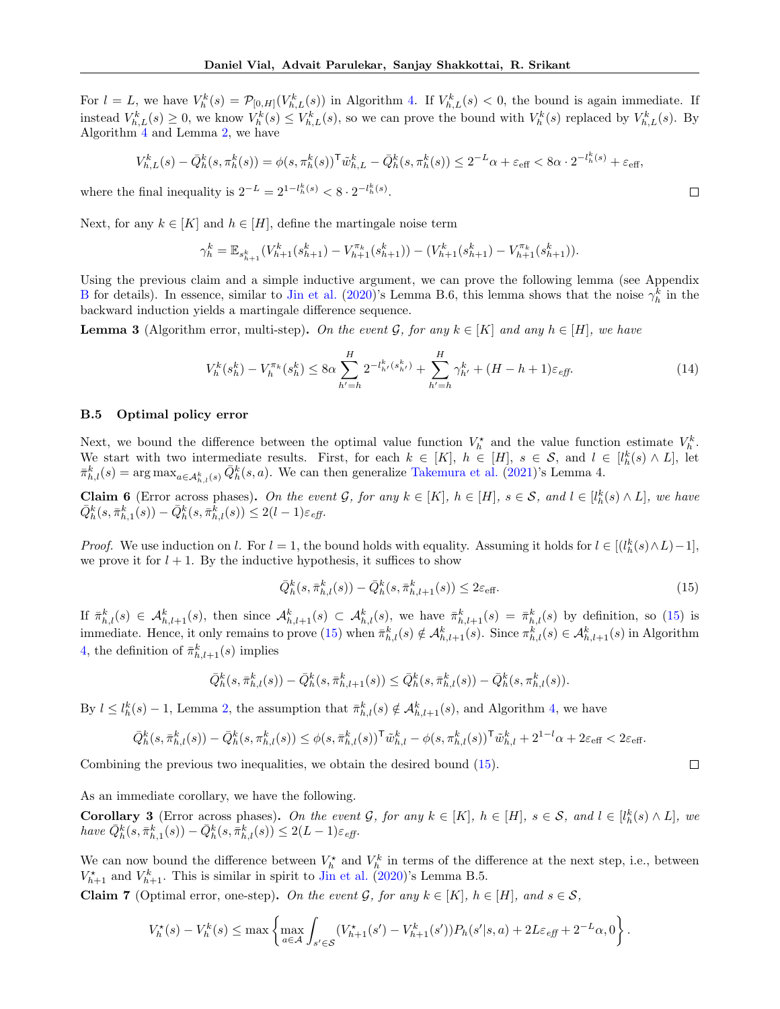For  $l = L$ , we have  $V_h^k(s) = \mathcal{P}_{[0,H]}(V_{h,L}^k(s))$  in Algorithm [4.](#page-5-2) If  $V_{h,L}^k(s) < 0$ , the bound is again immediate. If instead  $V_{h,L}^k(s) \geq 0$ , we know  $V_h^k(s) \leq V_{h,L}^k(s)$ , so we can prove the bound with  $V_h^k(s)$  replaced by  $V_{h,L}^k(s)$ . By Algorithm [4](#page-5-2) and Lemma [2,](#page-15-0) we have

$$
V_{h,L}^k(s) - \bar{Q}_h^k(s, \pi_h^k(s)) = \phi(s, \pi_h^k(s))^\mathsf{T} \tilde{w}_{h,L}^k - \bar{Q}_h^k(s, \pi_h^k(s)) \le 2^{-L} \alpha + \varepsilon_{\text{eff}} < 8\alpha \cdot 2^{-l_h^k(s)} + \varepsilon_{\text{eff}},
$$

where the final inequality is  $2^{-L} = 2^{1-l_h^k(s)} < 8 \cdot 2^{-l_h^k(s)}$ .

Next, for any  $k \in [K]$  and  $h \in [H]$ , define the martingale noise term

$$
\gamma_h^k = \mathbb{E}_{s_{h+1}^k}(V_{h+1}^k(s_{h+1}^k) - V_{h+1}^{\pi_k}(s_{h+1}^k)) - (V_{h+1}^k(s_{h+1}^k) - V_{h+1}^{\pi_k}(s_{h+1}^k)).
$$

Using the previous claim and a simple inductive argument, we can prove the following lemma (see Appendix [B](#page-11-1) for details). In essence, similar to [Jin et al.](#page-9-0) [\(2020\)](#page-9-0)'s Lemma B.6, this lemma shows that the noise  $\gamma_h^k$  in the backward induction yields a martingale difference sequence.

<span id="page-16-0"></span>**Lemma 3** (Algorithm error, multi-step). On the event G, for any  $k \in [K]$  and any  $h \in [H]$ , we have

$$
V_h^k(s_h^k) - V_h^{\pi_k}(s_h^k) \le 8\alpha \sum_{h'=h}^H 2^{-l_{h'}^k(s_{h'}^k)} + \sum_{h'=h}^H \gamma_{h'}^k + (H - h + 1)\varepsilon_{\text{eff}}.\tag{14}
$$

<span id="page-16-5"></span> $\Box$ 

<span id="page-16-3"></span> $\Box$ 

#### <span id="page-16-2"></span>B.5 Optimal policy error

Next, we bound the difference between the optimal value function  $V_h^*$  and the value function estimate  $V_h^k$ . We start with two intermediate results. First, for each  $k \in [K]$ ,  $h \in [H]$ ,  $s \in \mathcal{S}$ , and  $l \in [l_h^k(s) \wedge L]$ , let  $\bar{\pi}_{h,l}^k(s) = \arg \max_{a \in A_{h,l}^k(s)} \bar{Q}_h^k(s, a)$ . We can then generalize [Takemura et al.](#page-9-1) [\(2021\)](#page-9-1)'s Lemma 4.

<span id="page-16-1"></span>**Claim 6** (Error across phases). On the event G, for any  $k \in [K]$ ,  $h \in [H]$ ,  $s \in S$ , and  $l \in [l_h^k(s) \wedge L]$ , we have  $\bar{Q}_h^k(s,\bar{\pi}_{h,1}^k(s)) - \bar{Q}_h^k(s,\bar{\pi}_{h,l}^{\bar{k}}(s)) \leq 2(l-1)\varepsilon_{e\!f\!f}.$ 

*Proof.* We use induction on l. For  $l = 1$ , the bound holds with equality. Assuming it holds for  $l \in [(l_h^k(s) \wedge L) - 1]$ , we prove it for  $l + 1$ . By the inductive hypothesis, it suffices to show

$$
\bar{Q}_h^k(s, \bar{\pi}_{h,l}^k(s)) - \bar{Q}_h^k(s, \bar{\pi}_{h,l+1}^k(s)) \le 2\varepsilon_{\text{eff}}.\tag{15}
$$

If  $\bar{\pi}_{h,l}^k(s) \in \mathcal{A}_{h,l+1}^k(s)$ , then since  $\mathcal{A}_{h,l+1}^k(s) \subset \mathcal{A}_{h,l}^k(s)$ , we have  $\bar{\pi}_{h,l+1}^k(s) = \bar{\pi}_{h,l}^k(s)$  by definition, so [\(15\)](#page-16-3) is immediate. Hence, it only remains to prove [\(15\)](#page-16-3) when  $\bar{\pi}_{h,l}^k(s) \notin \mathcal{A}_{h,l+1}^k(s)$ . Since  $\pi_{h,l}^k(s) \in \mathcal{A}_{h,l+1}^k(s)$  in Algorithm [4,](#page-5-2) the definition of  $\bar{\pi}_{h,l+1}^k(s)$  implies

$$
\bar{Q}_h^k(s,\bar{\pi}_{h,l}^k(s))-\bar{Q}_h^k(s,\bar{\pi}_{h,l+1}^k(s))\leq \bar{Q}_h^k(s,\bar{\pi}_{h,l}^k(s))-\bar{Q}_h^k(s,\pi_{h,l}^k(s)).
$$

By  $l \leq l_h^k(s) - 1$ , Lemma [2,](#page-15-0) the assumption that  $\bar{\pi}_{h,l}^k(s) \notin \mathcal{A}_{h,l+1}^k(s)$ , and Algorithm [4,](#page-5-2) we have

$$
\bar{Q}_{h}^{k}(s,\bar{\pi}_{h,l}^{k}(s)) - \bar{Q}_{h}^{k}(s,\pi_{h,l}^{k}(s)) \leq \phi(s,\bar{\pi}_{h,l}^{k}(s))^{\top} \tilde{w}_{h,l}^{k} - \phi(s,\pi_{h,l}^{k}(s))^{\top} \tilde{w}_{h,l}^{k} + 2^{1-l} \alpha + 2\varepsilon_{\text{eff}} < 2\varepsilon_{\text{eff}}.
$$

Combining the previous two inequalities, we obtain the desired bound [\(15\)](#page-16-3).

As an immediate corollary, we have the following.

<span id="page-16-4"></span>**Corollary 3** (Error across phases). On the event G, for any  $k \in [K]$ ,  $h \in [H]$ ,  $s \in S$ , and  $l \in [l_h^k(s) \wedge L]$ , we have  $\bar{Q}_h^k(s, \bar{\pi}_{h,1}^k(s)) - \bar{Q}_h^k(s, \bar{\pi}_{h,l}^k(s)) \leq 2(L-1)\varepsilon_{\text{eff}}$ .

We can now bound the difference between  $V_h^{\star}$  and  $V_h^k$  in terms of the difference at the next step, i.e., between  $V_{h+1}^*$  and  $V_{h+1}^k$ . This is similar in spirit to [Jin et al.](#page-9-0) [\(2020\)](#page-9-0)'s Lemma B.5.

<span id="page-16-6"></span>**Claim 7** (Optimal error, one-step). On the event G, for any  $k \in [K]$ ,  $h \in [H]$ , and  $s \in S$ ,

$$
V_h^{\star}(s) - V_h^k(s) \le \max \left\{ \max_{a \in \mathcal{A}} \int_{s' \in \mathcal{S}} (V_{h+1}^{\star}(s') - V_{h+1}^k(s')) P_h(s'|s, a) + 2L\varepsilon_{\text{eff}} + 2^{-L}\alpha, 0 \right\}.
$$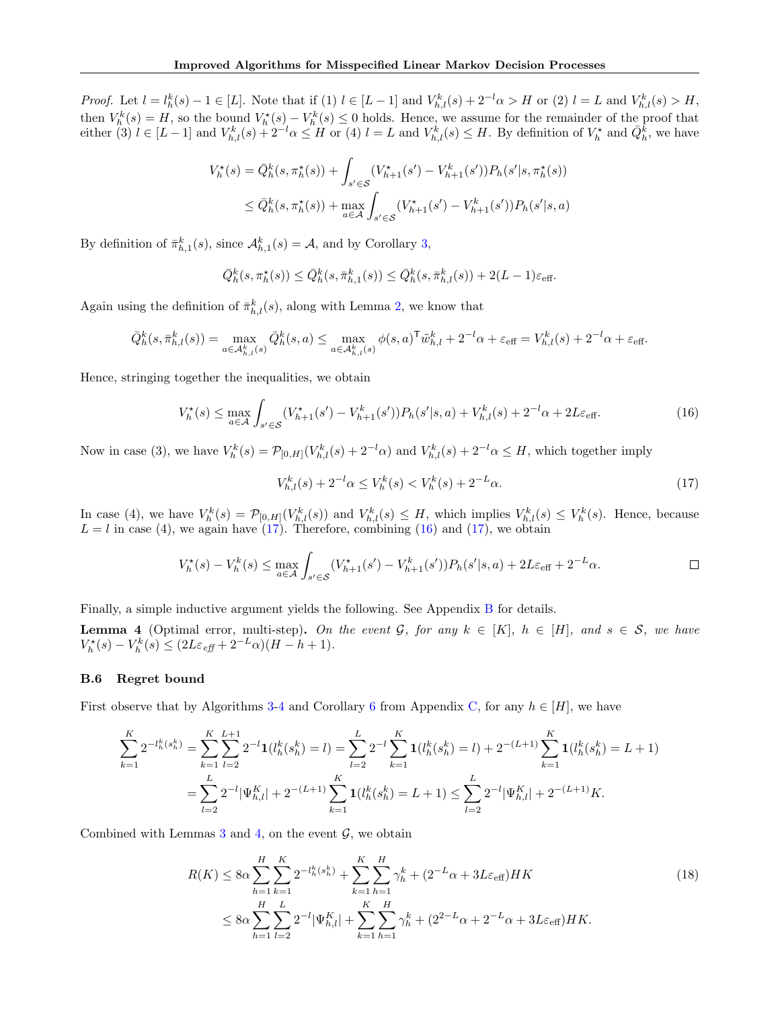*Proof.* Let  $l = l_h^k(s) - 1 \in [L]$ . Note that if (1)  $l \in [L-1]$  and  $V_{h,l}^k(s) + 2^{-l} \alpha > H$  or (2)  $l = L$  and  $V_{h,l}^k(s) > H$ , then  $V_h^k(s) = H$ , so the bound  $V_h^*(s) - V_h^k(s) \leq 0$  holds. Hence, we assume for the remainder of the proof that either (3)  $l \in [L-1]$  and  $V_{h,l}^k(s) + 2^{-l} \alpha \leq H$  or (4)  $l = L$  and  $V_{h,l}^k(s) \leq H$ . By definition of  $V_h^*$  and  $\bar{Q}_h^{\bar{k}}$ , we have

$$
V_h^{\star}(s) = \bar{Q}_h^k(s, \pi_h^{\star}(s)) + \int_{s' \in \mathcal{S}} (V_{h+1}^{\star}(s') - V_{h+1}^k(s')) P_h(s'|s, \pi_h^{\star}(s))
$$
  

$$
\leq \bar{Q}_h^k(s, \pi_h^{\star}(s)) + \max_{a \in \mathcal{A}} \int_{s' \in \mathcal{S}} (V_{h+1}^{\star}(s') - V_{h+1}^k(s')) P_h(s'|s, a)
$$

By definition of  $\bar{\pi}_{h,1}^k(s)$ , since  $\mathcal{A}_{h,1}^k(s) = \mathcal{A}$ , and by Corollary [3,](#page-16-4)

$$
\bar{Q}_h^k(s, \pi_h^*(s)) \le \bar{Q}_h^k(s, \bar{\pi}_{h,1}^k(s)) \le \bar{Q}_h^k(s, \bar{\pi}_{h,l}^k(s)) + 2(L-1)\varepsilon_{\text{eff}}.
$$

Again using the definition of  $\bar{\pi}_{h,l}^k(s)$ , along with Lemma [2,](#page-15-0) we know that

$$
\bar{Q}_h^k(s, \bar{\pi}_{h,l}^k(s)) = \max_{a \in \mathcal{A}_{h,l}^k(s)} \bar{Q}_h^k(s, a) \le \max_{a \in \mathcal{A}_{h,l}^k(s)} \phi(s, a)^\mathsf{T} \tilde{w}_{h,l}^k + 2^{-l} \alpha + \varepsilon_{\text{eff}} = V_{h,l}^k(s) + 2^{-l} \alpha + \varepsilon_{\text{eff}}.
$$

Hence, stringing together the inequalities, we obtain

$$
V_h^*(s) \le \max_{a \in \mathcal{A}} \int_{s' \in \mathcal{S}} (V_{h+1}^*(s') - V_{h+1}^*(s')) P_h(s'|s, a) + V_{h,l}^*(s) + 2^{-l}\alpha + 2L\varepsilon_{\text{eff}}.
$$
 (16)

Now in case (3), we have  $V_h^k(s) = \mathcal{P}_{[0,H]}(V_{h,l}^k(s) + 2^{-l}\alpha)$  and  $V_{h,l}^k(s) + 2^{-l}\alpha \leq H$ , which together imply

<span id="page-17-3"></span><span id="page-17-2"></span>
$$
V_{h,l}^{k}(s) + 2^{-l}\alpha \le V_h^{k}(s) < V_h^{k}(s) + 2^{-L}\alpha. \tag{17}
$$

In case (4), we have  $V_h^k(s) = \mathcal{P}_{[0,H]}(V_{h,l}^k(s))$  and  $V_{h,l}^k(s) \leq H$ , which implies  $V_{h,l}^k(s) \leq V_h^k(s)$ . Hence, because  $L = l$  in case (4), we again have [\(17\)](#page-17-2). Therefore, combining [\(16\)](#page-17-3) and (17), we obtain

$$
V_h^{\star}(s) - V_h^k(s) \le \max_{a \in \mathcal{A}} \int_{s' \in \mathcal{S}} (V_{h+1}^{\star}(s') - V_{h+1}^k(s')) P_h(s'|s, a) + 2L\varepsilon_{\text{eff}} + 2^{-L}\alpha.
$$

Finally, a simple inductive argument yields the following. See Appendix [B](#page-11-1) for details.

<span id="page-17-0"></span>**Lemma 4** (Optimal error, multi-step). On the event G, for any  $k \in [K]$ ,  $h \in [H]$ , and  $s \in S$ , we have  $V_h^{\star}(s) - V_h^k(s) \le (2L\varepsilon_{\text{eff}} + 2^{-L}\alpha)(H - h + 1).$ 

#### <span id="page-17-1"></span>B.6 Regret bound

First observe that by Algorithms [3-4](#page-5-2) and Corollary [6](#page-19-0) from Appendix [C,](#page-18-0) for any  $h \in [H]$ , we have

$$
\sum_{k=1}^{K} 2^{-l_h^k(s_h^k)} = \sum_{k=1}^{K} \sum_{l=2}^{L+1} 2^{-l} \mathbf{1}(l_h^k(s_h^k) = l) = \sum_{l=2}^{L} 2^{-l} \sum_{k=1}^{K} \mathbf{1}(l_h^k(s_h^k) = l) + 2^{-(L+1)} \sum_{k=1}^{K} \mathbf{1}(l_h^k(s_h^k) = L+1)
$$
  
= 
$$
\sum_{l=2}^{L} 2^{-l} |\Psi_{h,l}^K| + 2^{-(L+1)} \sum_{k=1}^{K} \mathbf{1}(l_h^k(s_h^k) = L+1) \le \sum_{l=2}^{L} 2^{-l} |\Psi_{h,l}^K| + 2^{-(L+1)} K.
$$

Combined with Lemmas [3](#page-16-0) and [4,](#page-17-0) on the event  $\mathcal{G}$ , we obtain

<span id="page-17-4"></span>
$$
R(K) \le 8\alpha \sum_{h=1}^{H} \sum_{k=1}^{K} 2^{-l_h^k(s_h^k)} + \sum_{k=1}^{K} \sum_{h=1}^{H} \gamma_h^k + (2^{-L}\alpha + 3L\varepsilon_{\text{eff}})HK
$$
\n
$$
\le 8\alpha \sum_{h=1}^{H} \sum_{l=2}^{L} 2^{-l} |\Psi_{h,l}^K| + \sum_{k=1}^{K} \sum_{h=1}^{H} \gamma_h^k + (2^{2-L}\alpha + 2^{-L}\alpha + 3L\varepsilon_{\text{eff}})HK.
$$
\n(18)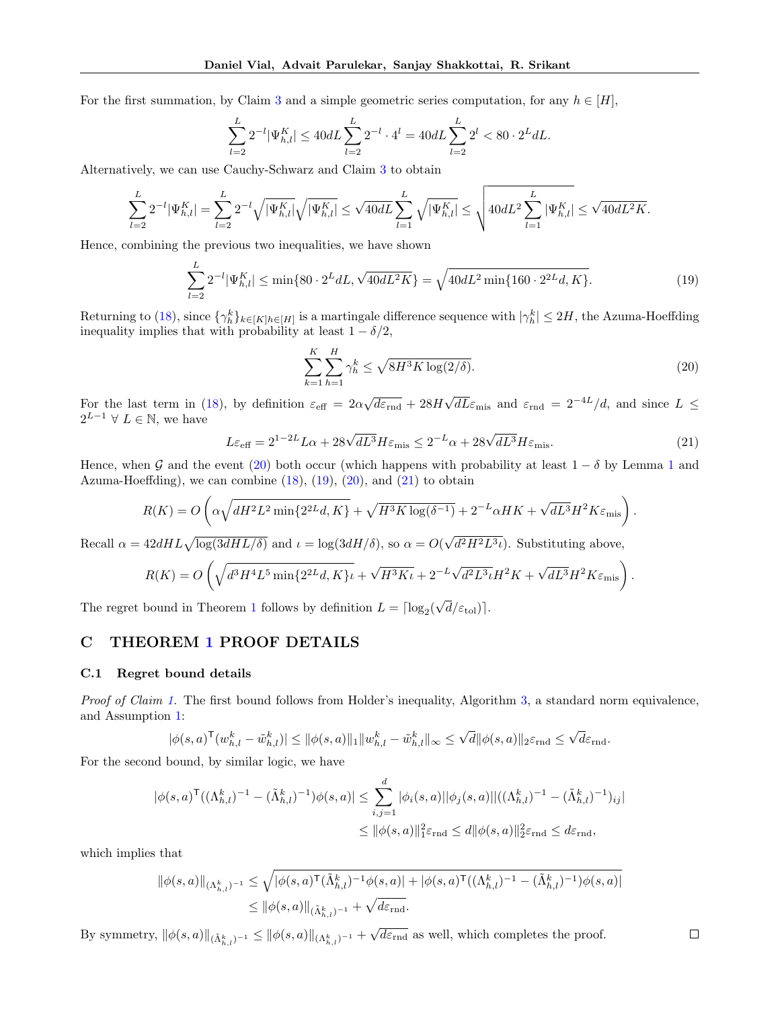For the first summation, by Claim [3](#page-12-1) and a simple geometric series computation, for any  $h \in [H]$ ,

$$
\sum_{l=2}^{L} 2^{-l} |\Psi_{h,l}^{K}| \le 40 dL \sum_{l=2}^{L} 2^{-l} \cdot 4^{l} = 40 dL \sum_{l=2}^{L} 2^{l} < 80 \cdot 2^{L} dL.
$$

Alternatively, we can use Cauchy-Schwarz and Claim [3](#page-12-1) to obtain

$$
\sum_{l=2}^L 2^{-l} |\Psi^K_{h,l}| = \sum_{l=2}^L 2^{-l} \sqrt{|\Psi^K_{h,l}|} \sqrt{|\Psi^K_{h,l}|} \leq \sqrt{40dL} \sum_{l=1}^L \sqrt{|\Psi^K_{h,l}|} \leq \sqrt{40dL^2 \sum_{l=1}^L |\Psi^K_{h,l}|} \leq \sqrt{40dL^2K}.
$$

Hence, combining the previous two inequalities, we have shown

$$
\sum_{l=2}^{L} 2^{-l} |\Psi_{h,l}^{K}| \le \min\{80 \cdot 2^{L} dL, \sqrt{40dL^{2}K}\} = \sqrt{40dL^{2} \min\{160 \cdot 2^{2L} d, K\}}.
$$
\n(19)

Returning to [\(18\)](#page-17-4), since  $\{\gamma_h^k\}_{k \in [K]}\}_{h \in [H]}$  is a martingale difference sequence with  $|\gamma_h^k| \leq 2H$ , the Azuma-Hoeffding inequality implies that with probability at least  $1 - \delta/2$ ,

<span id="page-18-3"></span><span id="page-18-2"></span><span id="page-18-1"></span>
$$
\sum_{k=1}^{K} \sum_{h=1}^{H} \gamma_h^k \le \sqrt{8H^3 K \log(2/\delta)}.
$$
\n(20)

For the last term in [\(18\)](#page-17-4), by definition  $\varepsilon_{\text{eff}} = 2\alpha \sqrt{d\varepsilon_{\text{rnd}}} + 28H$  $\sqrt{dL}\varepsilon_{\rm mis}$  and  $\varepsilon_{\rm rnd} = 2^{-4L}/d$ , and since  $L \leq$  $2^{L-1} \forall L \in \mathbb{N}$ , we have

$$
L\varepsilon_{\text{eff}} = 2^{1-2L}L\alpha + 28\sqrt{dL^3}H\varepsilon_{\text{mis}} \le 2^{-L}\alpha + 28\sqrt{dL^3}H\varepsilon_{\text{mis}}.\tag{21}
$$

Hence, when G and the event [\(20\)](#page-18-1) both occur (which happens with probability at least  $1 - \delta$  $1 - \delta$  by Lemma 1 and Azuma-Hoeffding), we can combine  $(18)$ ,  $(19)$ ,  $(20)$ , and  $(21)$  to obtain

$$
R(K) = O\left(\alpha \sqrt{dH^2L^2 \min\{2^{2L}d, K\}} + \sqrt{H^3K \log(\delta^{-1})} + 2^{-L}\alpha HK + \sqrt{dL^3}H^2K\varepsilon_{\text{mis}}\right).
$$
  
=  $42dHL\sqrt{\log(3dHL/\delta)}$  and  $\iota = \log(3dH/\delta)$ , so  $\alpha = O(\sqrt{d^2H^2L^3\iota})$ . Substituting above,

$$
R(K) = O\left(\sqrt{d^3 H^4 L^5 \min\{2^{2L} d, K\}_\iota} + \sqrt{H^3 K \iota} + 2^{-L} \sqrt{d^2 L^3 \iota} H^2 K + \sqrt{d L^3} H^2 K \varepsilon_{\text{mis}}\right).
$$

The regret bound in Theorem [1](#page-6-1) follows by definition  $L = \lceil \log_2(\frac{1}{2}) \rceil$  $d/\varepsilon_{\text{tol}})$ ].

### <span id="page-18-0"></span>C THEOREM [1](#page-6-1) PROOF DETAILS

### C.1 Regret bound details

Recall  $\alpha$  =

Proof of Claim [1.](#page-11-7) The first bound follows from Holder's inequality, Algorithm [3,](#page-5-2) a standard norm equivalence, and Assumption [1:](#page-3-0)

$$
|\phi(s,a)^\mathsf{T} (w_{h,l}^k - \tilde w_{h,l}^k)| \le ||\phi(s,a)||_1 \|w_{h,l}^k - \tilde w_{h,l}^k\|_\infty \le \sqrt{d} \|\phi(s,a)\|_2 \varepsilon_{\text{rnd}} \le \sqrt{d} \varepsilon_{\text{rnd}}.
$$

For the second bound, by similar logic, we have

$$
|\phi(s,a)^{\mathsf{T}}((\Lambda_{h,l}^k)^{-1} - (\tilde{\Lambda}_{h,l}^k)^{-1})\phi(s,a)| \leq \sum_{i,j=1}^d |\phi_i(s,a)||\phi_j(s,a)||((\Lambda_{h,l}^k)^{-1} - (\tilde{\Lambda}_{h,l}^k)^{-1})_{ij}|
$$
  

$$
\leq ||\phi(s,a)||_1^2 \varepsilon_{\rm rnd} \leq d||\phi(s,a)||_2^2 \varepsilon_{\rm rnd} \leq d\varepsilon_{\rm rnd},
$$

which implies that

$$
\begin{split} \|\phi(s,a)\|_{(\Lambda_{h,l}^k)^{-1}} &\leq \sqrt{|\phi(s,a)^\mathsf{T}(\tilde{\Lambda}_{h,l}^k)^{-1}\phi(s,a)|} + |\phi(s,a)^\mathsf{T}((\Lambda_{h,l}^k)^{-1} - (\tilde{\Lambda}_{h,l}^k)^{-1})\phi(s,a)| \\ &\leq \|\phi(s,a)\|_{(\tilde{\Lambda}_{h,l}^k)^{-1}} + \sqrt{d\varepsilon_{\text{rnd}}} \end{split}
$$

By symmetry,  $\|\phi(s, a)\|_{(\tilde{\Lambda}_{h,l}^k)^{-1}} \le \|\phi(s, a)\|_{(\Lambda_{h,l}^k)^{-1}} + \sqrt{d\varepsilon_{\text{rnd}}}$  as well, which completes the proof.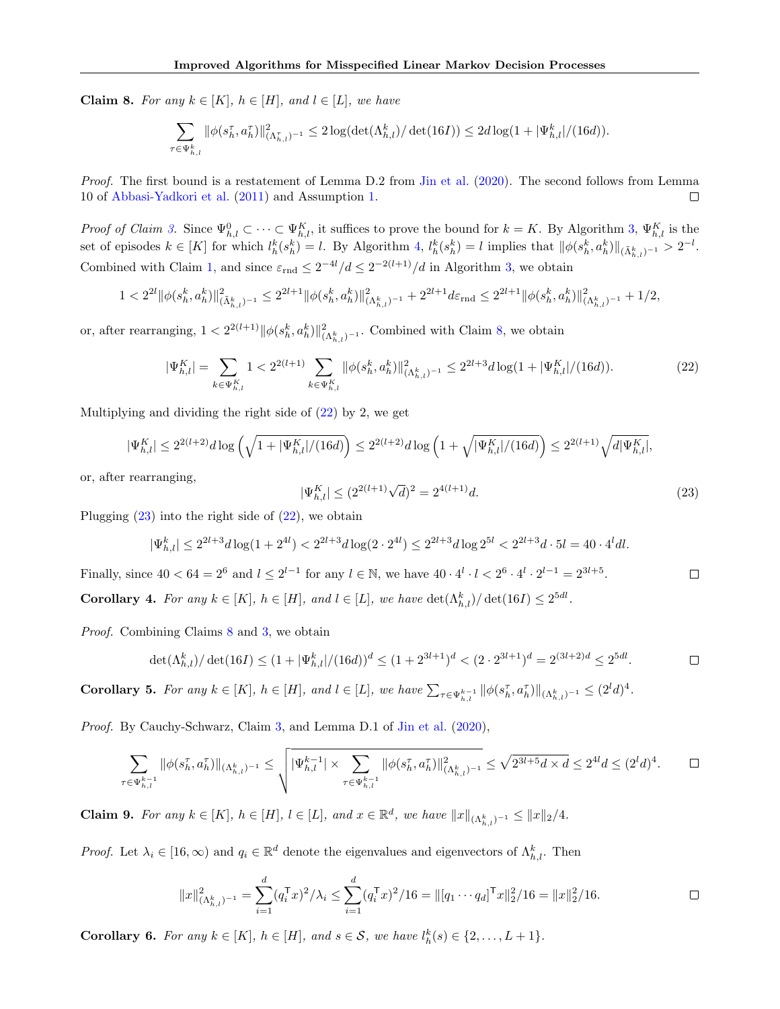<span id="page-19-2"></span>**Claim 8.** For any  $k \in [K]$ ,  $h \in [H]$ , and  $l \in [L]$ , we have

$$
\sum_{\tau \in \Psi_{h,l}^k} \|\phi(s_h^{\tau}, a_h^{\tau})\|_{(\Lambda_{h,l}^{\tau})^{-1}}^2 \leq 2\log(\det(\Lambda_{h,l}^k)/\det(16I)) \leq 2d\log(1+|\Psi_{h,l}^k|/(16d)).
$$

Proof. The first bound is a restatement of Lemma D.2 from [Jin et al.](#page-9-0) [\(2020\)](#page-9-0). The second follows from Lemma 10 of [Abbasi-Yadkori et al.](#page-8-2) [\(2011\)](#page-8-2) and Assumption [1.](#page-3-0) П

*Proof of Claim [3.](#page-12-1)* Since  $\Psi_{h,l}^0 \subset \cdots \subset \Psi_{h,l}^K$ , it suffices to prove the bound for  $k = K$ . By Algorithm [3,](#page-5-2)  $\Psi_{h,l}^K$  is the set of episodes  $k \in [K]$  for which  $l_h^k(s_h^k) = l$ . By Algorithm [4,](#page-5-2)  $l_h^k(s_h^k) = l$  implies that  $\|\phi(s_h^k, a_h^k)\|_{(\tilde{\Lambda}_{h,l}^k)^{-1}} > 2^{-l}$ . Combined with Claim [1,](#page-11-7) and since  $\varepsilon_{\text{rnd}} \leq 2^{-4l}/d \leq 2^{-2(l+1)}/d$  in Algorithm [3,](#page-5-2) we obtain

$$
1<2^{2l}\|\phi(s_h^k,a_h^k)\|^2_{(\tilde{\Lambda}_{h,l}^k)^{-1}}\leq 2^{2l+1}\|\phi(s_h^k,a_h^k)\|^2_{(\Lambda_{h,l}^k)^{-1}}+2^{2l+1}d\varepsilon_{\mathrm{rnd}}\leq 2^{2l+1}\|\phi(s_h^k,a_h^k)\|^2_{(\Lambda_{h,l}^k)^{-1}}+1/2,
$$

or, after rearranging,  $1 < 2^{2(l+1)} \|\phi(s_h^k, a_h^k)\|_{(\Lambda_{h,l}^k)^{-1}}^2$ . Combined with Claim [8,](#page-19-2) we obtain

$$
|\Psi_{h,l}^{K}| = \sum_{k \in \Psi_{h,l}^{K}} 1 < 2^{2(l+1)} \sum_{k \in \Psi_{h,l}^{K}} \| \phi(s_h^k, a_h^k) \|_{(\Lambda_{h,l}^k)^{-1}}^2 \le 2^{2l+3} d \log(1 + |\Psi_{h,l}^{K}| / (16d)). \tag{22}
$$

Multiplying and dividing the right side of [\(22\)](#page-19-3) by 2, we get

$$
|\Psi^K_{h,l}| \leq 2^{2(l+2)}d\log\left(\sqrt{1+|\Psi^K_{h,l}|/(16d)}\right) \leq 2^{2(l+2)}d\log\left(1+\sqrt{|\Psi^K_{h,l}|/(16d)}\right) \leq 2^{2(l+1)}\sqrt{d|\Psi^K_{h,l}|},
$$

or, after rearranging,

<span id="page-19-4"></span><span id="page-19-3"></span>
$$
|\Psi_{h,l}^K| \le (2^{2(l+1)}\sqrt{d})^2 = 2^{4(l+1)}d. \tag{23}
$$

Plugging  $(23)$  into the right side of  $(22)$ , we obtain

$$
|\Psi_{h,l}^k| \le 2^{2l+3}d\log(1+2^{4l}) < 2^{2l+3}d\log(2\cdot 2^{4l}) \le 2^{2l+3}d\log 2^{5l} < 2^{2l+3}d\cdot 5l = 40\cdot 4^l d l.
$$
  
Finally, since  $40 < 64 = 2^6$  and  $l \le 2^{l-1}$  for any  $l \in \mathbb{N}$ , we have  $40 \cdot 4^l \cdot l < 2^6 \cdot 4^l \cdot 2^{l-1} = 2^{3l+5}$ .

<span id="page-19-6"></span>**Corollary 4.** For any  $k \in [K]$ ,  $h \in [H]$ , and  $l \in [L]$ , we have  $\det(\Lambda_{h,l}^k)/\det(16I) \leq 2^{5dl}$ .

Proof. Combining Claims [8](#page-19-2) and [3,](#page-12-1) we obtain

$$
\det(\Lambda_{h,l}^k)/\det(16I) \le (1+|\Psi_{h,l}^k|/(16d))^d \le (1+2^{3l+1})^d < (2\cdot 2^{3l+1})^d = 2^{(3l+2)d} \le 2^{5dl}.
$$

<span id="page-19-5"></span>**Corollary 5.** For any  $k \in [K]$ ,  $h \in [H]$ , and  $l \in [L]$ , we have  $\sum_{\tau \in \Psi_{h,l}^{k-1}} ||\phi(s_h^{\tau}, a_h^{\tau})||_{(\Lambda_{h,l}^k)^{-1}} \leq (2^l d)^4$ .

Proof. By Cauchy-Schwarz, Claim [3,](#page-12-1) and Lemma D.1 of [Jin et al.](#page-9-0) [\(2020\)](#page-9-0),

$$
\sum_{\tau \in \Psi_{h,l}^{k-1}} \|\phi(s_h^{\tau}, a_h^{\tau})\|_{(\Lambda_{h,l}^k)^{-1}} \leq \sqrt{|\Psi_{h,l}^{k-1}| \times \sum_{\tau \in \Psi_{h,l}^{k-1}} \|\phi(s_h^{\tau}, a_h^{\tau})\|_{(\Lambda_{h,l}^k)^{-1}}^2} \leq \sqrt{2^{3l+5}d \times d} \leq 2^{4l}d \leq (2^l d)^4.
$$

<span id="page-19-1"></span>**Claim 9.** For any  $k \in [K]$ ,  $h \in [H]$ ,  $l \in [L]$ , and  $x \in \mathbb{R}^d$ , we have  $||x||_{(\Lambda_{h,l}^k)^{-1}} \leq ||x||_2/4$ .

*Proof.* Let  $\lambda_i \in [16, \infty)$  and  $q_i \in \mathbb{R}^d$  denote the eigenvalues and eigenvectors of  $\Lambda_{h,l}^k$ . Then

$$
||x||_{(\Lambda_{h,l}^k)^{-1}}^2 = \sum_{i=1}^d (q_i^{\mathsf{T}} x)^2 / \lambda_i \le \sum_{i=1}^d (q_i^{\mathsf{T}} x)^2 / 16 = ||[q_1 \cdots q_d]^{\mathsf{T}} x||_2^2 / 16 = ||x||_2^2 / 16.
$$

<span id="page-19-0"></span>**Corollary 6.** For any  $k \in [K]$ ,  $h \in [H]$ , and  $s \in S$ , we have  $l_h^k(s) \in \{2, ..., L+1\}$ .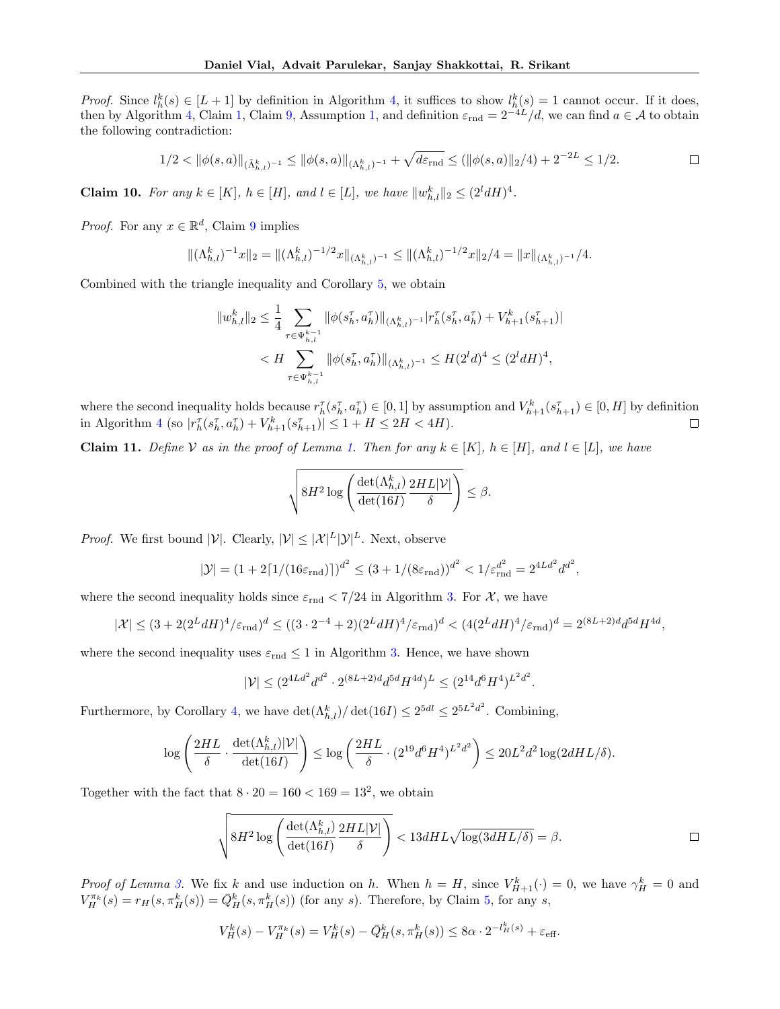*Proof.* Since  $l_h^k(s) \in [L+1]$  by definition in Algorithm [4,](#page-5-2) it suffices to show  $l_h^k(s) = 1$  cannot occur. If it does, then by Algorithm [4,](#page-5-2) Claim [1,](#page-3-0) Claim [9,](#page-19-1) Assumption 1, and definition  $\varepsilon_{\text{rnd}} = 2^{-4L}/d$ , we can find  $a \in \mathcal{A}$  to obtain the following contradiction:

$$
1/2 < \|\phi(s,a)\|_{(\tilde{\Lambda}_{h,l}^k)^{-1}} \le \|\phi(s,a)\|_{(\Lambda_{h,l}^k)^{-1}} + \sqrt{d\varepsilon_{\rm rnd}} \le (\|\phi(s,a)\|_2/4) + 2^{-2L} \le 1/2.
$$

<span id="page-20-0"></span>**Claim 10.** For any  $k \in [K]$ ,  $h \in [H]$ , and  $l \in [L]$ , we have  $||w_{h,l}^{k}||_2 \leq (2^l dH)^4$ .

*Proof.* For any  $x \in \mathbb{R}^d$ , Claim [9](#page-19-1) implies

$$
\|(\Lambda_{h,l}^k)^{-1}x\|_2 = \|(\Lambda_{h,l}^k)^{-1/2}x\|_{(\Lambda_{h,l}^k)^{-1}} \le \|\Lambda_{h,l}^k)^{-1/2}x\|_2/4 = \|x\|_{(\Lambda_{h,l}^k)^{-1}}/4.
$$

Combined with the triangle inequality and Corollary [5,](#page-19-5) we obtain

$$
\begin{aligned} \|w_{h,l}^{k}\|_2 &\leq \frac{1}{4}\sum_{\tau \in \Psi_{h,l}^{k-1}}\|\phi(s_{h}^{\tau},a_{h}^{\tau})\|_{(\Lambda_{h,l}^{k})^{-1}} |r_{h}^{\tau}(s_{h}^{\tau},a_{h}^{\tau}) + V_{h+1}^{k}(s_{h+1}^{\tau})| \\ &\leq H\sum_{\tau \in \Psi_{h,l}^{k-1}}\|\phi(s_{h}^{\tau},a_{h}^{\tau})\|_{(\Lambda_{h,l}^{k})^{-1}} \leq H(2^{l}d)^{4} \leq (2^{l}dH)^{4}, \end{aligned}
$$

where the second inequality holds because  $r_h^{\tau}(s_h^{\tau}, a_h^{\tau}) \in [0, 1]$  by assumption and  $V_{h+1}^k(s_{h+1}^{\tau}) \in [0, H]$  by definition in Algorithm [4](#page-5-2) (so  $|r_h^{\tau}(s_h^{\tau}, a_h^{\tau}) + V_{h+1}^k(s_{h+1}^{\tau})| \leq 1 + H \leq 2H < 4H$ ).  $\Box$ 

<span id="page-20-1"></span>**Claim 1[1.](#page-12-0)** Define V as in the proof of Lemma 1. Then for any  $k \in [K]$ ,  $h \in [H]$ , and  $l \in [L]$ , we have

$$
\sqrt{8H^2\log\left(\frac{\det(\Lambda_{h,l}^k)}{\det(16I)}\frac{2HL|{\mathcal V}|}{\delta}\right)}\leq \beta.
$$

*Proof.* We first bound  $|\mathcal{V}|$ . Clearly,  $|\mathcal{V}| \leq |\mathcal{X}|^L |\mathcal{Y}|^L$ . Next, observe

$$
|\mathcal{Y}| = (1 + 2\lceil 1/(16\varepsilon_{\rm rnd})\rceil)^{d^2} \le (3 + 1/(8\varepsilon_{\rm rnd}))^{d^2} < 1/\varepsilon_{\rm rnd}^{d^2} = 2^{4Ld^2} d^{d^2},
$$

where the second inequality holds since  $\varepsilon_{\text{rnd}} < 7/24$  in Algorithm [3.](#page-5-2) For X, we have

$$
|\mathcal{X}| \le (3 + 2(2^L d H)^4 / \varepsilon_{\text{rnd}})^d \le ((3 \cdot 2^{-4} + 2)(2^L d H)^4 / \varepsilon_{\text{rnd}})^d < (4(2^L d H)^4 / \varepsilon_{\text{rnd}})^d = 2^{(8L + 2)d} d^{5d} H^{4d},
$$

where the second inequality uses  $\varepsilon_{\text{rnd}} \leq 1$  in Algorithm [3.](#page-5-2) Hence, we have shown

$$
|\mathcal{V}| \leq (2^{4Ld^2}d^{d^2} \cdot 2^{(8L+2)d}d^{5d}H^{4d})^L \leq (2^{14}d^6H^4)^{L^2d^2}
$$

Furthermore, by Corollary [4,](#page-19-6) we have  $\det(\Lambda_{h,l}^k)/\det(16I) \leq 2^{5dl} \leq 2^{5L^2d^2}$ . Combining,

$$
\log\left(\frac{2HL}{\delta}\cdot\frac{\det(\Lambda_{h,l}^k)|\mathcal{V}|}{\det(16I)}\right)\leq \log\left(\frac{2HL}{\delta}\cdot(2^{19}d^6H^4)^{L^2d^2}\right)\leq 20L^2d^2\log(2dHL/\delta).
$$

Together with the fact that  $8 \cdot 20 = 160 < 169 = 13^2$ , we obtain

$$
\sqrt{8H^2\log\left(\frac{\det(\Lambda_{h,l}^k)}{\det(16I)}\frac{2HL|{\mathcal V}|}{\delta}\right)} < 13dHL\sqrt{\log(3dHL/\delta)} = \beta.
$$

.

*Proof of Lemma [3.](#page-16-0)* We fix k and use induction on h. When  $h = H$ , since  $V_{H+1}^k(\cdot) = 0$ , we have  $\gamma_H^k = 0$  and  $V_H^{\pi_k}(s) = r_H(s, \pi_H^k(s)) = \overline{Q}_H^k(s, \pi_H^k(s))$  (for any s). Therefore, by Claim [5,](#page-15-1) for any s,

$$
V_H^k(s) - V_H^{\pi_k}(s) = V_H^k(s) - \bar{Q}_H^k(s, \pi_H^k(s)) \le 8\alpha \cdot 2^{-l_H^k(s)} + \varepsilon_{\text{eff}}.
$$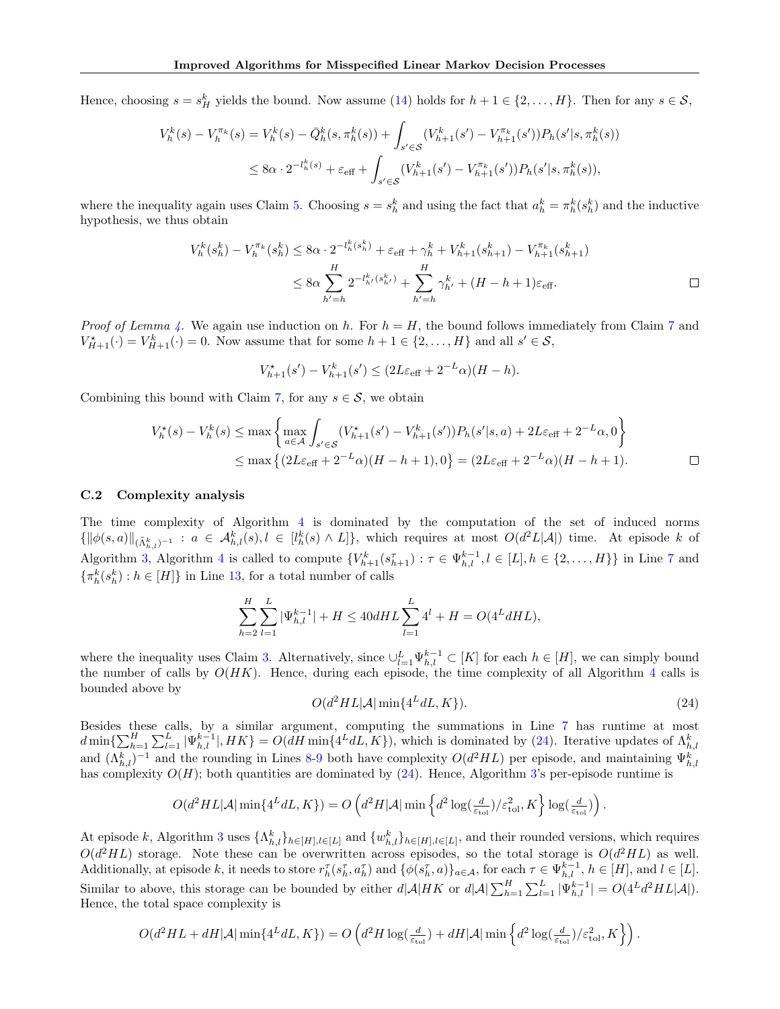Hence, choosing  $s = s_H^k$  yields the bound. Now assume [\(14\)](#page-16-5) holds for  $h + 1 \in \{2, ..., H\}$ . Then for any  $s \in \mathcal{S}$ ,

$$
V_h^k(s) - V_h^{\pi_k}(s) = V_h^k(s) - \bar{Q}_h^k(s, \pi_h^k(s)) + \int_{s' \in \mathcal{S}} (V_{h+1}^k(s') - V_{h+1}^{\pi_k}(s')) P_h(s'|s, \pi_h^k(s))
$$
  

$$
\leq 8\alpha \cdot 2^{-l_h^k(s)} + \varepsilon_{\text{eff}} + \int_{s' \in \mathcal{S}} (V_{h+1}^k(s') - V_{h+1}^{\pi_k}(s')) P_h(s'|s, \pi_h^k(s)),
$$

where the inequality again uses Claim [5.](#page-15-1) Choosing  $s = s_h^k$  and using the fact that  $a_h^k = \pi_h^k(s_h^k)$  and the inductive hypothesis, we thus obtain

$$
V_h^k(s_h^k) - V_h^{\pi_k}(s_h^k) \le 8\alpha \cdot 2^{-l_h^k(s_h^k)} + \varepsilon_{\text{eff}} + \gamma_h^k + V_{h+1}^k(s_{h+1}^k) - V_{h+1}^{\pi_k}(s_{h+1}^k)
$$
  

$$
\le 8\alpha \sum_{h'=h}^H 2^{-l_{h'}^k(s_{h'}^k)} + \sum_{h'=h}^H \gamma_{h'}^k + (H - h + 1)\varepsilon_{\text{eff}}.
$$

*Proof of Lemma [4.](#page-17-0)* We again use induction on h. For  $h = H$ , the bound follows immediately from Claim [7](#page-16-6) and  $V_{H+1}^{\star}(\cdot) = V_{H+1}^{k}(\cdot) = 0$ . Now assume that for some  $h+1 \in \{2,\ldots,H\}$  and all  $s' \in \mathcal{S}$ ,

$$
V_{h+1}^*(s') - V_{h+1}^k(s') \le (2L\varepsilon_{\text{eff}} + 2^{-L}\alpha)(H - h).
$$

Combining this bound with Claim [7,](#page-16-6) for any  $s \in \mathcal{S}$ , we obtain

$$
V_h^*(s) - V_h^k(s) \le \max \left\{ \max_{a \in A} \int_{s' \in S} (V_{h+1}^*(s') - V_{h+1}^k(s')) P_h(s'|s, a) + 2L\varepsilon_{\text{eff}} + 2^{-L}\alpha, 0 \right\}
$$
  

$$
\le \max \left\{ (2L\varepsilon_{\text{eff}} + 2^{-L}\alpha)(H - h + 1), 0 \right\} = (2L\varepsilon_{\text{eff}} + 2^{-L}\alpha)(H - h + 1).
$$

### C.2 Complexity analysis

The time complexity of Algorithm [4](#page-5-2) is dominated by the computation of the set of induced norms  $\{\|\phi(s,a)\|_{(\tilde{\Lambda}_{h,l}^k)^{-1}} : a \in \mathcal{A}_{h,l}^k(s), l \in [l_h^k(s) \wedge L]\},\$  which requires at most  $O(d^2L|\mathcal{A}|)$  time. At episode k of Algorithm [3,](#page-5-2) Algorithm [4](#page-5-2) is called to compute  $\{V_{h+1}^k(s_{h+1}^{\tau}) : \tau \in \Psi_{h,l}^{k-1}, l \in [L], h \in \{2, ..., H\}\}\$ in Line [7](#page-5-6) and  $\{\pi_h^k(s_h^k) : h \in [H]\}$  in Line [13,](#page-5-21) for a total number of calls

$$
\sum_{h=2}^{H} \sum_{l=1}^{L} |\Psi_{h,l}^{k-1}| + H \le 40dHL \sum_{l=1}^{L} 4^l + H = O(4^L dHL),
$$

where the inequality uses Claim [3.](#page-12-1) Alternatively, since  $\cup_{l=1}^{L} \Psi_{h,l}^{k-1} \subset [K]$  for each  $h \in [H]$ , we can simply bound the number of calls by  $O(HK)$ . Hence, during each episode, the time complexity of all Algorithm [4](#page-5-2) calls is bounded above by

<span id="page-21-0"></span>
$$
O(d^2HL|\mathcal{A}| \min\{4^L dL, K\}).
$$
\n(24)

Besides these calls, by a similar argument, computing the summations in Line [7](#page-5-6) has runtime at most  $d \min\{\sum_{h=1}^H \sum_{l=1}^L |\Psi_{h,l}^{k-1}|, HK\} = O(dH \min\{4^L dL, K\})$ , which is dominated by [\(24\)](#page-21-0). Iterative updates of  $\Lambda_{h,l}^k$ <br>and  $(\Lambda_{h,l}^k)^{-1}$  and the rounding in Lines [8-](#page-5-7)[9](#page-5-8) both have complexity  $O(d^2HL)$  per episode, and maintai has complexity  $O(H)$ ; both quantities are dominated by [\(24\)](#page-21-0). Hence, Algorithm [3'](#page-5-2)s per-episode runtime is

$$
O(d^2HL|\mathcal{A}| \min\{4^L dL, K\}) = O\left(d^2H|\mathcal{A}| \min\left\{d^2\log(\frac{d}{\varepsilon_{\text{tol}}})/\varepsilon_{\text{tol}}^2, K\right\} \log(\frac{d}{\varepsilon_{\text{tol}}})\right).
$$

At episode k, Algorithm [3](#page-5-2) uses  $\{\Lambda_{h,l}^k\}_{h\in[H],l\in[L]}$  and  $\{w_{h,l}^k\}_{h\in[H],l\in[L]}$ , and their rounded versions, which requires  $O(d^2HL)$  storage. Note these can be overwritten across episodes, so the total storage is  $O(d^2HL)$  as well. Additionally, at episode k, it needs to store  $r_h^{\tau}(s_h^{\tau}, a_h^{\tau})$  and  $\{\phi(s_h^{\tau}, a)\}_{a \in \mathcal{A}}$ , for each  $\tau \in \Psi_{h,l}^{k-1}$ ,  $h \in [H]$ , and  $l \in [L]$ . Similar to above, this storage can be bounded by either  $d|\mathcal{A}|HK$  or  $d|\mathcal{A}|\sum_{h=1}^{H}\sum_{l=1}^{L}|\Psi_{h,l}^{k-1}| = O(4^Ld^2HL|\mathcal{A}|)$ . Hence, the total space complexity is

$$
O(d^2HL+dH|\mathcal{A}|\min\{4^LdL,K\})=O\left(d^2H\log(\frac{d}{\varepsilon_{\text{tol}}})+dH|\mathcal{A}|\min\left\{d^2\log(\frac{d}{\varepsilon_{\text{tol}}})/\varepsilon_{\text{tol}}^2,K\right\}\right).
$$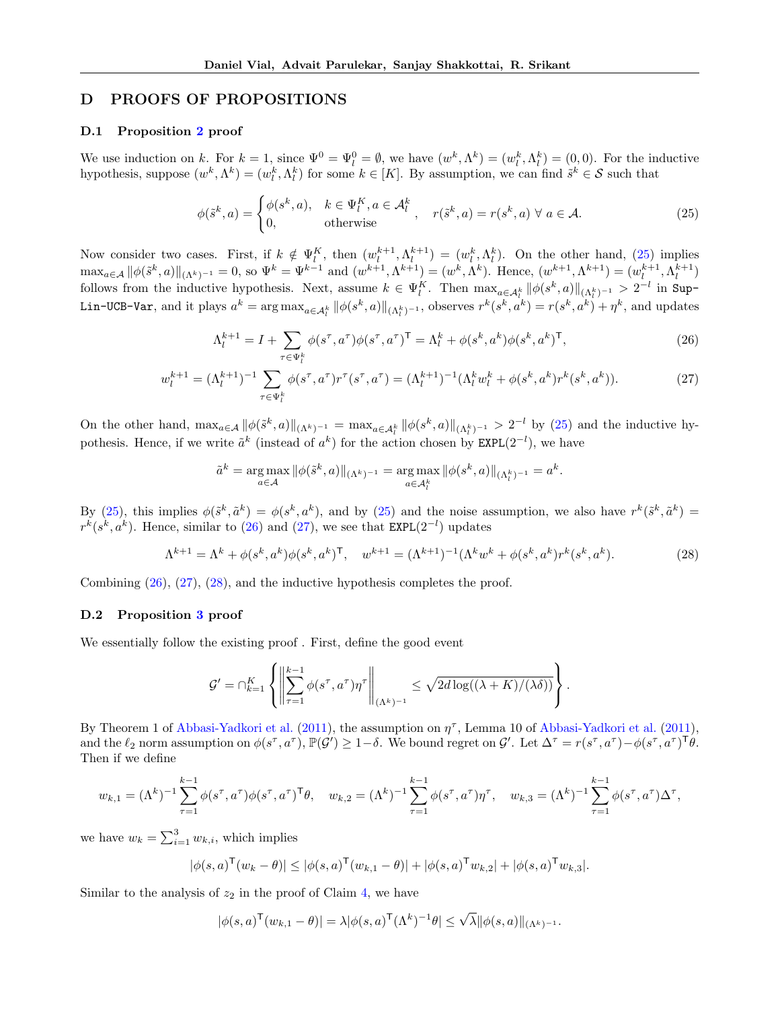# D PROOFS OF PROPOSITIONS

### <span id="page-22-0"></span>D.1 Proposition [2](#page-4-0) proof

We use induction on k. For  $k = 1$ , since  $\Psi^0 = \Psi_l^0 = \emptyset$ , we have  $(w^k, \Lambda^k) = (w_l^k, \Lambda_l^k) = (0, 0)$ . For the inductive hypothesis, suppose  $(w^k, \Lambda^k) = (w^k_l, \Lambda^k_l)$  for some  $k \in [K]$ . By assumption, we can find  $\tilde{s}^k \in S$  such that

<span id="page-22-2"></span>
$$
\phi(\tilde{s}^k, a) = \begin{cases} \phi(s^k, a), & k \in \Psi_l^K, a \in \mathcal{A}_l^k \\ 0, & \text{otherwise} \end{cases}, \quad r(\tilde{s}^k, a) = r(s^k, a) \ \forall \ a \in \mathcal{A}.
$$
 (25)

Now consider two cases. First, if  $k \notin \Psi_l^K$ , then  $(w_l^{k+1}, \Lambda_l^{k+1}) = (w_l^k, \Lambda_l^k)$ . On the other hand, [\(25\)](#page-22-2) implies  $\max_{a \in \mathcal{A}} ||\phi(\tilde{s}^k, a)||_{(\Lambda^k)^{-1}} = 0$ , so  $\Psi^k = \Psi^{k-1}$  and  $(w^{k+1}, \Lambda^{k+1}) = (w^k, \Lambda^k)$ . Hence,  $(w^{k+1}, \Lambda^{k+1}) = (w_l^{k+1}, \Lambda^{k+1})$ follows from the inductive hypothesis. Next, assume  $k \in \Psi_l^K$ . Then  $\max_{a \in \mathcal{A}_l^k} ||\phi(s^k, a)||_{(\Lambda_l^k)^{-1}} > 2^{-l}$  in Sup-Lin-UCB-Var, and it plays  $a^k = \arg \max_{a \in A_t^k} ||\phi(s^k, a)||_{(A_t^k)^{-1}}$ , observes  $r^k(s^k, a^k) = r(s^k, a^k) + \eta^k$ , and updates

<span id="page-22-4"></span><span id="page-22-3"></span>
$$
\Lambda_l^{k+1} = I + \sum_{\tau \in \Psi_l^k} \phi(s^\tau, a^\tau) \phi(s^\tau, a^\tau)^\mathsf{T} = \Lambda_l^k + \phi(s^k, a^k) \phi(s^k, a^k)^\mathsf{T},\tag{26}
$$

$$
w_l^{k+1} = (\Lambda_l^{k+1})^{-1} \sum_{\tau \in \Psi_l^k} \phi(s^{\tau}, a^{\tau}) r^{\tau}(s^{\tau}, a^{\tau}) = (\Lambda_l^{k+1})^{-1} (\Lambda_l^k w_l^k + \phi(s^k, a^k) r^k(s^k, a^k)).
$$
 (27)

On the other hand,  $\max_{a \in \mathcal{A}} ||\phi(\tilde{s}^k, a)||_{(\Lambda^k)^{-1}} = \max_{a \in \mathcal{A}_l^k} ||\phi(s^k, a)||_{(\Lambda_l^k)^{-1}} > 2^{-l}$  by [\(25\)](#page-22-2) and the inductive hypothesis. Hence, if we write  $\tilde{a}^k$  (instead of  $a^k$ ) for the action chosen by  $\texttt{EXPL}(2^{-l})$ , we have

<span id="page-22-5"></span>
$$
\tilde{a}^k = \underset{a \in \mathcal{A}}{\arg \max} \|\phi(\tilde{s}^k, a)\|_{(\Lambda^k)^{-1}} = \underset{a \in \mathcal{A}_l^k}{\arg \max} \|\phi(s^k, a)\|_{(\Lambda_l^k)^{-1}} = a^k.
$$

By [\(25\)](#page-22-2), this implies  $\phi(\tilde{s}^k, \tilde{a}^k) = \phi(s^k, a^k)$ , and by (25) and the noise assumption, we also have  $r^k(\tilde{s}^k, \tilde{a}^k) =$  $r^k(s^k, a^k)$ . Hence, similar to [\(26\)](#page-22-3) and [\(27\)](#page-22-4), we see that  $\texttt{EXPL}(2^{-l})$  updates

$$
\Lambda^{k+1} = \Lambda^k + \phi(s^k, a^k)\phi(s^k, a^k)^\mathsf{T}, \quad w^{k+1} = (\Lambda^{k+1})^{-1}(\Lambda^k w^k + \phi(s^k, a^k)r^k(s^k, a^k). \tag{28}
$$

Combining [\(26\)](#page-22-3), [\(27\)](#page-22-4), [\(28\)](#page-22-5), and the inductive hypothesis completes the proof.

#### <span id="page-22-1"></span>D.2 Proposition [3](#page-7-6) proof

We essentially follow the existing proof . First, define the good event

$$
\mathcal{G}' = \bigcap_{k=1}^K \left\{ \left\| \sum_{\tau=1}^{k-1} \phi(s^{\tau}, a^{\tau}) \eta^{\tau} \right\|_{(\Lambda^k)^{-1}} \leq \sqrt{2d \log((\lambda + K)/(\lambda \delta))} \right\}.
$$

By Theorem 1 of [Abbasi-Yadkori et al.](#page-8-2) [\(2011\)](#page-8-2), the assumption on  $\eta^{\tau}$ , Lemma 10 of Abbasi-Yadkori et al. (2011), and the  $\ell_2$  norm assumption on  $\phi(s^{\tau}, a^{\tau})$ ,  $\mathbb{P}(\mathcal{G}') \geq 1-\delta$ . We bound regret on  $\mathcal{G}'$ . Let  $\Delta^{\tau} = r(s^{\tau}, a^{\tau}) - \phi(s^{\tau}, a^{\tau})^{\top} \theta$ . Then if we define

$$
w_{k,1} = (\Lambda^k)^{-1} \sum_{\tau=1}^{k-1} \phi(s^{\tau}, a^{\tau}) \phi(s^{\tau}, a^{\tau})^{\mathsf{T}} \theta, \quad w_{k,2} = (\Lambda^k)^{-1} \sum_{\tau=1}^{k-1} \phi(s^{\tau}, a^{\tau}) \eta^{\tau}, \quad w_{k,3} = (\Lambda^k)^{-1} \sum_{\tau=1}^{k-1} \phi(s^{\tau}, a^{\tau}) \Delta^{\tau},
$$

we have  $w_k = \sum_{i=1}^3 w_{k,i}$ , which implies

$$
|\phi(s,a)^{\mathsf{T}}(w_k-\theta)| \leq |\phi(s,a)^{\mathsf{T}}(w_{k,1}-\theta)| + |\phi(s,a)^{\mathsf{T}}w_{k,2}| + |\phi(s,a)^{\mathsf{T}}w_{k,3}|.
$$

Similar to the analysis of  $z_2$  in the proof of Claim [4,](#page-13-3) we have

$$
|\phi(s,a)^\mathsf{T} (w_{k,1} - \theta)| = \lambda |\phi(s,a)^\mathsf{T} (\Lambda^k)^{-1} \theta| \le \sqrt{\lambda} ||\phi(s,a)||_{(\Lambda^k)^{-1}}.
$$